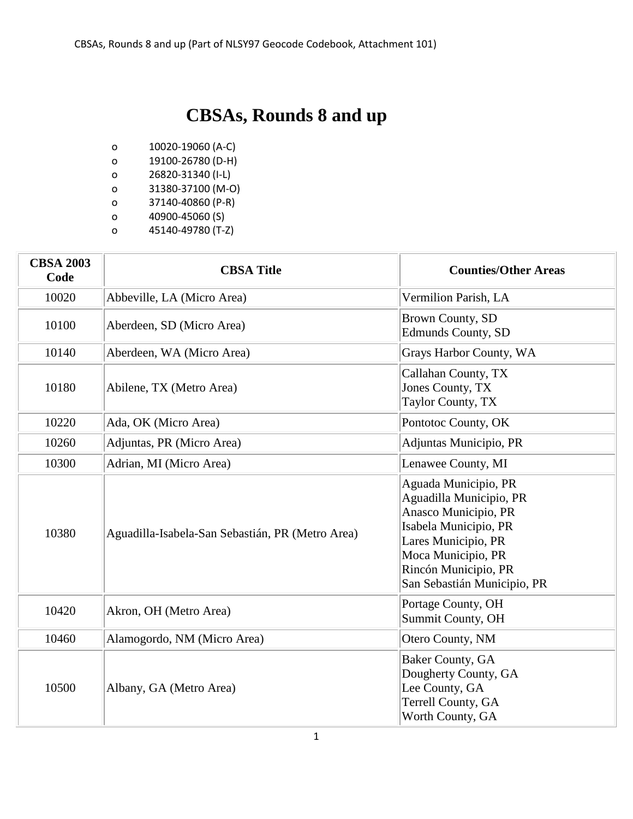## **CBSAs, Rounds 8 and up**

- o 10020-19060 (A-C)
- o 19100-26780 (D-H)
- o 26820-31340 (I-L)
- o 31380-37100 (M-O)
- o 37140-40860 (P-R)
- o 40900-45060 (S)
- o 45140-49780 (T-Z)

| <b>CBSA 2003</b><br>Code | <b>CBSA Title</b>                                | <b>Counties/Other Areas</b>                                                                                                                                                                          |
|--------------------------|--------------------------------------------------|------------------------------------------------------------------------------------------------------------------------------------------------------------------------------------------------------|
| 10020                    | Abbeville, LA (Micro Area)                       | Vermilion Parish, LA                                                                                                                                                                                 |
| 10100                    | Aberdeen, SD (Micro Area)                        | <b>Brown County, SD</b><br><b>Edmunds County, SD</b>                                                                                                                                                 |
| 10140                    | Aberdeen, WA (Micro Area)                        | Grays Harbor County, WA                                                                                                                                                                              |
| 10180                    | Abilene, TX (Metro Area)                         | Callahan County, TX<br>Jones County, TX<br>Taylor County, TX                                                                                                                                         |
| 10220                    | Ada, OK (Micro Area)                             | Pontotoc County, OK                                                                                                                                                                                  |
| 10260                    | Adjuntas, PR (Micro Area)                        | Adjuntas Municipio, PR                                                                                                                                                                               |
| 10300                    | Adrian, MI (Micro Area)                          | Lenawee County, MI                                                                                                                                                                                   |
| 10380                    | Aguadilla-Isabela-San Sebastián, PR (Metro Area) | Aguada Municipio, PR<br>Aguadilla Municipio, PR<br>Anasco Municipio, PR<br>Isabela Municipio, PR<br>Lares Municipio, PR<br>Moca Municipio, PR<br>Rincón Municipio, PR<br>San Sebastián Municipio, PR |
| 10420                    | Akron, OH (Metro Area)                           | Portage County, OH<br>Summit County, OH                                                                                                                                                              |
| 10460                    | Alamogordo, NM (Micro Area)                      | Otero County, NM                                                                                                                                                                                     |
| 10500                    | Albany, GA (Metro Area)                          | <b>Baker County, GA</b><br>Dougherty County, GA<br>Lee County, GA<br>Terrell County, GA<br>Worth County, GA                                                                                          |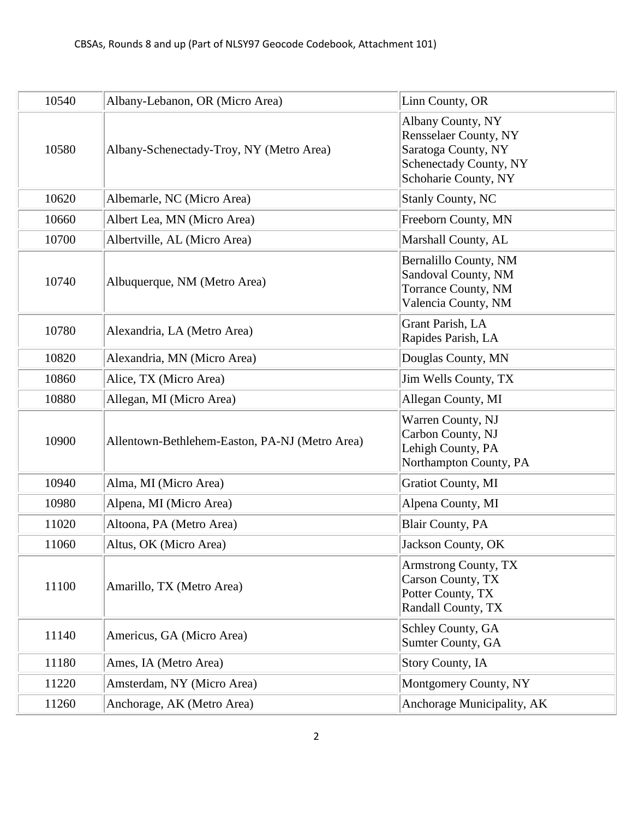| 10540 | Albany-Lebanon, OR (Micro Area)                | Linn County, OR                                                                                                            |
|-------|------------------------------------------------|----------------------------------------------------------------------------------------------------------------------------|
| 10580 | Albany-Schenectady-Troy, NY (Metro Area)       | Albany County, NY<br><b>Rensselaer County, NY</b><br>Saratoga County, NY<br>Schenectady County, NY<br>Schoharie County, NY |
| 10620 | Albemarle, NC (Micro Area)                     | <b>Stanly County, NC</b>                                                                                                   |
| 10660 | Albert Lea, MN (Micro Area)                    | Freeborn County, MN                                                                                                        |
| 10700 | Albertville, AL (Micro Area)                   | Marshall County, AL                                                                                                        |
| 10740 | Albuquerque, NM (Metro Area)                   | Bernalillo County, NM<br>Sandoval County, NM<br><b>Torrance County, NM</b><br>Valencia County, NM                          |
| 10780 | Alexandria, LA (Metro Area)                    | Grant Parish, LA<br>Rapides Parish, LA                                                                                     |
| 10820 | Alexandria, MN (Micro Area)                    | Douglas County, MN                                                                                                         |
| 10860 | Alice, TX (Micro Area)                         | Jim Wells County, TX                                                                                                       |
| 10880 | Allegan, MI (Micro Area)                       | Allegan County, MI                                                                                                         |
| 10900 | Allentown-Bethlehem-Easton, PA-NJ (Metro Area) | Warren County, NJ<br>Carbon County, NJ<br>Lehigh County, PA<br>Northampton County, PA                                      |
| 10940 | Alma, MI (Micro Area)                          | <b>Gratiot County, MI</b>                                                                                                  |
| 10980 | Alpena, MI (Micro Area)                        | Alpena County, MI                                                                                                          |
| 11020 | Altoona, PA (Metro Area)                       | <b>Blair County, PA</b>                                                                                                    |
| 11060 | Altus, OK (Micro Area)                         | Jackson County, OK                                                                                                         |
| 11100 | Amarillo, TX (Metro Area)                      | <b>Armstrong County, TX</b><br>Carson County, TX<br>Potter County, TX<br>Randall County, TX                                |
| 11140 | Americus, GA (Micro Area)                      | Schley County, GA<br>Sumter County, GA                                                                                     |
| 11180 | Ames, IA (Metro Area)                          | <b>Story County, IA</b>                                                                                                    |
| 11220 | Amsterdam, NY (Micro Area)                     | Montgomery County, NY                                                                                                      |
| 11260 | Anchorage, AK (Metro Area)                     | Anchorage Municipality, AK                                                                                                 |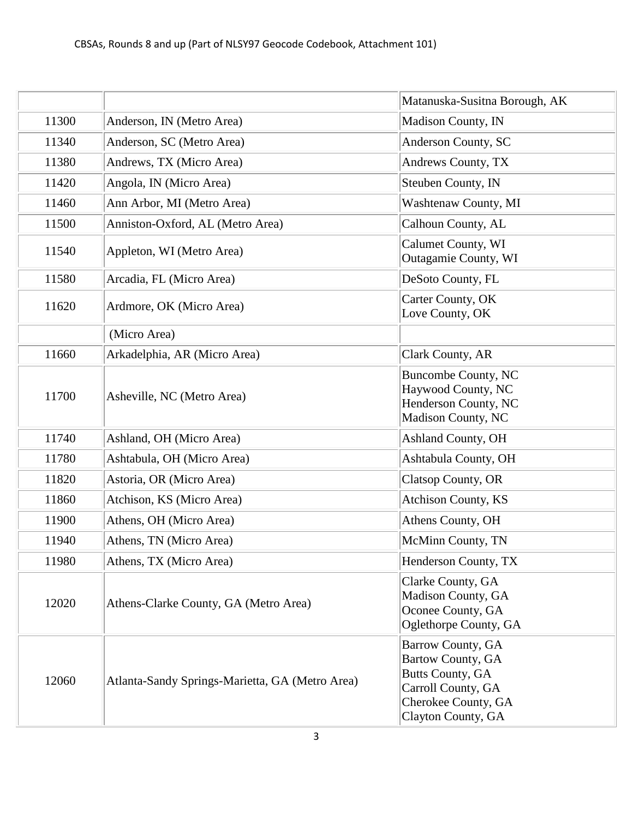|       |                                                 | Matanuska-Susitna Borough, AK                                                                                                        |
|-------|-------------------------------------------------|--------------------------------------------------------------------------------------------------------------------------------------|
| 11300 | Anderson, IN (Metro Area)                       | Madison County, IN                                                                                                                   |
| 11340 | Anderson, SC (Metro Area)                       | Anderson County, SC                                                                                                                  |
| 11380 | Andrews, TX (Micro Area)                        | Andrews County, TX                                                                                                                   |
| 11420 | Angola, IN (Micro Area)                         | Steuben County, IN                                                                                                                   |
| 11460 | Ann Arbor, MI (Metro Area)                      | Washtenaw County, MI                                                                                                                 |
| 11500 | Anniston-Oxford, AL (Metro Area)                | Calhoun County, AL                                                                                                                   |
| 11540 | Appleton, WI (Metro Area)                       | <b>Calumet County, WI</b><br>Outagamie County, WI                                                                                    |
| 11580 | Arcadia, FL (Micro Area)                        | DeSoto County, FL                                                                                                                    |
| 11620 | Ardmore, OK (Micro Area)                        | Carter County, OK<br>Love County, OK                                                                                                 |
|       | (Micro Area)                                    |                                                                                                                                      |
| 11660 | Arkadelphia, AR (Micro Area)                    | Clark County, AR                                                                                                                     |
| 11700 | Asheville, NC (Metro Area)                      | <b>Buncombe County, NC</b><br>Haywood County, NC<br>Henderson County, NC<br>Madison County, NC                                       |
| 11740 | Ashland, OH (Micro Area)                        | <b>Ashland County, OH</b>                                                                                                            |
| 11780 | Ashtabula, OH (Micro Area)                      | Ashtabula County, OH                                                                                                                 |
| 11820 | Astoria, OR (Micro Area)                        | Clatsop County, OR                                                                                                                   |
| 11860 | Atchison, KS (Micro Area)                       | Atchison County, KS                                                                                                                  |
| 11900 | Athens, OH (Micro Area)                         | Athens County, OH                                                                                                                    |
| 11940 | Athens, TN (Micro Area)                         | McMinn County, TN                                                                                                                    |
| 11980 | Athens, TX (Micro Area)                         | Henderson County, TX                                                                                                                 |
| 12020 | Athens-Clarke County, GA (Metro Area)           | Clarke County, GA<br>Madison County, GA<br>Oconee County, GA<br>Oglethorpe County, GA                                                |
| 12060 | Atlanta-Sandy Springs-Marietta, GA (Metro Area) | Barrow County, GA<br>Bartow County, GA<br><b>Butts County, GA</b><br>Carroll County, GA<br>Cherokee County, GA<br>Clayton County, GA |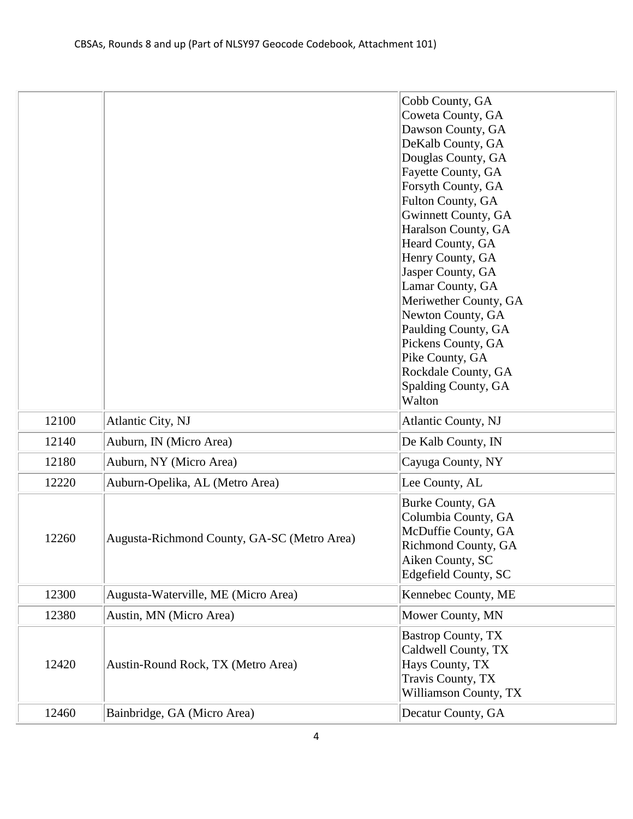|       |                                             | Cobb County, GA<br>Coweta County, GA<br>Dawson County, GA<br>DeKalb County, GA<br>Douglas County, GA<br>Fayette County, GA<br>Forsyth County, GA<br>Fulton County, GA<br><b>Gwinnett County, GA</b><br>Haralson County, GA<br>Heard County, GA<br>Henry County, GA<br>Jasper County, GA<br>Lamar County, GA<br>Meriwether County, GA<br>Newton County, GA<br>Paulding County, GA<br>Pickens County, GA<br>Pike County, GA<br>Rockdale County, GA<br>Spalding County, GA<br>Walton |
|-------|---------------------------------------------|-----------------------------------------------------------------------------------------------------------------------------------------------------------------------------------------------------------------------------------------------------------------------------------------------------------------------------------------------------------------------------------------------------------------------------------------------------------------------------------|
| 12100 | Atlantic City, NJ                           | <b>Atlantic County, NJ</b>                                                                                                                                                                                                                                                                                                                                                                                                                                                        |
| 12140 | Auburn, IN (Micro Area)                     | De Kalb County, IN                                                                                                                                                                                                                                                                                                                                                                                                                                                                |
| 12180 | Auburn, NY (Micro Area)                     | Cayuga County, NY                                                                                                                                                                                                                                                                                                                                                                                                                                                                 |
| 12220 | Auburn-Opelika, AL (Metro Area)             | Lee County, AL                                                                                                                                                                                                                                                                                                                                                                                                                                                                    |
| 12260 | Augusta-Richmond County, GA-SC (Metro Area) | Burke County, GA<br>Columbia County, GA<br>McDuffie County, GA<br>Richmond County, GA<br>Aiken County, SC<br>Edgefield County, SC                                                                                                                                                                                                                                                                                                                                                 |
| 12300 | Augusta-Waterville, ME (Micro Area)         | Kennebec County, ME                                                                                                                                                                                                                                                                                                                                                                                                                                                               |
| 12380 | Austin, MN (Micro Area)                     | Mower County, MN                                                                                                                                                                                                                                                                                                                                                                                                                                                                  |
| 12420 | Austin-Round Rock, TX (Metro Area)          | <b>Bastrop County, TX</b><br>Caldwell County, TX<br>Hays County, TX<br>Travis County, TX<br>Williamson County, TX                                                                                                                                                                                                                                                                                                                                                                 |
| 12460 | Bainbridge, GA (Micro Area)                 | Decatur County, GA                                                                                                                                                                                                                                                                                                                                                                                                                                                                |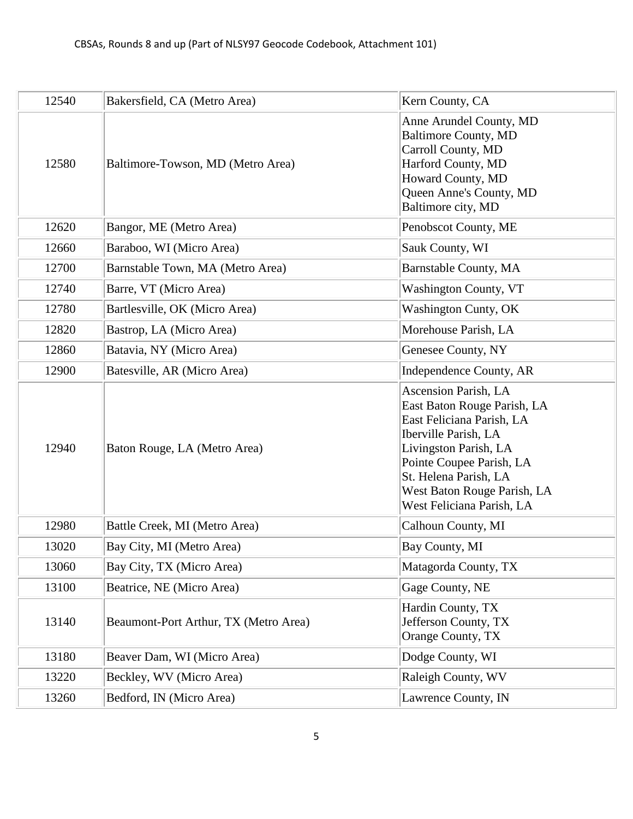| 12540 | Bakersfield, CA (Metro Area)          | Kern County, CA                                                                                                                                                                                                                                    |
|-------|---------------------------------------|----------------------------------------------------------------------------------------------------------------------------------------------------------------------------------------------------------------------------------------------------|
| 12580 | Baltimore-Towson, MD (Metro Area)     | Anne Arundel County, MD<br><b>Baltimore County, MD</b><br>Carroll County, MD<br>Harford County, MD<br>Howard County, MD<br>Queen Anne's County, MD<br>Baltimore city, MD                                                                           |
| 12620 | Bangor, ME (Metro Area)               | Penobscot County, ME                                                                                                                                                                                                                               |
| 12660 | Baraboo, WI (Micro Area)              | Sauk County, WI                                                                                                                                                                                                                                    |
| 12700 | Barnstable Town, MA (Metro Area)      | <b>Barnstable County, MA</b>                                                                                                                                                                                                                       |
| 12740 | Barre, VT (Micro Area)                | <b>Washington County, VT</b>                                                                                                                                                                                                                       |
| 12780 | Bartlesville, OK (Micro Area)         | <b>Washington Cunty, OK</b>                                                                                                                                                                                                                        |
| 12820 | Bastrop, LA (Micro Area)              | Morehouse Parish, LA                                                                                                                                                                                                                               |
| 12860 | Batavia, NY (Micro Area)              | Genesee County, NY                                                                                                                                                                                                                                 |
| 12900 | Batesville, AR (Micro Area)           | Independence County, AR                                                                                                                                                                                                                            |
| 12940 | Baton Rouge, LA (Metro Area)          | Ascension Parish, LA<br>East Baton Rouge Parish, LA<br>East Feliciana Parish, LA<br>Iberville Parish, LA<br>Livingston Parish, LA<br>Pointe Coupee Parish, LA<br>St. Helena Parish, LA<br>West Baton Rouge Parish, LA<br>West Feliciana Parish, LA |
| 12980 | Battle Creek, MI (Metro Area)         | Calhoun County, MI                                                                                                                                                                                                                                 |
| 13020 | Bay City, MI (Metro Area)             | Bay County, MI                                                                                                                                                                                                                                     |
| 13060 | Bay City, TX (Micro Area)             | Matagorda County, TX                                                                                                                                                                                                                               |
| 13100 | Beatrice, NE (Micro Area)             | Gage County, NE                                                                                                                                                                                                                                    |
| 13140 | Beaumont-Port Arthur, TX (Metro Area) | Hardin County, TX<br>Jefferson County, TX<br>Orange County, TX                                                                                                                                                                                     |
| 13180 | Beaver Dam, WI (Micro Area)           | Dodge County, WI                                                                                                                                                                                                                                   |
| 13220 | Beckley, WV (Micro Area)              | Raleigh County, WV                                                                                                                                                                                                                                 |
| 13260 | Bedford, IN (Micro Area)              | Lawrence County, IN                                                                                                                                                                                                                                |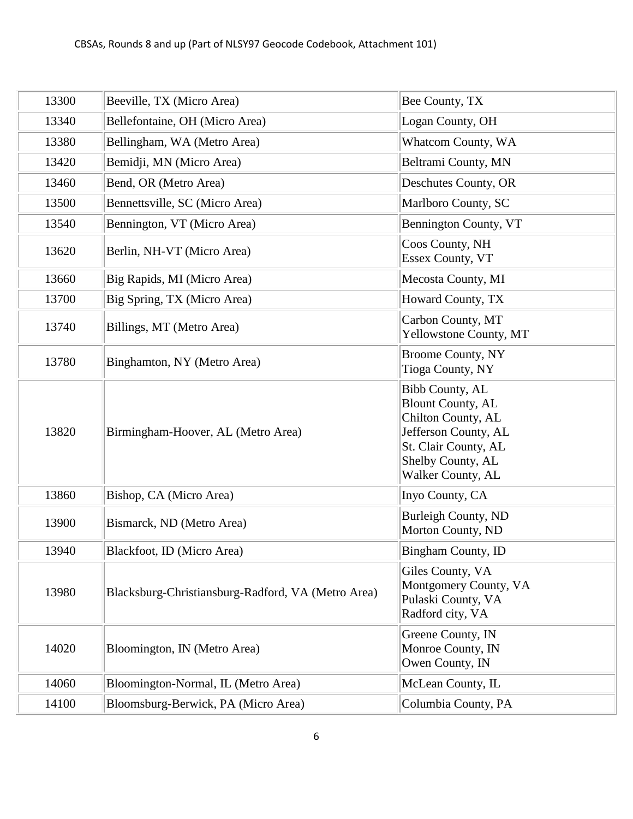| 13300 | Beeville, TX (Micro Area)                          | Bee County, TX                                                                                                                                              |
|-------|----------------------------------------------------|-------------------------------------------------------------------------------------------------------------------------------------------------------------|
| 13340 | Bellefontaine, OH (Micro Area)                     | Logan County, OH                                                                                                                                            |
| 13380 | Bellingham, WA (Metro Area)                        | Whatcom County, WA                                                                                                                                          |
| 13420 | Bemidji, MN (Micro Area)                           | Beltrami County, MN                                                                                                                                         |
| 13460 | Bend, OR (Metro Area)                              | Deschutes County, OR                                                                                                                                        |
| 13500 | Bennettsville, SC (Micro Area)                     | Marlboro County, SC                                                                                                                                         |
| 13540 | Bennington, VT (Micro Area)                        | Bennington County, VT                                                                                                                                       |
| 13620 | Berlin, NH-VT (Micro Area)                         | Coos County, NH<br>Essex County, VT                                                                                                                         |
| 13660 | Big Rapids, MI (Micro Area)                        | Mecosta County, MI                                                                                                                                          |
| 13700 | Big Spring, TX (Micro Area)                        | Howard County, TX                                                                                                                                           |
| 13740 | Billings, MT (Metro Area)                          | Carbon County, MT<br>Yellowstone County, MT                                                                                                                 |
| 13780 | Binghamton, NY (Metro Area)                        | <b>Broome County, NY</b><br><b>Tioga County, NY</b>                                                                                                         |
| 13820 | Birmingham-Hoover, AL (Metro Area)                 | Bibb County, AL<br><b>Blount County, AL</b><br>Chilton County, AL<br>Jefferson County, AL<br>St. Clair County, AL<br>Shelby County, AL<br>Walker County, AL |
| 13860 | Bishop, CA (Micro Area)                            | Inyo County, CA                                                                                                                                             |
| 13900 | Bismarck, ND (Metro Area)                          | <b>Burleigh County, ND</b><br>Morton County, ND                                                                                                             |
| 13940 | Blackfoot, ID (Micro Area)                         | Bingham County, ID                                                                                                                                          |
| 13980 | Blacksburg-Christiansburg-Radford, VA (Metro Area) | Giles County, VA<br>Montgomery County, VA<br>Pulaski County, VA<br>Radford city, VA                                                                         |
| 14020 | Bloomington, IN (Metro Area)                       | Greene County, IN<br>Monroe County, IN<br>Owen County, IN                                                                                                   |
| 14060 | Bloomington-Normal, IL (Metro Area)                | McLean County, IL                                                                                                                                           |
| 14100 | Bloomsburg-Berwick, PA (Micro Area)                | Columbia County, PA                                                                                                                                         |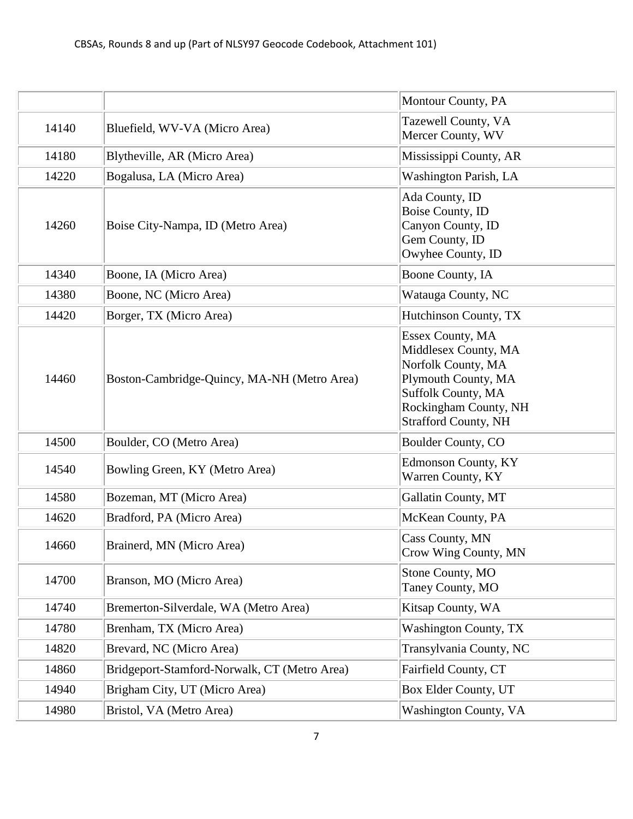|       |                                              | Montour County, PA                                                                                                                                                         |
|-------|----------------------------------------------|----------------------------------------------------------------------------------------------------------------------------------------------------------------------------|
| 14140 | Bluefield, WV-VA (Micro Area)                | Tazewell County, VA<br>Mercer County, WV                                                                                                                                   |
| 14180 | Blytheville, AR (Micro Area)                 | Mississippi County, AR                                                                                                                                                     |
| 14220 | Bogalusa, LA (Micro Area)                    | Washington Parish, LA                                                                                                                                                      |
| 14260 | Boise City-Nampa, ID (Metro Area)            | Ada County, ID<br>Boise County, ID<br>Canyon County, ID<br>Gem County, ID<br>Owyhee County, ID                                                                             |
| 14340 | Boone, IA (Micro Area)                       | Boone County, IA                                                                                                                                                           |
| 14380 | Boone, NC (Micro Area)                       | Watauga County, NC                                                                                                                                                         |
| 14420 | Borger, TX (Micro Area)                      | Hutchinson County, TX                                                                                                                                                      |
| 14460 | Boston-Cambridge-Quincy, MA-NH (Metro Area)  | Essex County, MA<br>Middlesex County, MA<br>Norfolk County, MA<br>Plymouth County, MA<br><b>Suffolk County, MA</b><br>Rockingham County, NH<br><b>Strafford County, NH</b> |
| 14500 | Boulder, CO (Metro Area)                     | Boulder County, CO                                                                                                                                                         |
| 14540 | Bowling Green, KY (Metro Area)               | <b>Edmonson County, KY</b><br>Warren County, KY                                                                                                                            |
| 14580 | Bozeman, MT (Micro Area)                     | Gallatin County, MT                                                                                                                                                        |
| 14620 | Bradford, PA (Micro Area)                    | McKean County, PA                                                                                                                                                          |
| 14660 | Brainerd, MN (Micro Area)                    | Cass County, MN<br>Crow Wing County, MN                                                                                                                                    |
| 14700 | Branson, MO (Micro Area)                     | Stone County, MO<br>Taney County, MO                                                                                                                                       |
| 14740 | Bremerton-Silverdale, WA (Metro Area)        | Kitsap County, WA                                                                                                                                                          |
| 14780 | Brenham, TX (Micro Area)                     | <b>Washington County, TX</b>                                                                                                                                               |
| 14820 | Brevard, NC (Micro Area)                     | Transylvania County, NC                                                                                                                                                    |
| 14860 | Bridgeport-Stamford-Norwalk, CT (Metro Area) | Fairfield County, CT                                                                                                                                                       |
| 14940 | Brigham City, UT (Micro Area)                | Box Elder County, UT                                                                                                                                                       |
| 14980 | Bristol, VA (Metro Area)                     | <b>Washington County, VA</b>                                                                                                                                               |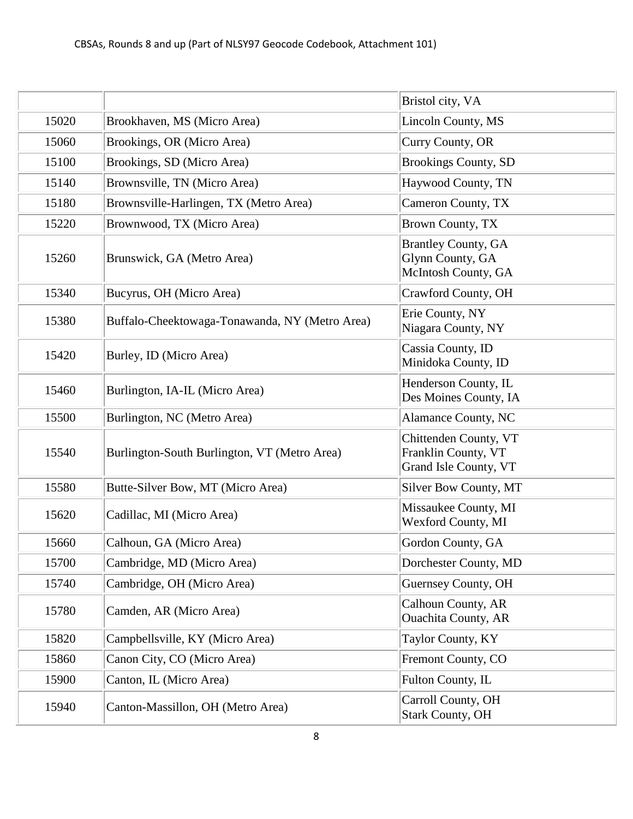|       |                                                | Bristol city, VA                                                      |
|-------|------------------------------------------------|-----------------------------------------------------------------------|
| 15020 | Brookhaven, MS (Micro Area)                    | Lincoln County, MS                                                    |
| 15060 | Brookings, OR (Micro Area)                     | Curry County, OR                                                      |
| 15100 | Brookings, SD (Micro Area)                     | <b>Brookings County, SD</b>                                           |
| 15140 | Brownsville, TN (Micro Area)                   | Haywood County, TN                                                    |
| 15180 | Brownsville-Harlingen, TX (Metro Area)         | Cameron County, TX                                                    |
| 15220 | Brownwood, TX (Micro Area)                     | Brown County, TX                                                      |
| 15260 | Brunswick, GA (Metro Area)                     | <b>Brantley County, GA</b><br>Glynn County, GA<br>McIntosh County, GA |
| 15340 | Bucyrus, OH (Micro Area)                       | Crawford County, OH                                                   |
| 15380 | Buffalo-Cheektowaga-Tonawanda, NY (Metro Area) | Erie County, NY<br>Niagara County, NY                                 |
| 15420 | Burley, ID (Micro Area)                        | Cassia County, ID<br>Minidoka County, ID                              |
| 15460 | Burlington, IA-IL (Micro Area)                 | Henderson County, IL<br>Des Moines County, IA                         |
| 15500 | Burlington, NC (Metro Area)                    | Alamance County, NC                                                   |
| 15540 | Burlington-South Burlington, VT (Metro Area)   | Chittenden County, VT<br>Franklin County, VT<br>Grand Isle County, VT |
| 15580 | Butte-Silver Bow, MT (Micro Area)              | Silver Bow County, MT                                                 |
| 15620 | Cadillac, MI (Micro Area)                      | Missaukee County, MI<br>Wexford County, MI                            |
| 15660 | Calhoun, GA (Micro Area)                       | Gordon County, GA                                                     |
| 15700 | Cambridge, MD (Micro Area)                     | Dorchester County, MD                                                 |
| 15740 | Cambridge, OH (Micro Area)                     | Guernsey County, OH                                                   |
| 15780 | Camden, AR (Micro Area)                        | Calhoun County, AR<br><b>Ouachita County, AR</b>                      |
| 15820 | Campbellsville, KY (Micro Area)                | Taylor County, KY                                                     |
| 15860 | Canon City, CO (Micro Area)                    | Fremont County, CO                                                    |
| 15900 | Canton, IL (Micro Area)                        | Fulton County, IL                                                     |
| 15940 | Canton-Massillon, OH (Metro Area)              | Carroll County, OH<br><b>Stark County, OH</b>                         |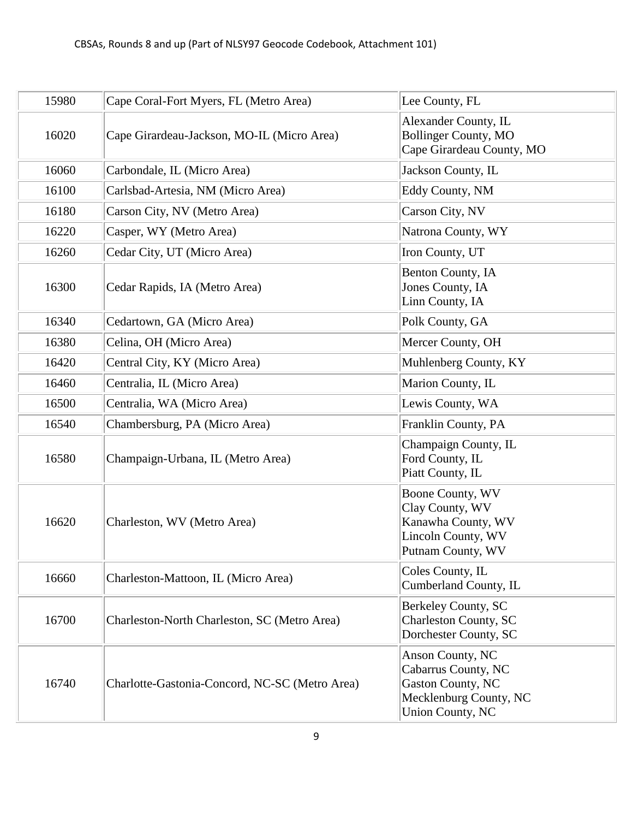| 15980 | Cape Coral-Fort Myers, FL (Metro Area)         | Lee County, FL                                                                                                    |
|-------|------------------------------------------------|-------------------------------------------------------------------------------------------------------------------|
| 16020 | Cape Girardeau-Jackson, MO-IL (Micro Area)     | Alexander County, IL<br><b>Bollinger County, MO</b><br>Cape Girardeau County, MO                                  |
| 16060 | Carbondale, IL (Micro Area)                    | Jackson County, IL                                                                                                |
| 16100 | Carlsbad-Artesia, NM (Micro Area)              | Eddy County, NM                                                                                                   |
| 16180 | Carson City, NV (Metro Area)                   | Carson City, NV                                                                                                   |
| 16220 | Casper, WY (Metro Area)                        | Natrona County, WY                                                                                                |
| 16260 | Cedar City, UT (Micro Area)                    | Iron County, UT                                                                                                   |
| 16300 | Cedar Rapids, IA (Metro Area)                  | Benton County, IA<br>Jones County, IA<br>Linn County, IA                                                          |
| 16340 | Cedartown, GA (Micro Area)                     | Polk County, GA                                                                                                   |
| 16380 | Celina, OH (Micro Area)                        | Mercer County, OH                                                                                                 |
| 16420 | Central City, KY (Micro Area)                  | Muhlenberg County, KY                                                                                             |
| 16460 | Centralia, IL (Micro Area)                     | Marion County, IL                                                                                                 |
| 16500 | Centralia, WA (Micro Area)                     | Lewis County, WA                                                                                                  |
| 16540 | Chambersburg, PA (Micro Area)                  | Franklin County, PA                                                                                               |
| 16580 | Champaign-Urbana, IL (Metro Area)              | Champaign County, IL<br>Ford County, IL<br>Piatt County, IL                                                       |
| 16620 | Charleston, WV (Metro Area)                    | Boone County, WV<br>Clay County, WV<br>Kanawha County, WV<br>Lincoln County, WV<br>Putnam County, WV              |
| 16660 | Charleston-Mattoon, IL (Micro Area)            | Coles County, IL<br>Cumberland County, IL                                                                         |
| 16700 | Charleston-North Charleston, SC (Metro Area)   | Berkeley County, SC<br>Charleston County, SC<br>Dorchester County, SC                                             |
| 16740 | Charlotte-Gastonia-Concord, NC-SC (Metro Area) | Anson County, NC<br>Cabarrus County, NC<br>Gaston County, NC<br>Mecklenburg County, NC<br><b>Union County, NC</b> |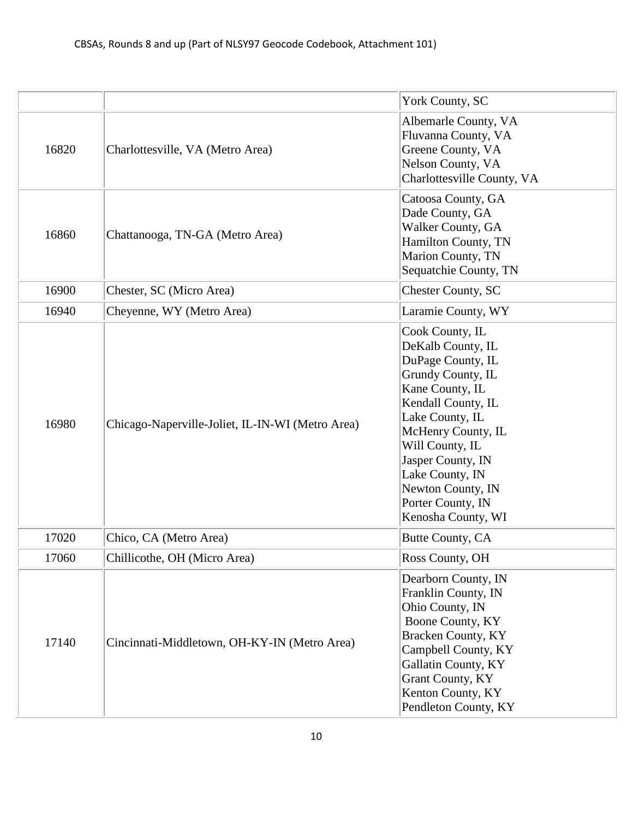|       |                                                  | York County, SC                                                                                                                                                                                                                                                                             |
|-------|--------------------------------------------------|---------------------------------------------------------------------------------------------------------------------------------------------------------------------------------------------------------------------------------------------------------------------------------------------|
| 16820 | Charlottesville, VA (Metro Area)                 | Albemarle County, VA<br>Fluvanna County, VA<br>Greene County, VA<br>Nelson County, VA<br>Charlottesville County, VA                                                                                                                                                                         |
| 16860 | Chattanooga, TN-GA (Metro Area)                  | Catoosa County, GA<br>Dade County, GA<br>Walker County, GA<br>Hamilton County, TN<br>Marion County, TN<br>Sequatchie County, TN                                                                                                                                                             |
| 16900 | Chester, SC (Micro Area)                         | <b>Chester County, SC</b>                                                                                                                                                                                                                                                                   |
| 16940 | Cheyenne, WY (Metro Area)                        | Laramie County, WY                                                                                                                                                                                                                                                                          |
| 16980 | Chicago-Naperville-Joliet, IL-IN-WI (Metro Area) | Cook County, IL<br>DeKalb County, IL<br>DuPage County, IL<br>Grundy County, IL<br>Kane County, IL<br>Kendall County, IL<br>Lake County, IL<br>McHenry County, IL<br>Will County, IL<br>Jasper County, IN<br>Lake County, IN<br>Newton County, IN<br>Porter County, IN<br>Kenosha County, WI |
| 17020 | Chico, CA (Metro Area)                           | Butte County, CA                                                                                                                                                                                                                                                                            |
| 17060 | Chillicothe, OH (Micro Area)                     | Ross County, OH                                                                                                                                                                                                                                                                             |
| 17140 | Cincinnati-Middletown, OH-KY-IN (Metro Area)     | Dearborn County, IN<br>Franklin County, IN<br>Ohio County, IN<br>Boone County, KY<br><b>Bracken County, KY</b><br>Campbell County, KY<br>Gallatin County, KY<br><b>Grant County, KY</b><br>Kenton County, KY<br>Pendleton County, KY                                                        |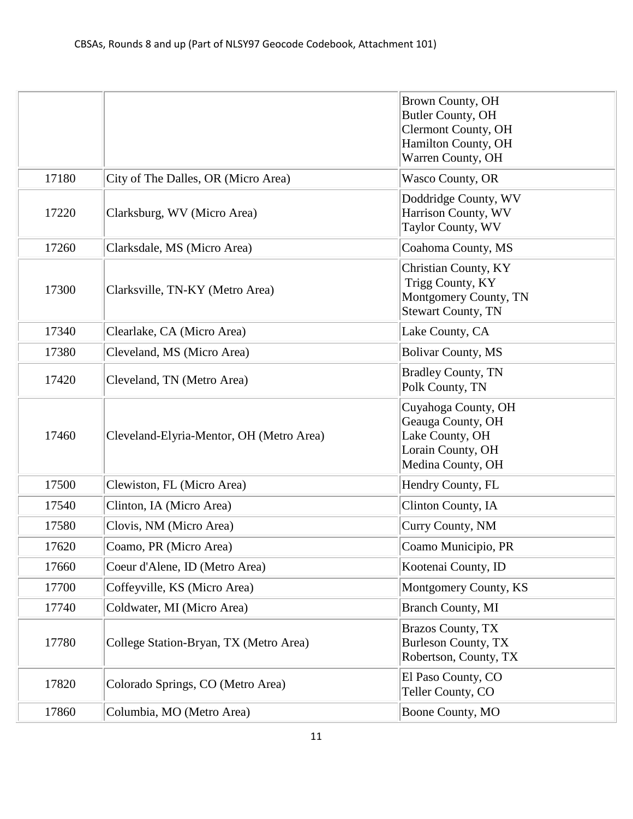|       |                                          | <b>Brown County, OH</b><br>Butler County, OH |
|-------|------------------------------------------|----------------------------------------------|
|       |                                          | <b>Clermont County, OH</b>                   |
|       |                                          | Hamilton County, OH                          |
|       |                                          | Warren County, OH                            |
| 17180 | City of The Dalles, OR (Micro Area)      | Wasco County, OR                             |
|       |                                          | Doddridge County, WV                         |
| 17220 | Clarksburg, WV (Micro Area)              | Harrison County, WV<br>Taylor County, WV     |
| 17260 | Clarksdale, MS (Micro Area)              | Coahoma County, MS                           |
|       |                                          |                                              |
|       |                                          | Christian County, KY<br>Trigg County, KY     |
| 17300 | Clarksville, TN-KY (Metro Area)          | Montgomery County, TN                        |
|       |                                          | <b>Stewart County, TN</b>                    |
| 17340 | Clearlake, CA (Micro Area)               | Lake County, CA                              |
| 17380 | Cleveland, MS (Micro Area)               | <b>Bolivar County, MS</b>                    |
| 17420 | Cleveland, TN (Metro Area)               | <b>Bradley County, TN</b>                    |
|       |                                          | Polk County, TN                              |
|       |                                          | Cuyahoga County, OH                          |
| 17460 | Cleveland-Elyria-Mentor, OH (Metro Area) | Geauga County, OH<br>Lake County, OH         |
|       |                                          | Lorain County, OH                            |
|       |                                          | Medina County, OH                            |
| 17500 | Clewiston, FL (Micro Area)               | Hendry County, FL                            |
| 17540 | Clinton, IA (Micro Area)                 | Clinton County, IA                           |
| 17580 | Clovis, NM (Micro Area)                  | Curry County, NM                             |
| 17620 | Coamo, PR (Micro Area)                   | Coamo Municipio, PR                          |
| 17660 | Coeur d'Alene, ID (Metro Area)           | Kootenai County, ID                          |
| 17700 | Coffeyville, KS (Micro Area)             | Montgomery County, KS                        |
| 17740 | Coldwater, MI (Micro Area)               | <b>Branch County, MI</b>                     |
|       |                                          | <b>Brazos County, TX</b>                     |
| 17780 | College Station-Bryan, TX (Metro Area)   | <b>Burleson County, TX</b>                   |
|       |                                          | Robertson, County, TX                        |
| 17820 | Colorado Springs, CO (Metro Area)        | El Paso County, CO<br>Teller County, CO      |
|       |                                          |                                              |
| 17860 | Columbia, MO (Metro Area)                | Boone County, MO                             |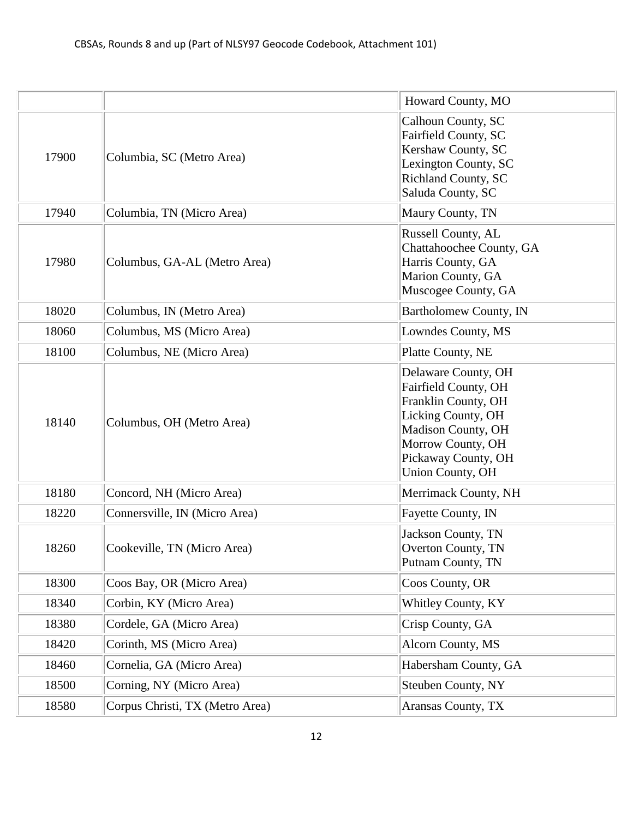|       |                                 | Howard County, MO                                                                                                                                                              |
|-------|---------------------------------|--------------------------------------------------------------------------------------------------------------------------------------------------------------------------------|
| 17900 | Columbia, SC (Metro Area)       | Calhoun County, SC<br>Fairfield County, SC<br>Kershaw County, SC<br>Lexington County, SC<br>Richland County, SC<br>Saluda County, SC                                           |
| 17940 | Columbia, TN (Micro Area)       | Maury County, TN                                                                                                                                                               |
| 17980 | Columbus, GA-AL (Metro Area)    | Russell County, AL<br>Chattahoochee County, GA<br>Harris County, GA<br>Marion County, GA<br>Muscogee County, GA                                                                |
| 18020 | Columbus, IN (Metro Area)       | Bartholomew County, IN                                                                                                                                                         |
| 18060 | Columbus, MS (Micro Area)       | Lowndes County, MS                                                                                                                                                             |
| 18100 | Columbus, NE (Micro Area)       | Platte County, NE                                                                                                                                                              |
| 18140 | Columbus, OH (Metro Area)       | Delaware County, OH<br>Fairfield County, OH<br>Franklin County, OH<br>Licking County, OH<br>Madison County, OH<br>Morrow County, OH<br>Pickaway County, OH<br>Union County, OH |
| 18180 | Concord, NH (Micro Area)        | Merrimack County, NH                                                                                                                                                           |
| 18220 | Connersville, IN (Micro Area)   | Fayette County, IN                                                                                                                                                             |
| 18260 | Cookeville, TN (Micro Area)     | Jackson County, TN<br>Overton County, TN<br>Putnam County, TN                                                                                                                  |
| 18300 | Coos Bay, OR (Micro Area)       | Coos County, OR                                                                                                                                                                |
| 18340 | Corbin, KY (Micro Area)         | Whitley County, KY                                                                                                                                                             |
| 18380 | Cordele, GA (Micro Area)        | Crisp County, GA                                                                                                                                                               |
| 18420 | Corinth, MS (Micro Area)        | Alcorn County, MS                                                                                                                                                              |
| 18460 | Cornelia, GA (Micro Area)       | Habersham County, GA                                                                                                                                                           |
| 18500 | Corning, NY (Micro Area)        | <b>Steuben County, NY</b>                                                                                                                                                      |
| 18580 | Corpus Christi, TX (Metro Area) | Aransas County, TX                                                                                                                                                             |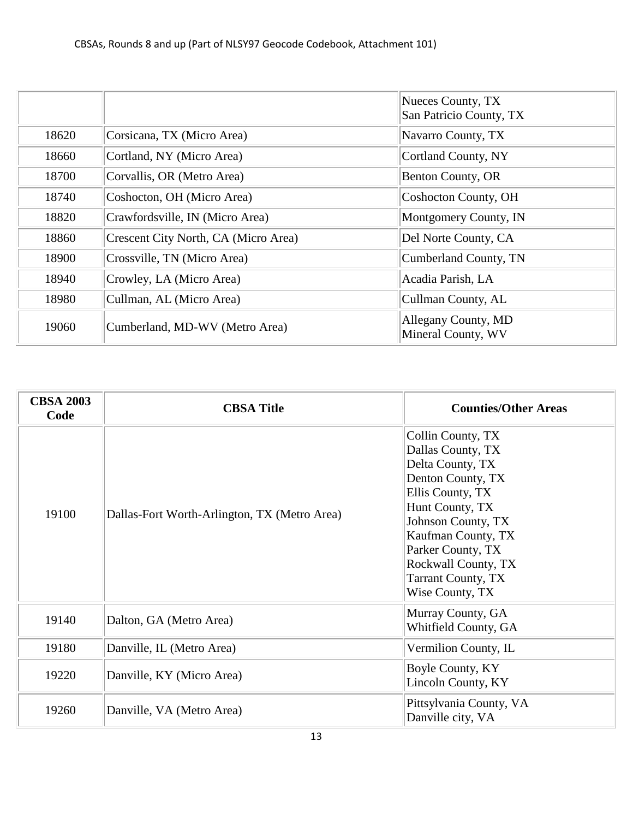|       |                                      | Nueces County, TX<br>San Patricio County, TX |
|-------|--------------------------------------|----------------------------------------------|
| 18620 | Corsicana, TX (Micro Area)           | Navarro County, TX                           |
| 18660 | Cortland, NY (Micro Area)            | Cortland County, NY                          |
| 18700 | Corvallis, OR (Metro Area)           | <b>Benton County, OR</b>                     |
| 18740 | Coshocton, OH (Micro Area)           | Coshocton County, OH                         |
| 18820 | Crawfordsville, IN (Micro Area)      | Montgomery County, IN                        |
| 18860 | Crescent City North, CA (Micro Area) | Del Norte County, CA                         |
| 18900 | Crossville, TN (Micro Area)          | Cumberland County, TN                        |
| 18940 | Crowley, LA (Micro Area)             | Acadia Parish, LA                            |
| 18980 | Cullman, AL (Micro Area)             | Cullman County, AL                           |
| 19060 | Cumberland, MD-WV (Metro Area)       | Allegany County, MD<br>Mineral County, WV    |

| <b>CBSA 2003</b><br>Code | <b>CBSA Title</b>                            | <b>Counties/Other Areas</b>                                                                                                                                                                                                                                    |
|--------------------------|----------------------------------------------|----------------------------------------------------------------------------------------------------------------------------------------------------------------------------------------------------------------------------------------------------------------|
| 19100                    | Dallas-Fort Worth-Arlington, TX (Metro Area) | Collin County, TX<br>Dallas County, TX<br>Delta County, TX<br>Denton County, TX<br>Ellis County, TX<br>Hunt County, TX<br>Johnson County, TX<br>Kaufman County, TX<br>Parker County, TX<br>Rockwall County, TX<br><b>Tarrant County, TX</b><br>Wise County, TX |
| 19140                    | Dalton, GA (Metro Area)                      | Murray County, GA<br>Whitfield County, GA                                                                                                                                                                                                                      |
| 19180                    | Danville, IL (Metro Area)                    | Vermilion County, IL                                                                                                                                                                                                                                           |
| 19220                    | Danville, KY (Micro Area)                    | Boyle County, KY<br>Lincoln County, KY                                                                                                                                                                                                                         |
| 19260                    | Danville, VA (Metro Area)                    | Pittsylvania County, VA<br>Danville city, VA                                                                                                                                                                                                                   |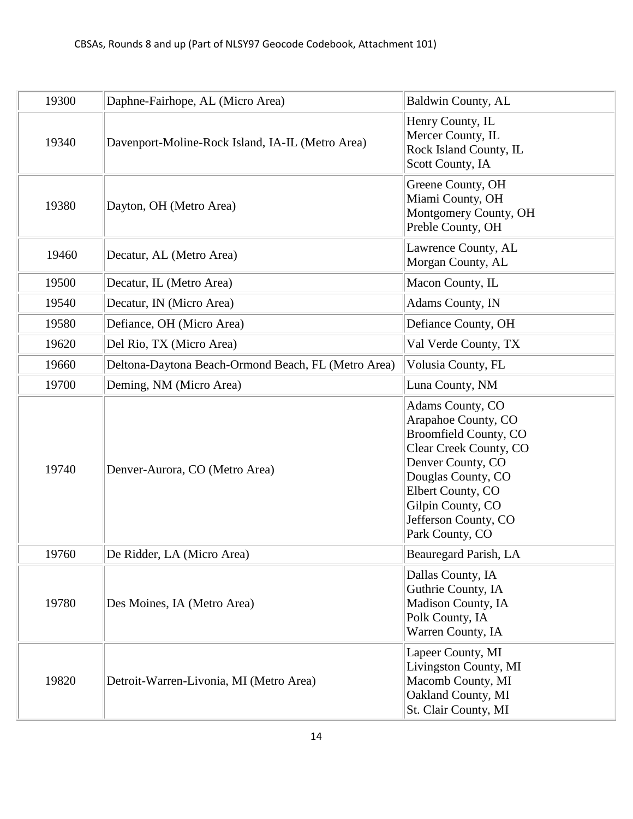| 19300 | Daphne-Fairhope, AL (Micro Area)                    | <b>Baldwin County, AL</b>                                                                                                                                                                                                         |
|-------|-----------------------------------------------------|-----------------------------------------------------------------------------------------------------------------------------------------------------------------------------------------------------------------------------------|
| 19340 | Davenport-Moline-Rock Island, IA-IL (Metro Area)    | Henry County, IL<br>Mercer County, IL<br>Rock Island County, IL<br>Scott County, IA                                                                                                                                               |
| 19380 | Dayton, OH (Metro Area)                             | Greene County, OH<br>Miami County, OH<br>Montgomery County, OH<br>Preble County, OH                                                                                                                                               |
| 19460 | Decatur, AL (Metro Area)                            | Lawrence County, AL<br>Morgan County, AL                                                                                                                                                                                          |
| 19500 | Decatur, IL (Metro Area)                            | Macon County, IL                                                                                                                                                                                                                  |
| 19540 | Decatur, IN (Micro Area)                            | Adams County, IN                                                                                                                                                                                                                  |
| 19580 | Defiance, OH (Micro Area)                           | Defiance County, OH                                                                                                                                                                                                               |
| 19620 | Del Rio, TX (Micro Area)                            | Val Verde County, TX                                                                                                                                                                                                              |
| 19660 | Deltona-Daytona Beach-Ormond Beach, FL (Metro Area) | Volusia County, FL                                                                                                                                                                                                                |
| 19700 | Deming, NM (Micro Area)                             | Luna County, NM                                                                                                                                                                                                                   |
| 19740 | Denver-Aurora, CO (Metro Area)                      | Adams County, CO<br>Arapahoe County, CO<br><b>Broomfield County, CO</b><br>Clear Creek County, CO<br>Denver County, CO<br>Douglas County, CO<br>Elbert County, CO<br>Gilpin County, CO<br>Jefferson County, CO<br>Park County, CO |
| 19760 | De Ridder, LA (Micro Area)                          | <b>Beauregard Parish, LA</b>                                                                                                                                                                                                      |
| 19780 | Des Moines, IA (Metro Area)                         | Dallas County, IA<br>Guthrie County, IA<br>Madison County, IA<br>Polk County, IA<br>Warren County, IA                                                                                                                             |
| 19820 | Detroit-Warren-Livonia, MI (Metro Area)             | Lapeer County, MI<br>Livingston County, MI<br>Macomb County, MI<br>Oakland County, MI<br>St. Clair County, MI                                                                                                                     |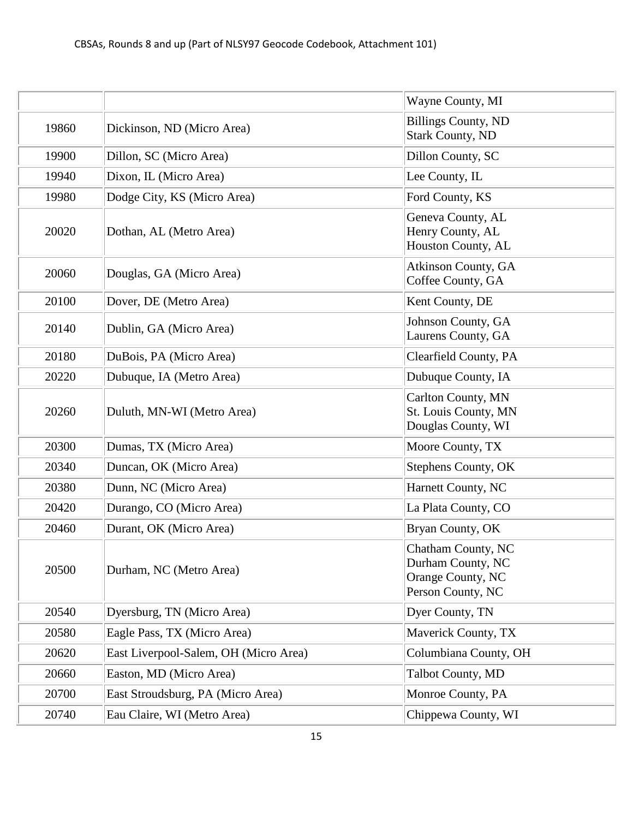|       |                                       | Wayne County, MI                                                                  |
|-------|---------------------------------------|-----------------------------------------------------------------------------------|
| 19860 | Dickinson, ND (Micro Area)            | <b>Billings County, ND</b><br><b>Stark County, ND</b>                             |
| 19900 | Dillon, SC (Micro Area)               | Dillon County, SC                                                                 |
| 19940 | Dixon, IL (Micro Area)                | Lee County, IL                                                                    |
| 19980 | Dodge City, KS (Micro Area)           | Ford County, KS                                                                   |
| 20020 | Dothan, AL (Metro Area)               | Geneva County, AL<br>Henry County, AL<br>Houston County, AL                       |
| 20060 | Douglas, GA (Micro Area)              | Atkinson County, GA<br>Coffee County, GA                                          |
| 20100 | Dover, DE (Metro Area)                | Kent County, DE                                                                   |
| 20140 | Dublin, GA (Micro Area)               | Johnson County, GA<br>Laurens County, GA                                          |
| 20180 | DuBois, PA (Micro Area)               | Clearfield County, PA                                                             |
| 20220 | Dubuque, IA (Metro Area)              | Dubuque County, IA                                                                |
| 20260 | Duluth, MN-WI (Metro Area)            | Carlton County, MN<br>St. Louis County, MN<br>Douglas County, WI                  |
| 20300 | Dumas, TX (Micro Area)                | Moore County, TX                                                                  |
| 20340 | Duncan, OK (Micro Area)               | Stephens County, OK                                                               |
| 20380 | Dunn, NC (Micro Area)                 | Harnett County, NC                                                                |
| 20420 | Durango, CO (Micro Area)              | La Plata County, CO                                                               |
| 20460 | Durant, OK (Micro Area)               | Bryan County, OK                                                                  |
| 20500 | Durham, NC (Metro Area)               | Chatham County, NC<br>Durham County, NC<br>Orange County, NC<br>Person County, NC |
| 20540 | Dyersburg, TN (Micro Area)            | Dyer County, TN                                                                   |
| 20580 | Eagle Pass, TX (Micro Area)           | Maverick County, TX                                                               |
| 20620 | East Liverpool-Salem, OH (Micro Area) | Columbiana County, OH                                                             |
| 20660 | Easton, MD (Micro Area)               | Talbot County, MD                                                                 |
| 20700 | East Stroudsburg, PA (Micro Area)     | Monroe County, PA                                                                 |
| 20740 | Eau Claire, WI (Metro Area)           | Chippewa County, WI                                                               |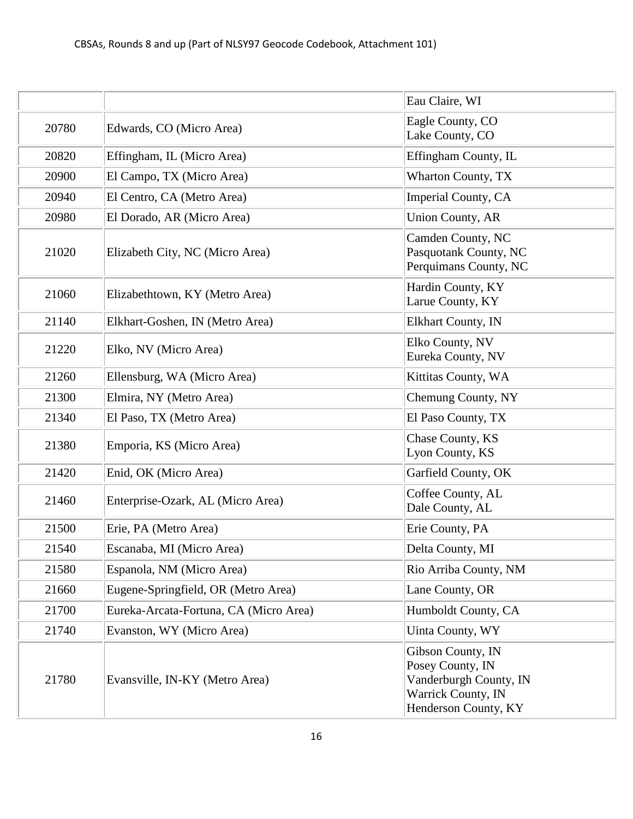|       |                                        | Eau Claire, WI                                                                                                |
|-------|----------------------------------------|---------------------------------------------------------------------------------------------------------------|
| 20780 | Edwards, CO (Micro Area)               | Eagle County, CO<br>Lake County, CO                                                                           |
| 20820 | Effingham, IL (Micro Area)             | Effingham County, IL                                                                                          |
| 20900 | El Campo, TX (Micro Area)              | Wharton County, TX                                                                                            |
| 20940 | El Centro, CA (Metro Area)             | Imperial County, CA                                                                                           |
| 20980 | El Dorado, AR (Micro Area)             | <b>Union County, AR</b>                                                                                       |
| 21020 | Elizabeth City, NC (Micro Area)        | Camden County, NC<br>Pasquotank County, NC<br>Perquimans County, NC                                           |
| 21060 | Elizabethtown, KY (Metro Area)         | Hardin County, KY<br>Larue County, KY                                                                         |
| 21140 | Elkhart-Goshen, IN (Metro Area)        | Elkhart County, IN                                                                                            |
| 21220 | Elko, NV (Micro Area)                  | Elko County, NV<br>Eureka County, NV                                                                          |
| 21260 | Ellensburg, WA (Micro Area)            | Kittitas County, WA                                                                                           |
| 21300 | Elmira, NY (Metro Area)                | Chemung County, NY                                                                                            |
| 21340 | El Paso, TX (Metro Area)               | El Paso County, TX                                                                                            |
| 21380 | Emporia, KS (Micro Area)               | Chase County, KS<br>Lyon County, KS                                                                           |
| 21420 | Enid, OK (Micro Area)                  | Garfield County, OK                                                                                           |
| 21460 | Enterprise-Ozark, AL (Micro Area)      | Coffee County, AL<br>Dale County, AL                                                                          |
| 21500 | Erie, PA (Metro Area)                  | Erie County, PA                                                                                               |
| 21540 | Escanaba, MI (Micro Area)              | Delta County, MI                                                                                              |
| 21580 | Espanola, NM (Micro Area)              | Rio Arriba County, NM                                                                                         |
| 21660 | Eugene-Springfield, OR (Metro Area)    | Lane County, OR                                                                                               |
| 21700 | Eureka-Arcata-Fortuna, CA (Micro Area) | Humboldt County, CA                                                                                           |
| 21740 | Evanston, WY (Micro Area)              | Uinta County, WY                                                                                              |
| 21780 | Evansville, IN-KY (Metro Area)         | Gibson County, IN<br>Posey County, IN<br>Vanderburgh County, IN<br>Warrick County, IN<br>Henderson County, KY |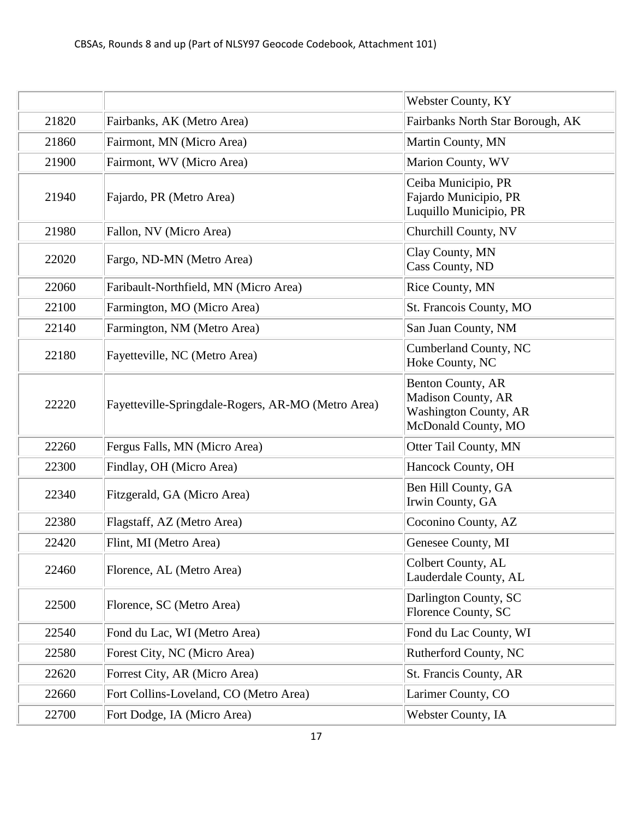|       |                                                    | Webster County, KY                                                                                           |
|-------|----------------------------------------------------|--------------------------------------------------------------------------------------------------------------|
| 21820 | Fairbanks, AK (Metro Area)                         | Fairbanks North Star Borough, AK                                                                             |
| 21860 | Fairmont, MN (Micro Area)                          | Martin County, MN                                                                                            |
| 21900 | Fairmont, WV (Micro Area)                          | Marion County, WV                                                                                            |
| 21940 | Fajardo, PR (Metro Area)                           | Ceiba Municipio, PR<br>Fajardo Municipio, PR<br>Luquillo Municipio, PR                                       |
| 21980 | Fallon, NV (Micro Area)                            | Churchill County, NV                                                                                         |
| 22020 | Fargo, ND-MN (Metro Area)                          | Clay County, MN<br>Cass County, ND                                                                           |
| 22060 | Faribault-Northfield, MN (Micro Area)              | Rice County, MN                                                                                              |
| 22100 | Farmington, MO (Micro Area)                        | St. Francois County, MO                                                                                      |
| 22140 | Farmington, NM (Metro Area)                        | San Juan County, NM                                                                                          |
| 22180 | Fayetteville, NC (Metro Area)                      | Cumberland County, NC<br>Hoke County, NC                                                                     |
| 22220 | Fayetteville-Springdale-Rogers, AR-MO (Metro Area) | <b>Benton County, AR</b><br><b>Madison County, AR</b><br><b>Washington County, AR</b><br>McDonald County, MO |
| 22260 | Fergus Falls, MN (Micro Area)                      | Otter Tail County, MN                                                                                        |
| 22300 | Findlay, OH (Micro Area)                           | Hancock County, OH                                                                                           |
| 22340 | Fitzgerald, GA (Micro Area)                        | Ben Hill County, GA<br>Irwin County, GA                                                                      |
| 22380 | Flagstaff, AZ (Metro Area)                         | Coconino County, AZ                                                                                          |
| 22420 | Flint, MI (Metro Area)                             | Genesee County, MI                                                                                           |
| 22460 | Florence, AL (Metro Area)                          | Colbert County, AL<br>Lauderdale County, AL                                                                  |
| 22500 | Florence, SC (Metro Area)                          | Darlington County, SC<br>Florence County, SC                                                                 |
| 22540 | Fond du Lac, WI (Metro Area)                       | Fond du Lac County, WI                                                                                       |
| 22580 | Forest City, NC (Micro Area)                       | Rutherford County, NC                                                                                        |
| 22620 | Forrest City, AR (Micro Area)                      | St. Francis County, AR                                                                                       |
| 22660 | Fort Collins-Loveland, CO (Metro Area)             | Larimer County, CO                                                                                           |
| 22700 | Fort Dodge, IA (Micro Area)                        | Webster County, IA                                                                                           |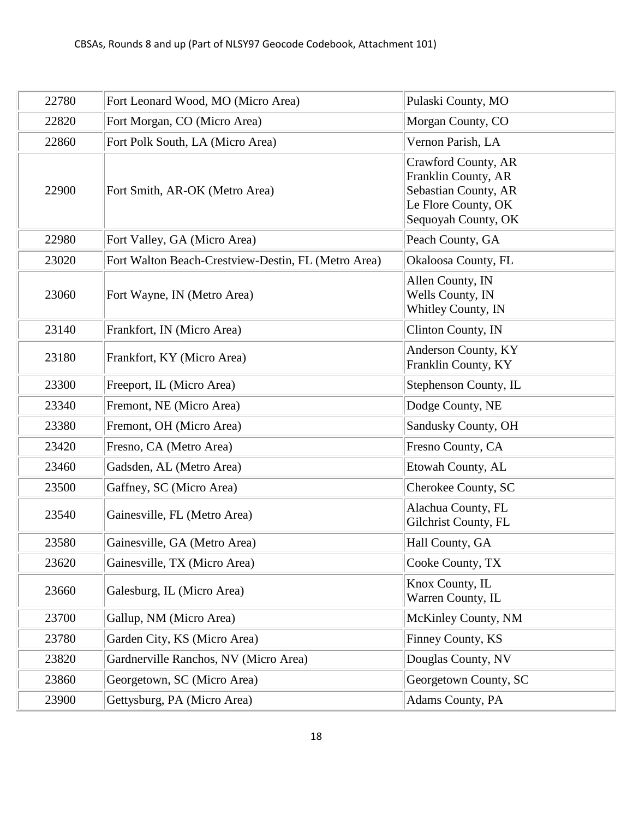| 22780 | Fort Leonard Wood, MO (Micro Area)                  | Pulaski County, MO                                                                                               |
|-------|-----------------------------------------------------|------------------------------------------------------------------------------------------------------------------|
| 22820 | Fort Morgan, CO (Micro Area)                        | Morgan County, CO                                                                                                |
| 22860 | Fort Polk South, LA (Micro Area)                    | Vernon Parish, LA                                                                                                |
| 22900 | Fort Smith, AR-OK (Metro Area)                      | Crawford County, AR<br>Franklin County, AR<br>Sebastian County, AR<br>Le Flore County, OK<br>Sequoyah County, OK |
| 22980 | Fort Valley, GA (Micro Area)                        | Peach County, GA                                                                                                 |
| 23020 | Fort Walton Beach-Crestview-Destin, FL (Metro Area) | Okaloosa County, FL                                                                                              |
| 23060 | Fort Wayne, IN (Metro Area)                         | Allen County, IN<br>Wells County, IN<br>Whitley County, IN                                                       |
| 23140 | Frankfort, IN (Micro Area)                          | Clinton County, IN                                                                                               |
| 23180 | Frankfort, KY (Micro Area)                          | Anderson County, KY<br>Franklin County, KY                                                                       |
| 23300 | Freeport, IL (Micro Area)                           | Stephenson County, IL                                                                                            |
| 23340 | Fremont, NE (Micro Area)                            | Dodge County, NE                                                                                                 |
| 23380 | Fremont, OH (Micro Area)                            | Sandusky County, OH                                                                                              |
| 23420 | Fresno, CA (Metro Area)                             | Fresno County, CA                                                                                                |
| 23460 | Gadsden, AL (Metro Area)                            | Etowah County, AL                                                                                                |
| 23500 | Gaffney, SC (Micro Area)                            | Cherokee County, SC                                                                                              |
| 23540 | Gainesville, FL (Metro Area)                        | Alachua County, FL<br>Gilchrist County, FL                                                                       |
| 23580 | Gainesville, GA (Metro Area)                        | Hall County, GA                                                                                                  |
| 23620 | Gainesville, TX (Micro Area)                        | Cooke County, TX                                                                                                 |
| 23660 | Galesburg, IL (Micro Area)                          | Knox County, IL<br>Warren County, IL                                                                             |
| 23700 | Gallup, NM (Micro Area)                             | McKinley County, NM                                                                                              |
| 23780 | Garden City, KS (Micro Area)                        | Finney County, KS                                                                                                |
| 23820 | Gardnerville Ranchos, NV (Micro Area)               | Douglas County, NV                                                                                               |
| 23860 | Georgetown, SC (Micro Area)                         | Georgetown County, SC                                                                                            |
| 23900 | Gettysburg, PA (Micro Area)                         | Adams County, PA                                                                                                 |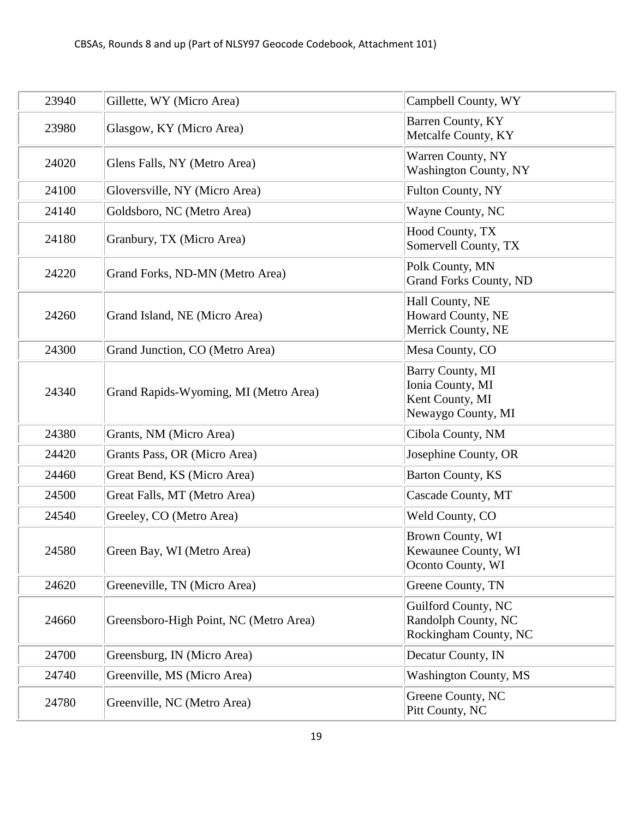| 23940 | Gillette, WY (Micro Area)              | Campbell County, WY                                                           |
|-------|----------------------------------------|-------------------------------------------------------------------------------|
| 23980 | Glasgow, KY (Micro Area)               | Barren County, KY<br>Metcalfe County, KY                                      |
| 24020 | Glens Falls, NY (Metro Area)           | Warren County, NY<br><b>Washington County, NY</b>                             |
| 24100 | Gloversville, NY (Micro Area)          | Fulton County, NY                                                             |
| 24140 | Goldsboro, NC (Metro Area)             | Wayne County, NC                                                              |
| 24180 | Granbury, TX (Micro Area)              | Hood County, TX<br>Somervell County, TX                                       |
| 24220 | Grand Forks, ND-MN (Metro Area)        | Polk County, MN<br><b>Grand Forks County, ND</b>                              |
| 24260 | Grand Island, NE (Micro Area)          | Hall County, NE<br>Howard County, NE<br>Merrick County, NE                    |
| 24300 | Grand Junction, CO (Metro Area)        | Mesa County, CO                                                               |
| 24340 | Grand Rapids-Wyoming, MI (Metro Area)  | Barry County, MI<br>Ionia County, MI<br>Kent County, MI<br>Newaygo County, MI |
| 24380 | Grants, NM (Micro Area)                | Cibola County, NM                                                             |
| 24420 | Grants Pass, OR (Micro Area)           | Josephine County, OR                                                          |
| 24460 | Great Bend, KS (Micro Area)            | Barton County, KS                                                             |
| 24500 | Great Falls, MT (Metro Area)           | Cascade County, MT                                                            |
| 24540 | Greeley, CO (Metro Area)               | Weld County, CO                                                               |
| 24580 | Green Bay, WI (Metro Area)             | Brown County, WI<br>Kewaunee County, WI<br>Oconto County, WI                  |
| 24620 | Greeneville, TN (Micro Area)           | Greene County, TN                                                             |
| 24660 | Greensboro-High Point, NC (Metro Area) | Guilford County, NC<br>Randolph County, NC<br>Rockingham County, NC           |
| 24700 | Greensburg, IN (Micro Area)            | Decatur County, IN                                                            |
| 24740 | Greenville, MS (Micro Area)            | <b>Washington County, MS</b>                                                  |
| 24780 | Greenville, NC (Metro Area)            | Greene County, NC<br>Pitt County, NC                                          |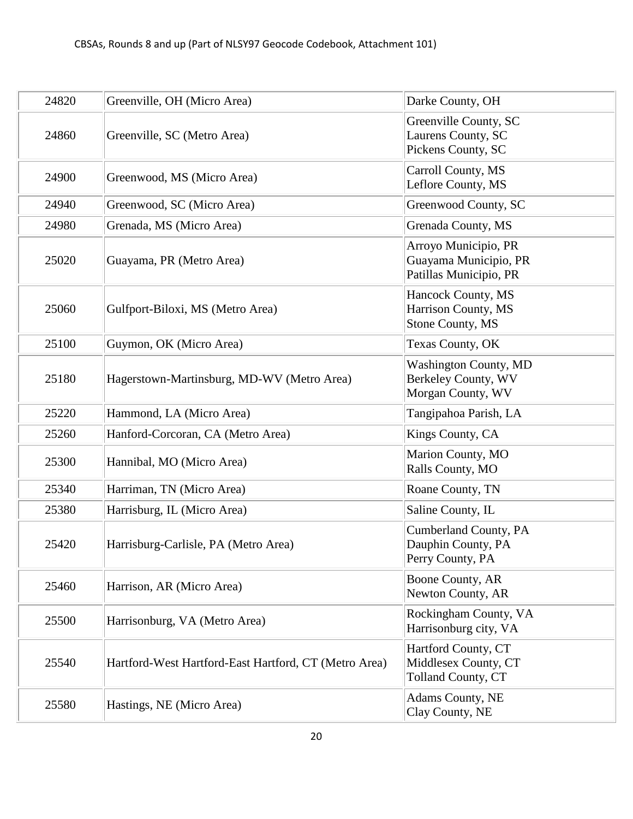| 24820 | Greenville, OH (Micro Area)                           | Darke County, OH                                                         |
|-------|-------------------------------------------------------|--------------------------------------------------------------------------|
| 24860 | Greenville, SC (Metro Area)                           | Greenville County, SC<br>Laurens County, SC<br>Pickens County, SC        |
| 24900 | Greenwood, MS (Micro Area)                            | Carroll County, MS<br>Leflore County, MS                                 |
| 24940 | Greenwood, SC (Micro Area)                            | Greenwood County, SC                                                     |
| 24980 | Grenada, MS (Micro Area)                              | Grenada County, MS                                                       |
| 25020 | Guayama, PR (Metro Area)                              | Arroyo Municipio, PR<br>Guayama Municipio, PR<br>Patillas Municipio, PR  |
| 25060 | Gulfport-Biloxi, MS (Metro Area)                      | Hancock County, MS<br>Harrison County, MS<br>Stone County, MS            |
| 25100 | Guymon, OK (Micro Area)                               | Texas County, OK                                                         |
| 25180 | Hagerstown-Martinsburg, MD-WV (Metro Area)            | <b>Washington County, MD</b><br>Berkeley County, WV<br>Morgan County, WV |
| 25220 | Hammond, LA (Micro Area)                              | Tangipahoa Parish, LA                                                    |
| 25260 | Hanford-Corcoran, CA (Metro Area)                     | Kings County, CA                                                         |
| 25300 | Hannibal, MO (Micro Area)                             | Marion County, MO<br>Ralls County, MO                                    |
| 25340 | Harriman, TN (Micro Area)                             | Roane County, TN                                                         |
| 25380 | Harrisburg, IL (Micro Area)                           | Saline County, IL                                                        |
| 25420 | Harrisburg-Carlisle, PA (Metro Area)                  | Cumberland County, PA<br>Dauphin County, PA<br>Perry County, PA          |
| 25460 | Harrison, AR (Micro Area)                             | Boone County, AR<br>Newton County, AR                                    |
| 25500 | Harrisonburg, VA (Metro Area)                         | Rockingham County, VA<br>Harrisonburg city, VA                           |
| 25540 | Hartford-West Hartford-East Hartford, CT (Metro Area) | Hartford County, CT<br>Middlesex County, CT<br>Tolland County, CT        |
| 25580 | Hastings, NE (Micro Area)                             | Adams County, NE<br>Clay County, NE                                      |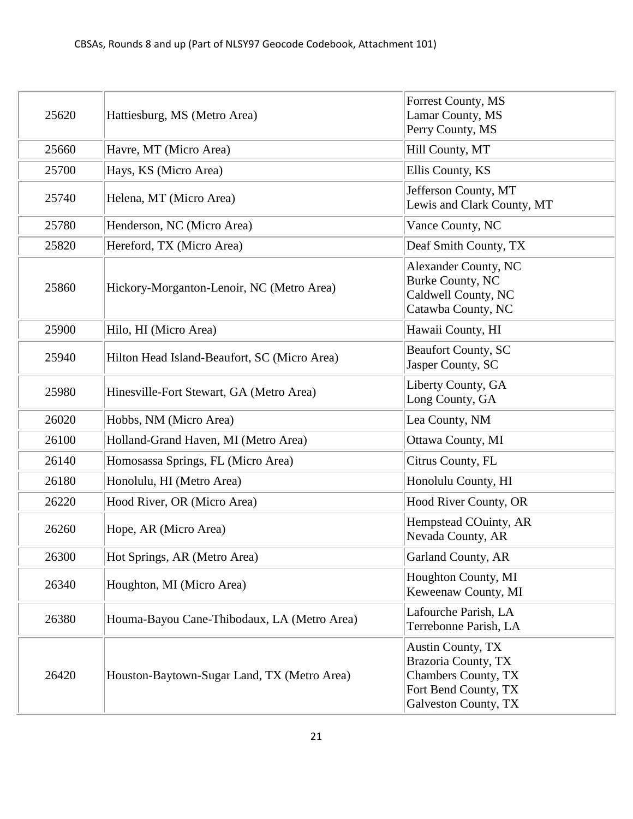| 25620 | Hattiesburg, MS (Metro Area)                 | Forrest County, MS<br>Lamar County, MS<br>Perry County, MS                                                             |
|-------|----------------------------------------------|------------------------------------------------------------------------------------------------------------------------|
| 25660 | Havre, MT (Micro Area)                       | Hill County, MT                                                                                                        |
| 25700 | Hays, KS (Micro Area)                        | Ellis County, KS                                                                                                       |
| 25740 | Helena, MT (Micro Area)                      | Jefferson County, MT<br>Lewis and Clark County, MT                                                                     |
| 25780 | Henderson, NC (Micro Area)                   | Vance County, NC                                                                                                       |
| 25820 | Hereford, TX (Micro Area)                    | Deaf Smith County, TX                                                                                                  |
| 25860 | Hickory-Morganton-Lenoir, NC (Metro Area)    | Alexander County, NC<br>Burke County, NC<br>Caldwell County, NC<br>Catawba County, NC                                  |
| 25900 | Hilo, HI (Micro Area)                        | Hawaii County, HI                                                                                                      |
| 25940 | Hilton Head Island-Beaufort, SC (Micro Area) | <b>Beaufort County, SC</b><br>Jasper County, SC                                                                        |
| 25980 | Hinesville-Fort Stewart, GA (Metro Area)     | Liberty County, GA<br>Long County, GA                                                                                  |
| 26020 | Hobbs, NM (Micro Area)                       | Lea County, NM                                                                                                         |
| 26100 | Holland-Grand Haven, MI (Metro Area)         | Ottawa County, MI                                                                                                      |
| 26140 | Homosassa Springs, FL (Micro Area)           | Citrus County, FL                                                                                                      |
| 26180 | Honolulu, HI (Metro Area)                    | Honolulu County, HI                                                                                                    |
| 26220 | Hood River, OR (Micro Area)                  | Hood River County, OR                                                                                                  |
| 26260 | Hope, AR (Micro Area)                        | Hempstead COuinty, AR<br>Nevada County, AR                                                                             |
| 26300 | Hot Springs, AR (Metro Area)                 | Garland County, AR                                                                                                     |
| 26340 | Houghton, MI (Micro Area)                    | Houghton County, MI<br>Keweenaw County, MI                                                                             |
| 26380 | Houma-Bayou Cane-Thibodaux, LA (Metro Area)  | Lafourche Parish, LA<br>Terrebonne Parish, LA                                                                          |
| 26420 | Houston-Baytown-Sugar Land, TX (Metro Area)  | <b>Austin County, TX</b><br>Brazoria County, TX<br>Chambers County, TX<br>Fort Bend County, TX<br>Galveston County, TX |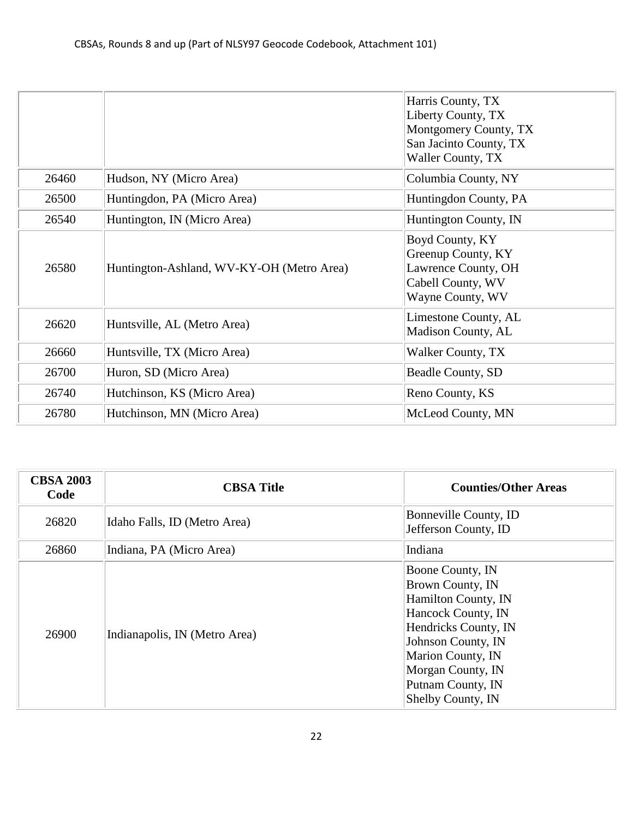|       |                                           | Harris County, TX<br>Liberty County, TX<br>Montgomery County, TX<br>San Jacinto County, TX<br>Waller County, TX |
|-------|-------------------------------------------|-----------------------------------------------------------------------------------------------------------------|
| 26460 | Hudson, NY (Micro Area)                   | Columbia County, NY                                                                                             |
| 26500 | Huntingdon, PA (Micro Area)               | Huntingdon County, PA                                                                                           |
| 26540 | Huntington, IN (Micro Area)               | Huntington County, IN                                                                                           |
| 26580 | Huntington-Ashland, WV-KY-OH (Metro Area) | Boyd County, KY<br>Greenup County, KY<br>Lawrence County, OH<br>Cabell County, WV<br>Wayne County, WV           |
| 26620 | Huntsville, AL (Metro Area)               | Limestone County, AL<br>Madison County, AL                                                                      |
| 26660 | Huntsville, TX (Micro Area)               | Walker County, TX                                                                                               |
| 26700 | Huron, SD (Micro Area)                    | Beadle County, SD                                                                                               |
| 26740 | Hutchinson, KS (Micro Area)               | Reno County, KS                                                                                                 |
| 26780 | Hutchinson, MN (Micro Area)               | McLeod County, MN                                                                                               |

| <b>CBSA 2003</b><br>Code | <b>CBSA Title</b>             | <b>Counties/Other Areas</b>                                                                                                                                                                                         |
|--------------------------|-------------------------------|---------------------------------------------------------------------------------------------------------------------------------------------------------------------------------------------------------------------|
| 26820                    | Idaho Falls, ID (Metro Area)  | Bonneville County, ID<br>Jefferson County, ID                                                                                                                                                                       |
| 26860                    | Indiana, PA (Micro Area)      | Indiana                                                                                                                                                                                                             |
| 26900                    | Indianapolis, IN (Metro Area) | Boone County, IN<br>Brown County, IN<br>Hamilton County, IN<br>Hancock County, IN<br>Hendricks County, IN<br>Johnson County, IN<br>Marion County, IN<br>Morgan County, IN<br>Putnam County, IN<br>Shelby County, IN |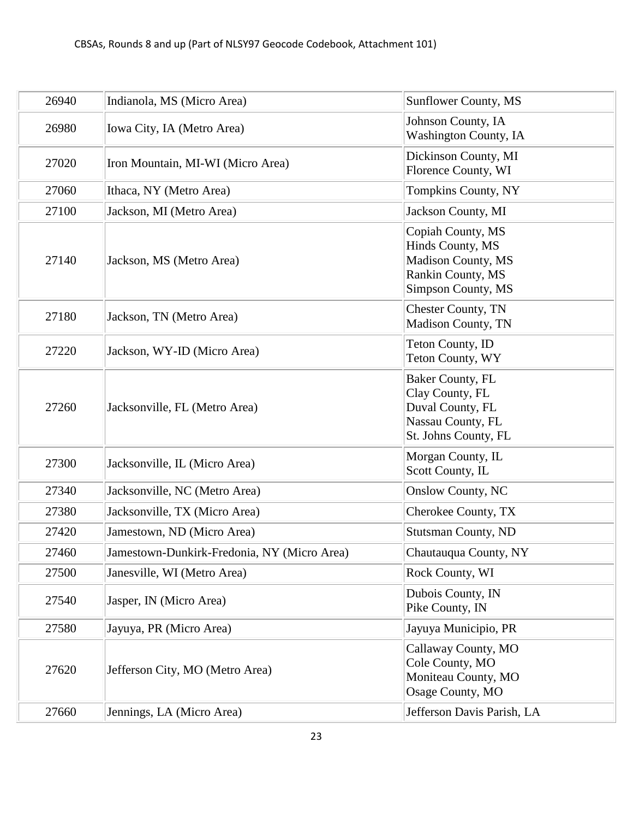| 26940 | Indianola, MS (Micro Area)                  | <b>Sunflower County, MS</b>                                                                                   |
|-------|---------------------------------------------|---------------------------------------------------------------------------------------------------------------|
| 26980 | Iowa City, IA (Metro Area)                  | Johnson County, IA<br><b>Washington County, IA</b>                                                            |
| 27020 | Iron Mountain, MI-WI (Micro Area)           | Dickinson County, MI<br>Florence County, WI                                                                   |
| 27060 | Ithaca, NY (Metro Area)                     | Tompkins County, NY                                                                                           |
| 27100 | Jackson, MI (Metro Area)                    | Jackson County, MI                                                                                            |
| 27140 | Jackson, MS (Metro Area)                    | Copiah County, MS<br>Hinds County, MS<br><b>Madison County, MS</b><br>Rankin County, MS<br>Simpson County, MS |
| 27180 | Jackson, TN (Metro Area)                    | <b>Chester County, TN</b><br>Madison County, TN                                                               |
| 27220 | Jackson, WY-ID (Micro Area)                 | Teton County, ID<br>Teton County, WY                                                                          |
| 27260 | Jacksonville, FL (Metro Area)               | Baker County, FL<br>Clay County, FL<br>Duval County, FL<br>Nassau County, FL<br>St. Johns County, FL          |
| 27300 | Jacksonville, IL (Micro Area)               | Morgan County, IL<br>Scott County, IL                                                                         |
| 27340 | Jacksonville, NC (Metro Area)               | <b>Onslow County, NC</b>                                                                                      |
| 27380 | Jacksonville, TX (Micro Area)               | Cherokee County, TX                                                                                           |
| 27420 | Jamestown, ND (Micro Area)                  | <b>Stutsman County, ND</b>                                                                                    |
| 27460 | Jamestown-Dunkirk-Fredonia, NY (Micro Area) | Chautauqua County, NY                                                                                         |
| 27500 | Janesville, WI (Metro Area)                 | Rock County, WI                                                                                               |
| 27540 | Jasper, IN (Micro Area)                     | Dubois County, IN<br>Pike County, IN                                                                          |
| 27580 | Jayuya, PR (Micro Area)                     | Jayuya Municipio, PR                                                                                          |
| 27620 | Jefferson City, MO (Metro Area)             | Callaway County, MO<br>Cole County, MO<br>Moniteau County, MO<br>Osage County, MO                             |
| 27660 | Jennings, LA (Micro Area)                   | Jefferson Davis Parish, LA                                                                                    |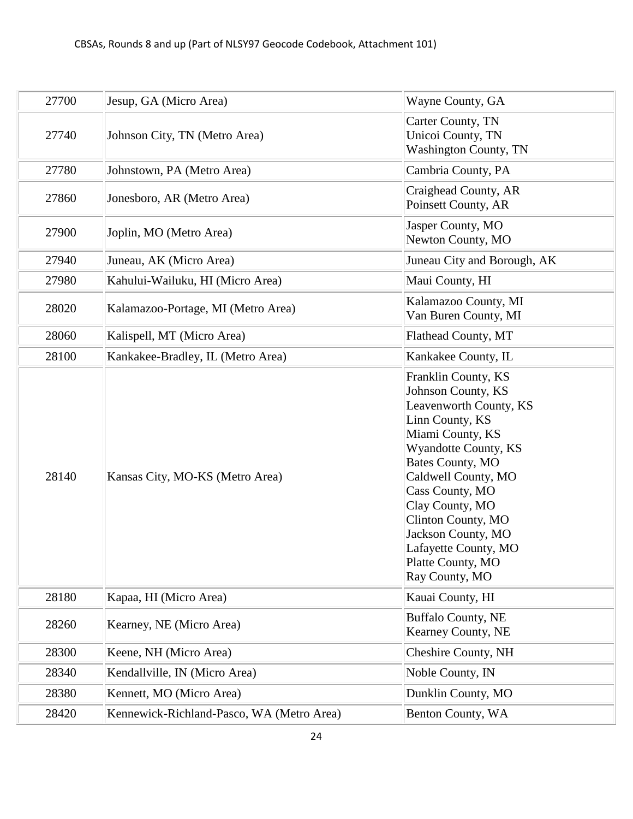| 27700 | Jesup, GA (Micro Area)                    | Wayne County, GA                                                                                                                                                                                                                                                                                                               |
|-------|-------------------------------------------|--------------------------------------------------------------------------------------------------------------------------------------------------------------------------------------------------------------------------------------------------------------------------------------------------------------------------------|
| 27740 | Johnson City, TN (Metro Area)             | Carter County, TN<br>Unicoi County, TN<br><b>Washington County, TN</b>                                                                                                                                                                                                                                                         |
| 27780 | Johnstown, PA (Metro Area)                | Cambria County, PA                                                                                                                                                                                                                                                                                                             |
| 27860 | Jonesboro, AR (Metro Area)                | Craighead County, AR<br>Poinsett County, AR                                                                                                                                                                                                                                                                                    |
| 27900 | Joplin, MO (Metro Area)                   | Jasper County, MO<br>Newton County, MO                                                                                                                                                                                                                                                                                         |
| 27940 | Juneau, AK (Micro Area)                   | Juneau City and Borough, AK                                                                                                                                                                                                                                                                                                    |
| 27980 | Kahului-Wailuku, HI (Micro Area)          | Maui County, HI                                                                                                                                                                                                                                                                                                                |
| 28020 | Kalamazoo-Portage, MI (Metro Area)        | Kalamazoo County, MI<br>Van Buren County, MI                                                                                                                                                                                                                                                                                   |
| 28060 | Kalispell, MT (Micro Area)                | Flathead County, MT                                                                                                                                                                                                                                                                                                            |
| 28100 | Kankakee-Bradley, IL (Metro Area)         | Kankakee County, IL                                                                                                                                                                                                                                                                                                            |
| 28140 | Kansas City, MO-KS (Metro Area)           | Franklin County, KS<br>Johnson County, KS<br>Leavenworth County, KS<br>Linn County, KS<br>Miami County, KS<br>Wyandotte County, KS<br>Bates County, MO<br>Caldwell County, MO<br>Cass County, MO<br>Clay County, MO<br>Clinton County, MO<br>Jackson County, MO<br>Lafayette County, MO<br>Platte County, MO<br>Ray County, MO |
| 28180 | Kapaa, HI (Micro Area)                    | Kauai County, HI                                                                                                                                                                                                                                                                                                               |
| 28260 | Kearney, NE (Micro Area)                  | <b>Buffalo County, NE</b><br>Kearney County, NE                                                                                                                                                                                                                                                                                |
| 28300 | Keene, NH (Micro Area)                    | Cheshire County, NH                                                                                                                                                                                                                                                                                                            |
| 28340 | Kendallville, IN (Micro Area)             | Noble County, IN                                                                                                                                                                                                                                                                                                               |
| 28380 | Kennett, MO (Micro Area)                  | Dunklin County, MO                                                                                                                                                                                                                                                                                                             |
| 28420 | Kennewick-Richland-Pasco, WA (Metro Area) | Benton County, WA                                                                                                                                                                                                                                                                                                              |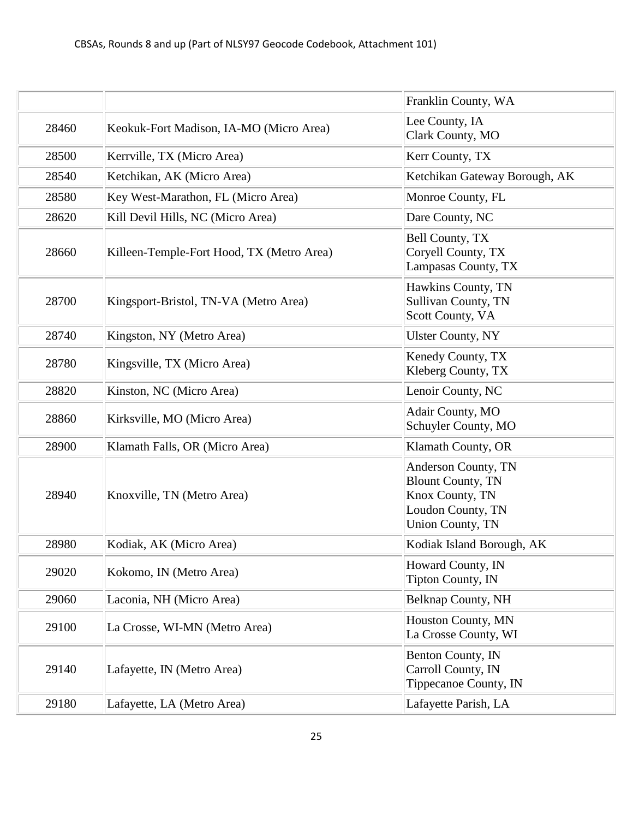|       |                                           | Franklin County, WA                                                                                                |
|-------|-------------------------------------------|--------------------------------------------------------------------------------------------------------------------|
| 28460 | Keokuk-Fort Madison, IA-MO (Micro Area)   | Lee County, IA<br>Clark County, MO                                                                                 |
| 28500 | Kerrville, TX (Micro Area)                | Kerr County, TX                                                                                                    |
| 28540 | Ketchikan, AK (Micro Area)                | Ketchikan Gateway Borough, AK                                                                                      |
| 28580 | Key West-Marathon, FL (Micro Area)        | Monroe County, FL                                                                                                  |
| 28620 | Kill Devil Hills, NC (Micro Area)         | Dare County, NC                                                                                                    |
| 28660 | Killeen-Temple-Fort Hood, TX (Metro Area) | Bell County, TX<br>Coryell County, TX<br>Lampasas County, TX                                                       |
| 28700 | Kingsport-Bristol, TN-VA (Metro Area)     | Hawkins County, TN<br><b>Sullivan County, TN</b><br>Scott County, VA                                               |
| 28740 | Kingston, NY (Metro Area)                 | <b>Ulster County, NY</b>                                                                                           |
| 28780 | Kingsville, TX (Micro Area)               | Kenedy County, TX<br>Kleberg County, TX                                                                            |
| 28820 | Kinston, NC (Micro Area)                  | Lenoir County, NC                                                                                                  |
| 28860 | Kirksville, MO (Micro Area)               | Adair County, MO<br>Schuyler County, MO                                                                            |
| 28900 | Klamath Falls, OR (Micro Area)            | Klamath County, OR                                                                                                 |
| 28940 | Knoxville, TN (Metro Area)                | Anderson County, TN<br><b>Blount County, TN</b><br>Knox County, TN<br>Loudon County, TN<br><b>Union County, TN</b> |
| 28980 | Kodiak, AK (Micro Area)                   | Kodiak Island Borough, AK                                                                                          |
| 29020 | Kokomo, IN (Metro Area)                   | Howard County, IN<br><b>Tipton County, IN</b>                                                                      |
| 29060 | Laconia, NH (Micro Area)                  | Belknap County, NH                                                                                                 |
| 29100 | La Crosse, WI-MN (Metro Area)             | Houston County, MN<br>La Crosse County, WI                                                                         |
| 29140 | Lafayette, IN (Metro Area)                | Benton County, IN<br>Carroll County, IN<br>Tippecanoe County, IN                                                   |
| 29180 | Lafayette, LA (Metro Area)                | Lafayette Parish, LA                                                                                               |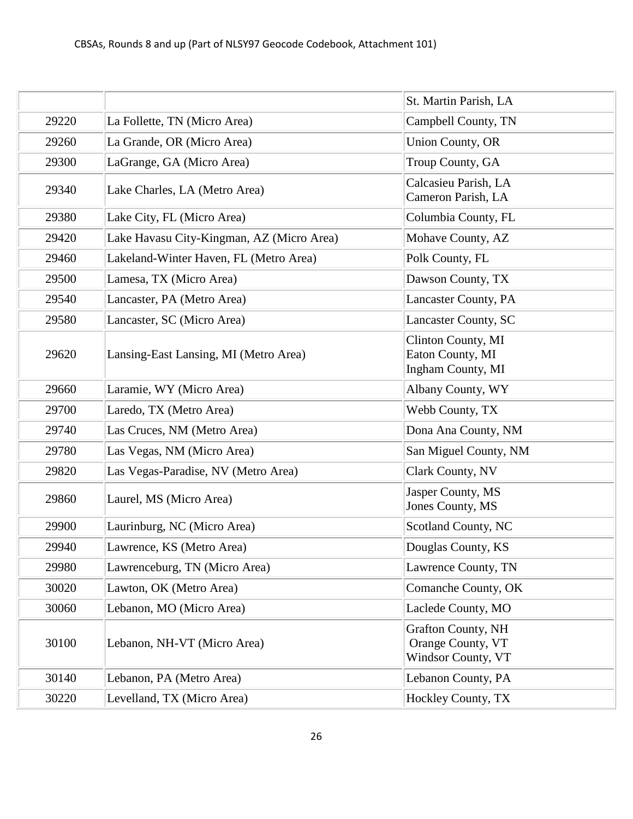|       |                                           | St. Martin Parish, LA                                                |
|-------|-------------------------------------------|----------------------------------------------------------------------|
| 29220 | La Follette, TN (Micro Area)              | Campbell County, TN                                                  |
| 29260 | La Grande, OR (Micro Area)                | <b>Union County, OR</b>                                              |
| 29300 | LaGrange, GA (Micro Area)                 | Troup County, GA                                                     |
| 29340 | Lake Charles, LA (Metro Area)             | Calcasieu Parish, LA<br>Cameron Parish, LA                           |
| 29380 | Lake City, FL (Micro Area)                | Columbia County, FL                                                  |
| 29420 | Lake Havasu City-Kingman, AZ (Micro Area) | Mohave County, AZ                                                    |
| 29460 | Lakeland-Winter Haven, FL (Metro Area)    | Polk County, FL                                                      |
| 29500 | Lamesa, TX (Micro Area)                   | Dawson County, TX                                                    |
| 29540 | Lancaster, PA (Metro Area)                | Lancaster County, PA                                                 |
| 29580 | Lancaster, SC (Micro Area)                | Lancaster County, SC                                                 |
| 29620 | Lansing-East Lansing, MI (Metro Area)     | Clinton County, MI<br>Eaton County, MI<br>Ingham County, MI          |
| 29660 | Laramie, WY (Micro Area)                  | Albany County, WY                                                    |
| 29700 | Laredo, TX (Metro Area)                   | Webb County, TX                                                      |
| 29740 | Las Cruces, NM (Metro Area)               | Dona Ana County, NM                                                  |
| 29780 | Las Vegas, NM (Micro Area)                | San Miguel County, NM                                                |
| 29820 | Las Vegas-Paradise, NV (Metro Area)       | Clark County, NV                                                     |
| 29860 | Laurel, MS (Micro Area)                   | Jasper County, MS<br>Jones County, MS                                |
| 29900 | Laurinburg, NC (Micro Area)               | Scotland County, NC                                                  |
| 29940 | Lawrence, KS (Metro Area)                 | Douglas County, KS                                                   |
| 29980 | Lawrenceburg, TN (Micro Area)             | Lawrence County, TN                                                  |
| 30020 | Lawton, OK (Metro Area)                   | Comanche County, OK                                                  |
| 30060 | Lebanon, MO (Micro Area)                  | Laclede County, MO                                                   |
| 30100 | Lebanon, NH-VT (Micro Area)               | <b>Grafton County, NH</b><br>Orange County, VT<br>Windsor County, VT |
| 30140 | Lebanon, PA (Metro Area)                  | Lebanon County, PA                                                   |
| 30220 | Levelland, TX (Micro Area)                | Hockley County, TX                                                   |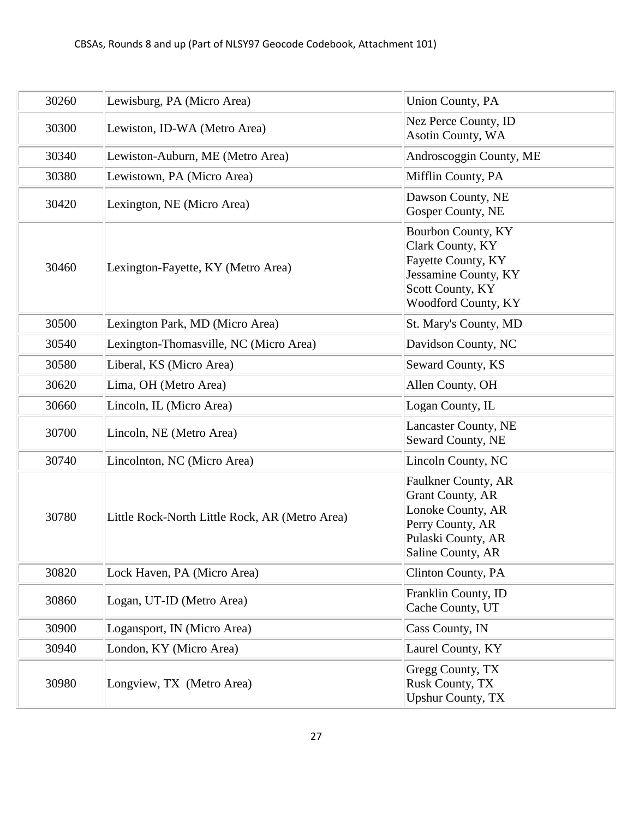| 30260 | Lewisburg, PA (Micro Area)                     | <b>Union County, PA</b>                                                                                                            |
|-------|------------------------------------------------|------------------------------------------------------------------------------------------------------------------------------------|
| 30300 | Lewiston, ID-WA (Metro Area)                   | Nez Perce County, ID<br>Asotin County, WA                                                                                          |
| 30340 | Lewiston-Auburn, ME (Metro Area)               | Androscoggin County, ME                                                                                                            |
| 30380 | Lewistown, PA (Micro Area)                     | Mifflin County, PA                                                                                                                 |
| 30420 | Lexington, NE (Micro Area)                     | Dawson County, NE<br>Gosper County, NE                                                                                             |
| 30460 | Lexington-Fayette, KY (Metro Area)             | Bourbon County, KY<br>Clark County, KY<br>Fayette County, KY<br>Jessamine County, KY<br>Scott County, KY<br>Woodford County, KY    |
| 30500 | Lexington Park, MD (Micro Area)                | St. Mary's County, MD                                                                                                              |
| 30540 | Lexington-Thomasville, NC (Micro Area)         | Davidson County, NC                                                                                                                |
| 30580 | Liberal, KS (Micro Area)                       | Seward County, KS                                                                                                                  |
| 30620 | Lima, OH (Metro Area)                          | Allen County, OH                                                                                                                   |
| 30660 | Lincoln, IL (Micro Area)                       | Logan County, IL                                                                                                                   |
| 30700 | Lincoln, NE (Metro Area)                       | <b>Lancaster County, NE</b><br>Seward County, NE                                                                                   |
| 30740 | Lincolnton, NC (Micro Area)                    | Lincoln County, NC                                                                                                                 |
| 30780 | Little Rock-North Little Rock, AR (Metro Area) | Faulkner County, AR<br><b>Grant County, AR</b><br>Lonoke County, AR<br>Perry County, AR<br>Pulaski County, AR<br>Saline County, AR |
| 30820 | Lock Haven, PA (Micro Area)                    | <b>Clinton County, PA</b>                                                                                                          |
| 30860 | Logan, UT-ID (Metro Area)                      | Franklin County, ID<br>Cache County, UT                                                                                            |
| 30900 | Logansport, IN (Micro Area)                    | Cass County, IN                                                                                                                    |
| 30940 | London, KY (Micro Area)                        | Laurel County, KY                                                                                                                  |
| 30980 | Longview, TX (Metro Area)                      | Gregg County, TX<br>Rusk County, TX<br><b>Upshur County, TX</b>                                                                    |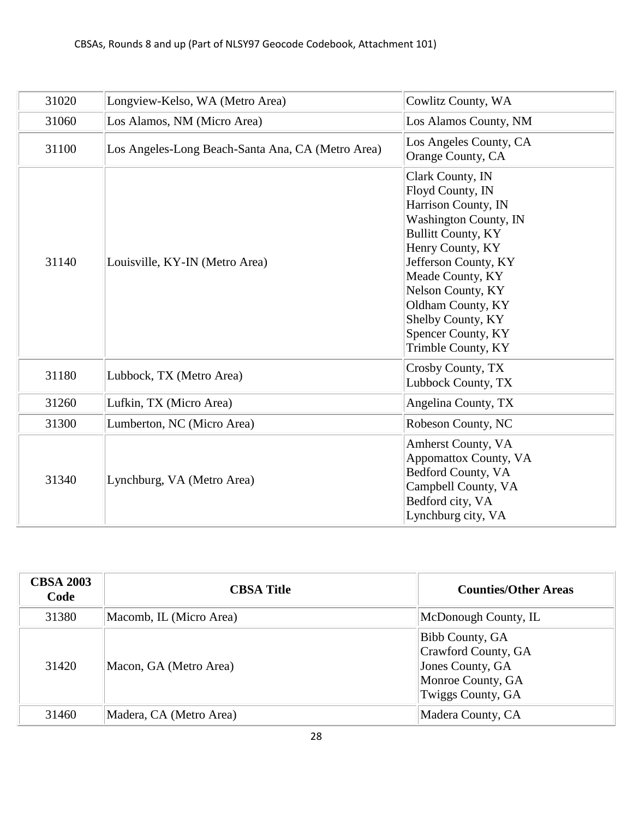| 31020 | Longview-Kelso, WA (Metro Area)                   | Cowlitz County, WA                                                                                                                                                                                                                                                                           |
|-------|---------------------------------------------------|----------------------------------------------------------------------------------------------------------------------------------------------------------------------------------------------------------------------------------------------------------------------------------------------|
| 31060 | Los Alamos, NM (Micro Area)                       | Los Alamos County, NM                                                                                                                                                                                                                                                                        |
| 31100 | Los Angeles-Long Beach-Santa Ana, CA (Metro Area) | Los Angeles County, CA<br>Orange County, CA                                                                                                                                                                                                                                                  |
| 31140 | Louisville, KY-IN (Metro Area)                    | Clark County, IN<br>Floyd County, IN<br>Harrison County, IN<br>Washington County, IN<br><b>Bullitt County, KY</b><br>Henry County, KY<br>Jefferson County, KY<br>Meade County, KY<br>Nelson County, KY<br>Oldham County, KY<br>Shelby County, KY<br>Spencer County, KY<br>Trimble County, KY |
| 31180 | Lubbock, TX (Metro Area)                          | Crosby County, TX<br>Lubbock County, TX                                                                                                                                                                                                                                                      |
| 31260 | Lufkin, TX (Micro Area)                           | Angelina County, TX                                                                                                                                                                                                                                                                          |
| 31300 | Lumberton, NC (Micro Area)                        | Robeson County, NC                                                                                                                                                                                                                                                                           |
| 31340 | Lynchburg, VA (Metro Area)                        | <b>Amherst County, VA</b><br>Appomattox County, VA<br>Bedford County, VA<br>Campbell County, VA<br>Bedford city, VA<br>Lynchburg city, VA                                                                                                                                                    |

| <b>CBSA 2003</b><br>Code | <b>CBSA Title</b>       | <b>Counties/Other Areas</b>                                                                                 |
|--------------------------|-------------------------|-------------------------------------------------------------------------------------------------------------|
| 31380                    | Macomb, IL (Micro Area) | McDonough County, IL                                                                                        |
| 31420                    | Macon, GA (Metro Area)  | <b>Bibb County, GA</b><br>Crawford County, GA<br>Jones County, GA<br>Monroe County, GA<br>Twiggs County, GA |
| 31460                    | Madera, CA (Metro Area) | Madera County, CA                                                                                           |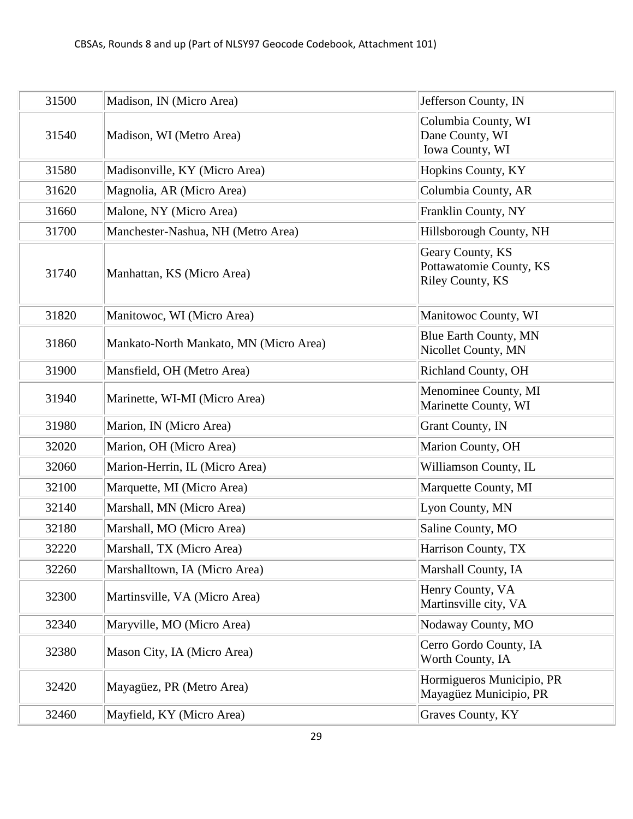| 31500 | Madison, IN (Micro Area)               | Jefferson County, IN                                                   |
|-------|----------------------------------------|------------------------------------------------------------------------|
| 31540 | Madison, WI (Metro Area)               | Columbia County, WI<br>Dane County, WI<br>Iowa County, WI              |
| 31580 | Madisonville, KY (Micro Area)          | Hopkins County, KY                                                     |
| 31620 | Magnolia, AR (Micro Area)              | Columbia County, AR                                                    |
| 31660 | Malone, NY (Micro Area)                | Franklin County, NY                                                    |
| 31700 | Manchester-Nashua, NH (Metro Area)     | Hillsborough County, NH                                                |
| 31740 | Manhattan, KS (Micro Area)             | Geary County, KS<br>Pottawatomie County, KS<br><b>Riley County, KS</b> |
| 31820 | Manitowoc, WI (Micro Area)             | Manitowoc County, WI                                                   |
| 31860 | Mankato-North Mankato, MN (Micro Area) | Blue Earth County, MN<br>Nicollet County, MN                           |
| 31900 | Mansfield, OH (Metro Area)             | <b>Richland County, OH</b>                                             |
| 31940 | Marinette, WI-MI (Micro Area)          | Menominee County, MI<br>Marinette County, WI                           |
| 31980 | Marion, IN (Micro Area)                | <b>Grant County, IN</b>                                                |
| 32020 | Marion, OH (Micro Area)                | Marion County, OH                                                      |
| 32060 | Marion-Herrin, IL (Micro Area)         | Williamson County, IL                                                  |
| 32100 | Marquette, MI (Micro Area)             | Marquette County, MI                                                   |
| 32140 | Marshall, MN (Micro Area)              | Lyon County, MN                                                        |
| 32180 | Marshall, MO (Micro Area)              | Saline County, MO                                                      |
| 32220 | Marshall, TX (Micro Area)              | Harrison County, TX                                                    |
| 32260 | Marshalltown, IA (Micro Area)          | Marshall County, IA                                                    |
| 32300 | Martinsville, VA (Micro Area)          | Henry County, VA<br>Martinsville city, VA                              |
| 32340 | Maryville, MO (Micro Area)             | Nodaway County, MO                                                     |
| 32380 | Mason City, IA (Micro Area)            | Cerro Gordo County, IA<br>Worth County, IA                             |
| 32420 | Mayagüez, PR (Metro Area)              | Hormigueros Municipio, PR<br>Mayagüez Municipio, PR                    |
| 32460 | Mayfield, KY (Micro Area)              | Graves County, KY                                                      |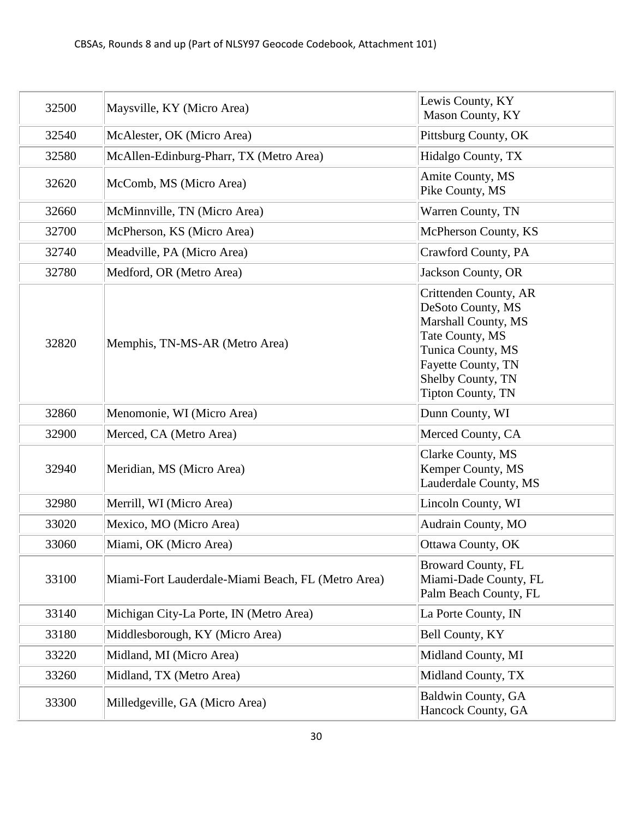| 32500 | Maysville, KY (Micro Area)                         | Lewis County, KY<br>Mason County, KY                                                                                                                                             |
|-------|----------------------------------------------------|----------------------------------------------------------------------------------------------------------------------------------------------------------------------------------|
| 32540 | McAlester, OK (Micro Area)                         | Pittsburg County, OK                                                                                                                                                             |
| 32580 | McAllen-Edinburg-Pharr, TX (Metro Area)            | Hidalgo County, TX                                                                                                                                                               |
| 32620 | McComb, MS (Micro Area)                            | Amite County, MS<br>Pike County, MS                                                                                                                                              |
| 32660 | McMinnville, TN (Micro Area)                       | Warren County, TN                                                                                                                                                                |
| 32700 | McPherson, KS (Micro Area)                         | McPherson County, KS                                                                                                                                                             |
| 32740 | Meadville, PA (Micro Area)                         | Crawford County, PA                                                                                                                                                              |
| 32780 | Medford, OR (Metro Area)                           | Jackson County, OR                                                                                                                                                               |
| 32820 | Memphis, TN-MS-AR (Metro Area)                     | Crittenden County, AR<br>DeSoto County, MS<br>Marshall County, MS<br>Tate County, MS<br>Tunica County, MS<br>Fayette County, TN<br>Shelby County, TN<br><b>Tipton County, TN</b> |
| 32860 | Menomonie, WI (Micro Area)                         | Dunn County, WI                                                                                                                                                                  |
| 32900 | Merced, CA (Metro Area)                            | Merced County, CA                                                                                                                                                                |
| 32940 | Meridian, MS (Micro Area)                          | Clarke County, MS<br>Kemper County, MS<br>Lauderdale County, MS                                                                                                                  |
| 32980 | Merrill, WI (Micro Area)                           | Lincoln County, WI                                                                                                                                                               |
| 33020 | Mexico, MO (Micro Area)                            | Audrain County, MO                                                                                                                                                               |
| 33060 | Miami, OK (Micro Area)                             | Ottawa County, OK                                                                                                                                                                |
| 33100 | Miami-Fort Lauderdale-Miami Beach, FL (Metro Area) | <b>Broward County, FL</b><br>Miami-Dade County, FL<br>Palm Beach County, FL                                                                                                      |
| 33140 | Michigan City-La Porte, IN (Metro Area)            | La Porte County, IN                                                                                                                                                              |
| 33180 | Middlesborough, KY (Micro Area)                    | Bell County, KY                                                                                                                                                                  |
| 33220 | Midland, MI (Micro Area)                           | Midland County, MI                                                                                                                                                               |
| 33260 | Midland, TX (Metro Area)                           | Midland County, TX                                                                                                                                                               |
| 33300 | Milledgeville, GA (Micro Area)                     | Baldwin County, GA<br>Hancock County, GA                                                                                                                                         |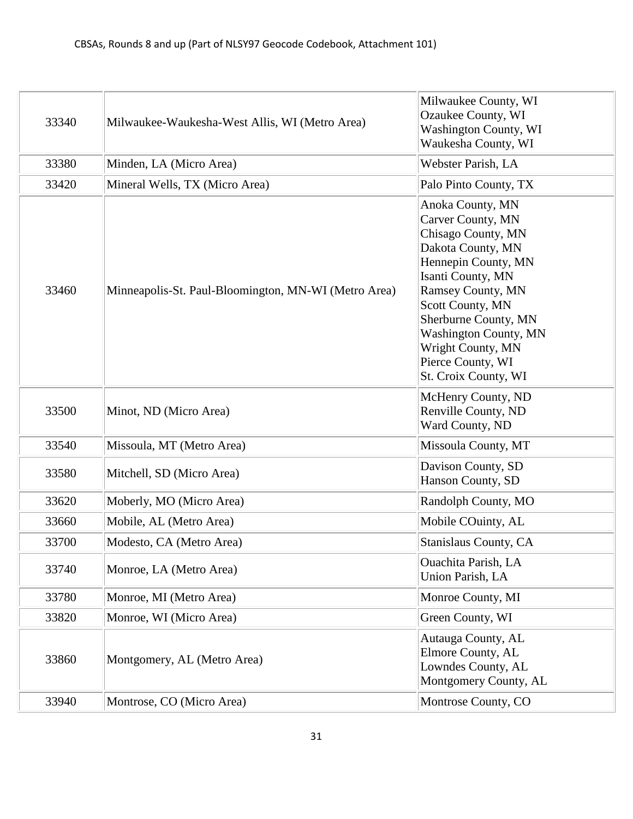| 33340 | Milwaukee-Waukesha-West Allis, WI (Metro Area)       | Milwaukee County, WI<br>Ozaukee County, WI<br><b>Washington County, WI</b><br>Waukesha County, WI                                                                                                                                                                                               |
|-------|------------------------------------------------------|-------------------------------------------------------------------------------------------------------------------------------------------------------------------------------------------------------------------------------------------------------------------------------------------------|
| 33380 | Minden, LA (Micro Area)                              | Webster Parish, LA                                                                                                                                                                                                                                                                              |
| 33420 | Mineral Wells, TX (Micro Area)                       | Palo Pinto County, TX                                                                                                                                                                                                                                                                           |
| 33460 | Minneapolis-St. Paul-Bloomington, MN-WI (Metro Area) | Anoka County, MN<br>Carver County, MN<br>Chisago County, MN<br>Dakota County, MN<br>Hennepin County, MN<br>Isanti County, MN<br>Ramsey County, MN<br>Scott County, MN<br>Sherburne County, MN<br><b>Washington County, MN</b><br>Wright County, MN<br>Pierce County, WI<br>St. Croix County, WI |
| 33500 | Minot, ND (Micro Area)                               | McHenry County, ND<br>Renville County, ND<br>Ward County, ND                                                                                                                                                                                                                                    |
| 33540 | Missoula, MT (Metro Area)                            | Missoula County, MT                                                                                                                                                                                                                                                                             |
| 33580 | Mitchell, SD (Micro Area)                            | Davison County, SD<br>Hanson County, SD                                                                                                                                                                                                                                                         |
| 33620 | Moberly, MO (Micro Area)                             | Randolph County, MO                                                                                                                                                                                                                                                                             |
| 33660 | Mobile, AL (Metro Area)                              | Mobile COuinty, AL                                                                                                                                                                                                                                                                              |
| 33700 | Modesto, CA (Metro Area)                             | Stanislaus County, CA                                                                                                                                                                                                                                                                           |
| 33740 | Monroe, LA (Metro Area)                              | <b>Ouachita Parish, LA</b><br>Union Parish, LA                                                                                                                                                                                                                                                  |
| 33780 | Monroe, MI (Metro Area)                              | Monroe County, MI                                                                                                                                                                                                                                                                               |
| 33820 | Monroe, WI (Micro Area)                              | Green County, WI                                                                                                                                                                                                                                                                                |
| 33860 | Montgomery, AL (Metro Area)                          | Autauga County, AL<br>Elmore County, AL<br>Lowndes County, AL<br>Montgomery County, AL                                                                                                                                                                                                          |
| 33940 | Montrose, CO (Micro Area)                            | Montrose County, CO                                                                                                                                                                                                                                                                             |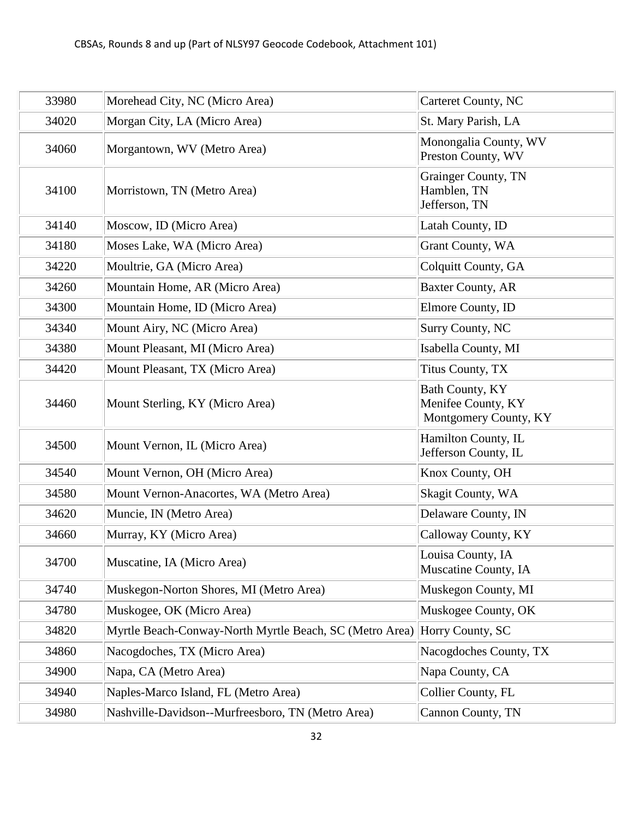| 33980 | Morehead City, NC (Micro Area)                          | <b>Carteret County, NC</b>                                     |
|-------|---------------------------------------------------------|----------------------------------------------------------------|
| 34020 | Morgan City, LA (Micro Area)                            | St. Mary Parish, LA                                            |
| 34060 | Morgantown, WV (Metro Area)                             | Monongalia County, WV<br>Preston County, WV                    |
| 34100 | Morristown, TN (Metro Area)                             | Grainger County, TN<br>Hamblen, TN<br>Jefferson, TN            |
| 34140 | Moscow, ID (Micro Area)                                 | Latah County, ID                                               |
| 34180 | Moses Lake, WA (Micro Area)                             | Grant County, WA                                               |
| 34220 | Moultrie, GA (Micro Area)                               | Colquitt County, GA                                            |
| 34260 | Mountain Home, AR (Micro Area)                          | <b>Baxter County, AR</b>                                       |
| 34300 | Mountain Home, ID (Micro Area)                          | Elmore County, ID                                              |
| 34340 | Mount Airy, NC (Micro Area)                             | <b>Surry County, NC</b>                                        |
| 34380 | Mount Pleasant, MI (Micro Area)                         | Isabella County, MI                                            |
| 34420 | Mount Pleasant, TX (Micro Area)                         | Titus County, TX                                               |
| 34460 | Mount Sterling, KY (Micro Area)                         | Bath County, KY<br>Menifee County, KY<br>Montgomery County, KY |
| 34500 | Mount Vernon, IL (Micro Area)                           | Hamilton County, IL<br>Jefferson County, IL                    |
| 34540 | Mount Vernon, OH (Micro Area)                           | Knox County, OH                                                |
| 34580 | Mount Vernon-Anacortes, WA (Metro Area)                 | Skagit County, WA                                              |
| 34620 | Muncie, IN (Metro Area)                                 | Delaware County, IN                                            |
| 34660 | Murray, KY (Micro Area)                                 | Calloway County, KY                                            |
| 34700 | Muscatine, IA (Micro Area)                              | Louisa County, IA<br>Muscatine County, IA                      |
| 34740 | Muskegon-Norton Shores, MI (Metro Area)                 | Muskegon County, MI                                            |
| 34780 | Muskogee, OK (Micro Area)                               | Muskogee County, OK                                            |
| 34820 | Myrtle Beach-Conway-North Myrtle Beach, SC (Metro Area) | Horry County, SC                                               |
| 34860 | Nacogdoches, TX (Micro Area)                            | Nacogdoches County, TX                                         |
| 34900 | Napa, CA (Metro Area)                                   | Napa County, CA                                                |
| 34940 | Naples-Marco Island, FL (Metro Area)                    | Collier County, FL                                             |
| 34980 | Nashville-Davidson--Murfreesboro, TN (Metro Area)       | Cannon County, TN                                              |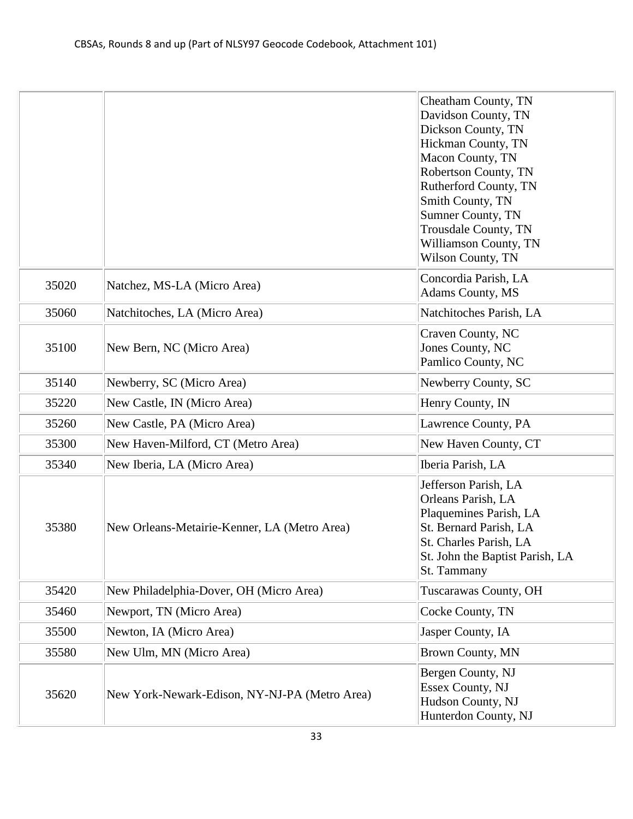|       |                                               | Cheatham County, TN<br>Davidson County, TN<br>Dickson County, TN<br>Hickman County, TN<br>Macon County, TN<br>Robertson County, TN<br>Rutherford County, TN<br>Smith County, TN |
|-------|-----------------------------------------------|---------------------------------------------------------------------------------------------------------------------------------------------------------------------------------|
|       |                                               | <b>Sumner County, TN</b><br>Trousdale County, TN<br>Williamson County, TN<br><b>Wilson County, TN</b>                                                                           |
| 35020 | Natchez, MS-LA (Micro Area)                   | Concordia Parish, LA<br>Adams County, MS                                                                                                                                        |
| 35060 | Natchitoches, LA (Micro Area)                 | Natchitoches Parish, LA                                                                                                                                                         |
| 35100 | New Bern, NC (Micro Area)                     | Craven County, NC<br>Jones County, NC<br>Pamlico County, NC                                                                                                                     |
| 35140 | Newberry, SC (Micro Area)                     | Newberry County, SC                                                                                                                                                             |
| 35220 | New Castle, IN (Micro Area)                   | Henry County, IN                                                                                                                                                                |
| 35260 | New Castle, PA (Micro Area)                   | Lawrence County, PA                                                                                                                                                             |
| 35300 | New Haven-Milford, CT (Metro Area)            | New Haven County, CT                                                                                                                                                            |
| 35340 | New Iberia, LA (Micro Area)                   | Iberia Parish, LA                                                                                                                                                               |
| 35380 | New Orleans-Metairie-Kenner, LA (Metro Area)  | Jefferson Parish, LA<br>Orleans Parish, LA<br>Plaquemines Parish, LA<br>St. Bernard Parish, LA<br>St. Charles Parish, LA<br>St. John the Baptist Parish, LA<br>St. Tammany      |
| 35420 | New Philadelphia-Dover, OH (Micro Area)       | Tuscarawas County, OH                                                                                                                                                           |
| 35460 | Newport, TN (Micro Area)                      | Cocke County, TN                                                                                                                                                                |
| 35500 | Newton, IA (Micro Area)                       | Jasper County, IA                                                                                                                                                               |
| 35580 | New Ulm, MN (Micro Area)                      | Brown County, MN                                                                                                                                                                |
| 35620 | New York-Newark-Edison, NY-NJ-PA (Metro Area) | Bergen County, NJ<br>Essex County, NJ<br>Hudson County, NJ<br>Hunterdon County, NJ                                                                                              |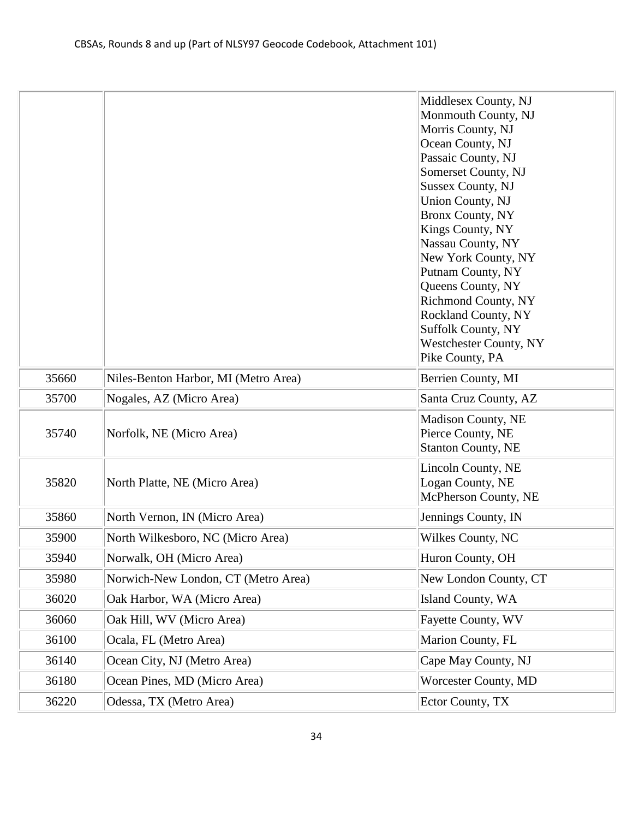|       |                                      | Middlesex County, NJ                            |
|-------|--------------------------------------|-------------------------------------------------|
|       |                                      | Monmouth County, NJ                             |
|       |                                      | Morris County, NJ                               |
|       |                                      | Ocean County, NJ                                |
|       |                                      | Passaic County, NJ                              |
|       |                                      | Somerset County, NJ                             |
|       |                                      | <b>Sussex County, NJ</b>                        |
|       |                                      | <b>Union County, NJ</b>                         |
|       |                                      | <b>Bronx County, NY</b>                         |
|       |                                      | Kings County, NY                                |
|       |                                      | Nassau County, NY                               |
|       |                                      | New York County, NY                             |
|       |                                      | Putnam County, NY                               |
|       |                                      | Queens County, NY<br><b>Richmond County, NY</b> |
|       |                                      | Rockland County, NY                             |
|       |                                      | <b>Suffolk County, NY</b>                       |
|       |                                      | <b>Westchester County, NY</b>                   |
|       |                                      | Pike County, PA                                 |
| 35660 | Niles-Benton Harbor, MI (Metro Area) | Berrien County, MI                              |
| 35700 | Nogales, AZ (Micro Area)             | Santa Cruz County, AZ                           |
|       |                                      | <b>Madison County, NE</b>                       |
| 35740 | Norfolk, NE (Micro Area)             | Pierce County, NE                               |
|       |                                      | <b>Stanton County, NE</b>                       |
|       |                                      |                                                 |
|       |                                      | Lincoln County, NE                              |
| 35820 | North Platte, NE (Micro Area)        | Logan County, NE<br>McPherson County, NE        |
|       |                                      |                                                 |
| 35860 | North Vernon, IN (Micro Area)        | Jennings County, IN                             |
| 35900 | North Wilkesboro, NC (Micro Area)    | Wilkes County, NC                               |
| 35940 | Norwalk, OH (Micro Area)             | Huron County, OH                                |
| 35980 | Norwich-New London, CT (Metro Area)  | New London County, CT                           |
| 36020 | Oak Harbor, WA (Micro Area)          | Island County, WA                               |
| 36060 | Oak Hill, WV (Micro Area)            | Fayette County, WV                              |
| 36100 | Ocala, FL (Metro Area)               | Marion County, FL                               |
| 36140 | Ocean City, NJ (Metro Area)          | Cape May County, NJ                             |
| 36180 | Ocean Pines, MD (Micro Area)         | Worcester County, MD                            |
| 36220 | Odessa, TX (Metro Area)              | Ector County, TX                                |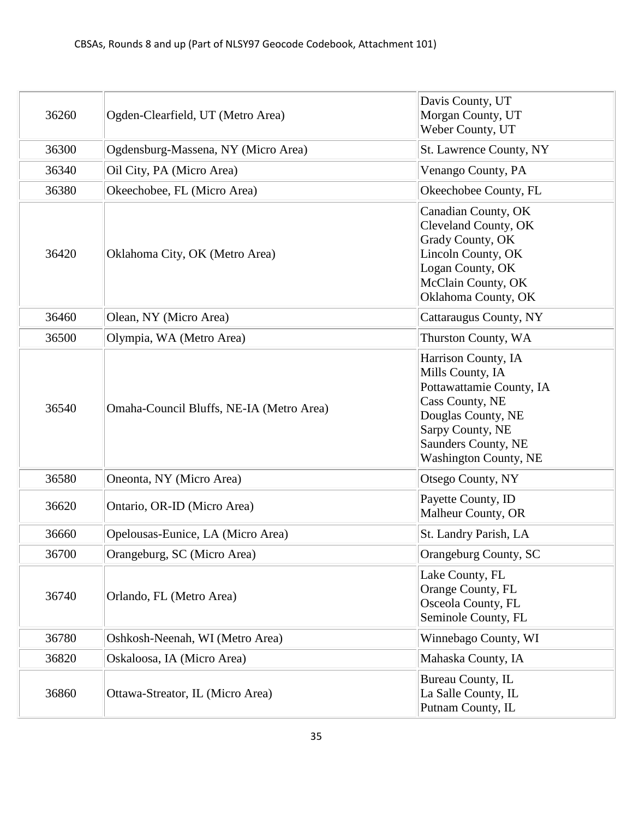| 36260 | Ogden-Clearfield, UT (Metro Area)        | Davis County, UT<br>Morgan County, UT<br>Weber County, UT                                                                                                                               |
|-------|------------------------------------------|-----------------------------------------------------------------------------------------------------------------------------------------------------------------------------------------|
| 36300 | Ogdensburg-Massena, NY (Micro Area)      | St. Lawrence County, NY                                                                                                                                                                 |
| 36340 | Oil City, PA (Micro Area)                | Venango County, PA                                                                                                                                                                      |
| 36380 | Okeechobee, FL (Micro Area)              | Okeechobee County, FL                                                                                                                                                                   |
| 36420 | Oklahoma City, OK (Metro Area)           | Canadian County, OK<br>Cleveland County, OK<br>Grady County, OK<br>Lincoln County, OK<br>Logan County, OK<br>McClain County, OK<br>Oklahoma County, OK                                  |
| 36460 | Olean, NY (Micro Area)                   | Cattaraugus County, NY                                                                                                                                                                  |
| 36500 | Olympia, WA (Metro Area)                 | Thurston County, WA                                                                                                                                                                     |
| 36540 | Omaha-Council Bluffs, NE-IA (Metro Area) | Harrison County, IA<br>Mills County, IA<br>Pottawattamie County, IA<br>Cass County, NE<br>Douglas County, NE<br>Sarpy County, NE<br>Saunders County, NE<br><b>Washington County, NE</b> |
| 36580 | Oneonta, NY (Micro Area)                 | Otsego County, NY                                                                                                                                                                       |
| 36620 | Ontario, OR-ID (Micro Area)              | Payette County, ID<br>Malheur County, OR                                                                                                                                                |
| 36660 | Opelousas-Eunice, LA (Micro Area)        | St. Landry Parish, LA                                                                                                                                                                   |
| 36700 | Orangeburg, SC (Micro Area)              | Orangeburg County, SC                                                                                                                                                                   |
| 36740 | Orlando, FL (Metro Area)                 | Lake County, FL<br>Orange County, FL<br>Osceola County, FL<br>Seminole County, FL                                                                                                       |
| 36780 | Oshkosh-Neenah, WI (Metro Area)          | Winnebago County, WI                                                                                                                                                                    |
| 36820 | Oskaloosa, IA (Micro Area)               | Mahaska County, IA                                                                                                                                                                      |
| 36860 | Ottawa-Streator, IL (Micro Area)         | Bureau County, IL<br>La Salle County, IL<br>Putnam County, IL                                                                                                                           |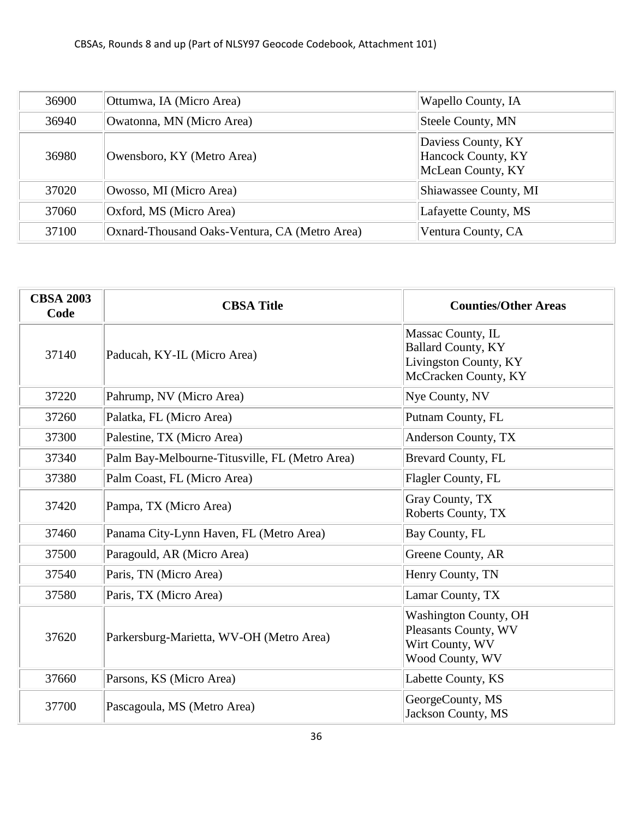| 36900 | Ottumwa, IA (Micro Area)                      | Wapello County, IA                                            |
|-------|-----------------------------------------------|---------------------------------------------------------------|
| 36940 | Owatonna, MN (Micro Area)                     | Steele County, MN                                             |
| 36980 | Owensboro, KY (Metro Area)                    | Daviess County, KY<br>Hancock County, KY<br>McLean County, KY |
| 37020 | Owosso, MI (Micro Area)                       | Shiawassee County, MI                                         |
| 37060 | Oxford, MS (Micro Area)                       | Lafayette County, MS                                          |
| 37100 | Oxnard-Thousand Oaks-Ventura, CA (Metro Area) | Ventura County, CA                                            |

| <b>CBSA 2003</b><br>Code | <b>CBSA Title</b>                              | <b>Counties/Other Areas</b>                                                                     |
|--------------------------|------------------------------------------------|-------------------------------------------------------------------------------------------------|
| 37140                    | Paducah, KY-IL (Micro Area)                    | Massac County, IL<br><b>Ballard County, KY</b><br>Livingston County, KY<br>McCracken County, KY |
| 37220                    | Pahrump, NV (Micro Area)                       | Nye County, NV                                                                                  |
| 37260                    | Palatka, FL (Micro Area)                       | Putnam County, FL                                                                               |
| 37300                    | Palestine, TX (Micro Area)                     | Anderson County, TX                                                                             |
| 37340                    | Palm Bay-Melbourne-Titusville, FL (Metro Area) | <b>Brevard County, FL</b>                                                                       |
| 37380                    | Palm Coast, FL (Micro Area)                    | Flagler County, FL                                                                              |
| 37420                    | Pampa, TX (Micro Area)                         | Gray County, TX<br>Roberts County, TX                                                           |
| 37460                    | Panama City-Lynn Haven, FL (Metro Area)        | Bay County, FL                                                                                  |
| 37500                    | Paragould, AR (Micro Area)                     | Greene County, AR                                                                               |
| 37540                    | Paris, TN (Micro Area)                         | Henry County, TN                                                                                |
| 37580                    | Paris, TX (Micro Area)                         | Lamar County, TX                                                                                |
| 37620                    | Parkersburg-Marietta, WV-OH (Metro Area)       | <b>Washington County, OH</b><br>Pleasants County, WV<br>Wirt County, WV<br>Wood County, WV      |
| 37660                    | Parsons, KS (Micro Area)                       | Labette County, KS                                                                              |
| 37700                    | Pascagoula, MS (Metro Area)                    | GeorgeCounty, MS<br>Jackson County, MS                                                          |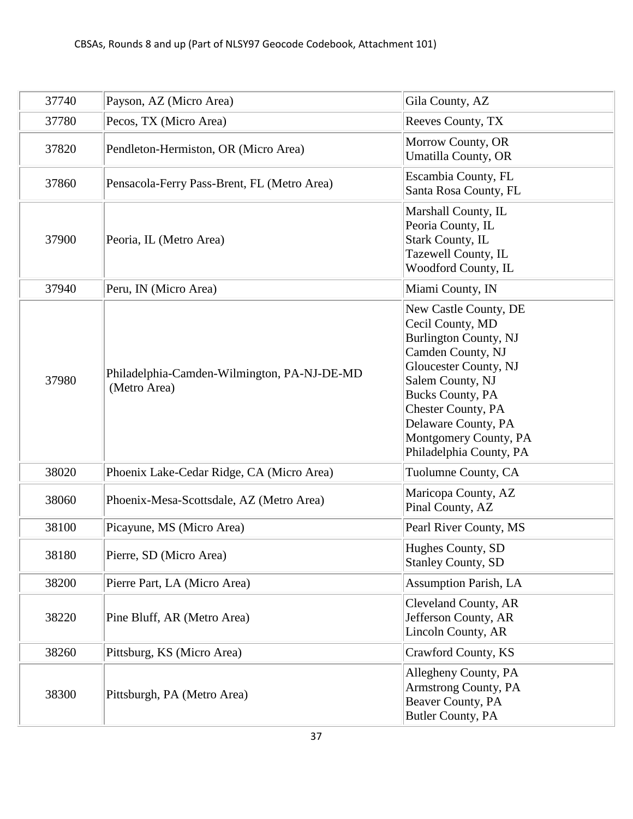| 37740 | Payson, AZ (Micro Area)                                     | Gila County, AZ                                                                                                                                                                                                                                                                       |
|-------|-------------------------------------------------------------|---------------------------------------------------------------------------------------------------------------------------------------------------------------------------------------------------------------------------------------------------------------------------------------|
| 37780 | Pecos, TX (Micro Area)                                      | Reeves County, TX                                                                                                                                                                                                                                                                     |
| 37820 | Pendleton-Hermiston, OR (Micro Area)                        | Morrow County, OR<br><b>Umatilla County, OR</b>                                                                                                                                                                                                                                       |
| 37860 | Pensacola-Ferry Pass-Brent, FL (Metro Area)                 | Escambia County, FL<br>Santa Rosa County, FL                                                                                                                                                                                                                                          |
| 37900 | Peoria, IL (Metro Area)                                     | Marshall County, IL<br>Peoria County, IL<br><b>Stark County, IL</b><br>Tazewell County, IL<br>Woodford County, IL                                                                                                                                                                     |
| 37940 | Peru, IN (Micro Area)                                       | Miami County, IN                                                                                                                                                                                                                                                                      |
| 37980 | Philadelphia-Camden-Wilmington, PA-NJ-DE-MD<br>(Metro Area) | New Castle County, DE<br>Cecil County, MD<br><b>Burlington County, NJ</b><br>Camden County, NJ<br><b>Gloucester County, NJ</b><br>Salem County, NJ<br><b>Bucks County, PA</b><br><b>Chester County, PA</b><br>Delaware County, PA<br>Montgomery County, PA<br>Philadelphia County, PA |
| 38020 | Phoenix Lake-Cedar Ridge, CA (Micro Area)                   | Tuolumne County, CA                                                                                                                                                                                                                                                                   |
| 38060 | Phoenix-Mesa-Scottsdale, AZ (Metro Area)                    | Maricopa County, AZ<br>Pinal County, AZ                                                                                                                                                                                                                                               |
| 38100 | Picayune, MS (Micro Area)                                   | Pearl River County, MS                                                                                                                                                                                                                                                                |
| 38180 | Pierre, SD (Micro Area)                                     | Hughes County, SD<br><b>Stanley County, SD</b>                                                                                                                                                                                                                                        |
| 38200 | Pierre Part, LA (Micro Area)                                | <b>Assumption Parish, LA</b>                                                                                                                                                                                                                                                          |
| 38220 | Pine Bluff, AR (Metro Area)                                 | Cleveland County, AR<br>Jefferson County, AR<br>Lincoln County, AR                                                                                                                                                                                                                    |
| 38260 | Pittsburg, KS (Micro Area)                                  | Crawford County, KS                                                                                                                                                                                                                                                                   |
| 38300 | Pittsburgh, PA (Metro Area)                                 | Allegheny County, PA<br>Armstrong County, PA<br>Beaver County, PA<br>Butler County, PA                                                                                                                                                                                                |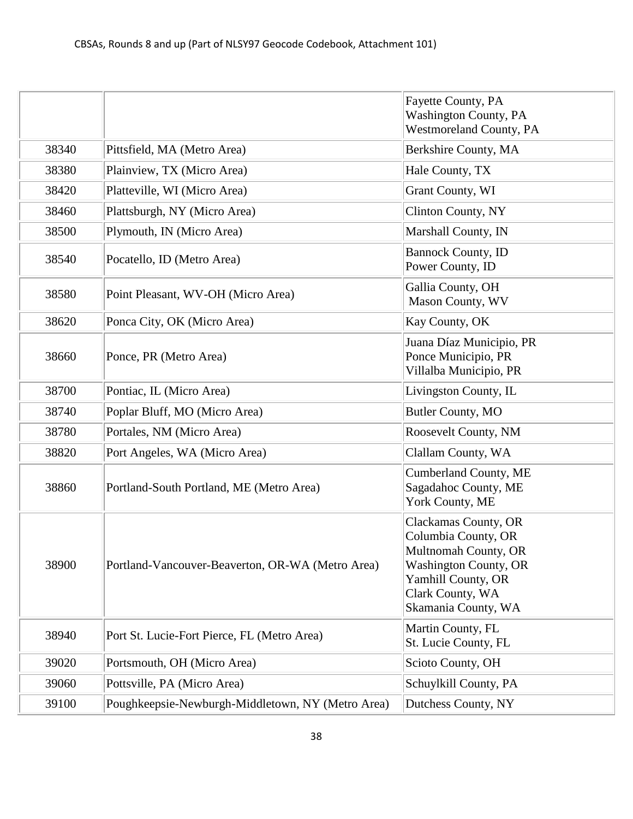|       |                                                   | <b>Fayette County, PA</b><br><b>Washington County, PA</b><br>Westmoreland County, PA                                                                                 |
|-------|---------------------------------------------------|----------------------------------------------------------------------------------------------------------------------------------------------------------------------|
| 38340 | Pittsfield, MA (Metro Area)                       | Berkshire County, MA                                                                                                                                                 |
| 38380 | Plainview, TX (Micro Area)                        | Hale County, TX                                                                                                                                                      |
| 38420 | Platteville, WI (Micro Area)                      | Grant County, WI                                                                                                                                                     |
| 38460 | Plattsburgh, NY (Micro Area)                      | <b>Clinton County, NY</b>                                                                                                                                            |
| 38500 | Plymouth, IN (Micro Area)                         | Marshall County, IN                                                                                                                                                  |
| 38540 | Pocatello, ID (Metro Area)                        | <b>Bannock County, ID</b><br>Power County, ID                                                                                                                        |
| 38580 | Point Pleasant, WV-OH (Micro Area)                | Gallia County, OH<br>Mason County, WV                                                                                                                                |
| 38620 | Ponca City, OK (Micro Area)                       | Kay County, OK                                                                                                                                                       |
| 38660 | Ponce, PR (Metro Area)                            | Juana Díaz Municipio, PR<br>Ponce Municipio, PR<br>Villalba Municipio, PR                                                                                            |
| 38700 | Pontiac, IL (Micro Area)                          | Livingston County, IL                                                                                                                                                |
| 38740 | Poplar Bluff, MO (Micro Area)                     | Butler County, MO                                                                                                                                                    |
| 38780 | Portales, NM (Micro Area)                         | Roosevelt County, NM                                                                                                                                                 |
| 38820 | Port Angeles, WA (Micro Area)                     | Clallam County, WA                                                                                                                                                   |
| 38860 | Portland-South Portland, ME (Metro Area)          | <b>Cumberland County, ME</b><br>Sagadahoc County, ME<br>York County, ME                                                                                              |
| 38900 | Portland-Vancouver-Beaverton, OR-WA (Metro Area)  | Clackamas County, OR<br>Columbia County, OR<br>Multnomah County, OR<br><b>Washington County, OR</b><br>Yamhill County, OR<br>Clark County, WA<br>Skamania County, WA |
| 38940 | Port St. Lucie-Fort Pierce, FL (Metro Area)       | Martin County, FL<br>St. Lucie County, FL                                                                                                                            |
| 39020 | Portsmouth, OH (Micro Area)                       | Scioto County, OH                                                                                                                                                    |
| 39060 | Pottsville, PA (Micro Area)                       | Schuylkill County, PA                                                                                                                                                |
| 39100 | Poughkeepsie-Newburgh-Middletown, NY (Metro Area) | Dutchess County, NY                                                                                                                                                  |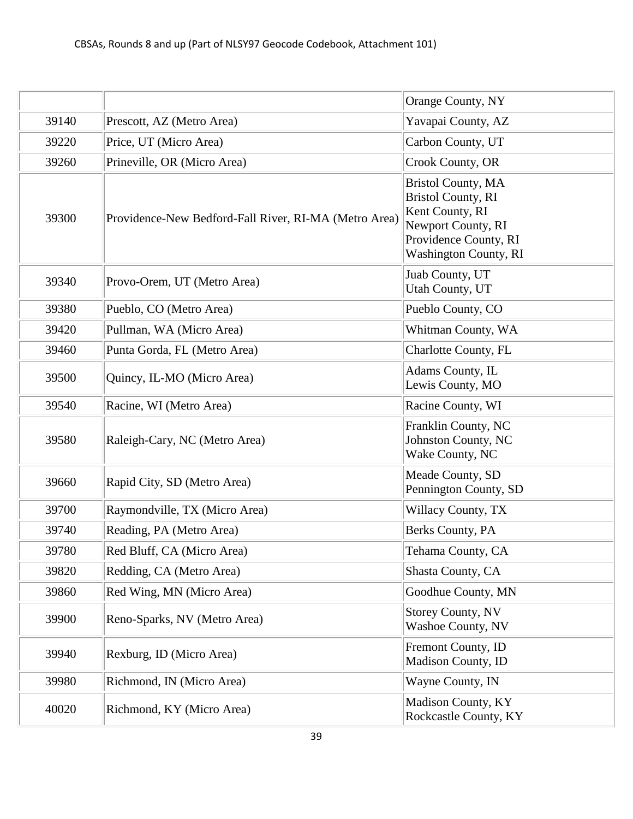|       |                                                       | Orange County, NY                                                                                                                                        |
|-------|-------------------------------------------------------|----------------------------------------------------------------------------------------------------------------------------------------------------------|
| 39140 | Prescott, AZ (Metro Area)                             | Yavapai County, AZ                                                                                                                                       |
| 39220 | Price, UT (Micro Area)                                | Carbon County, UT                                                                                                                                        |
| 39260 | Prineville, OR (Micro Area)                           | Crook County, OR                                                                                                                                         |
| 39300 | Providence-New Bedford-Fall River, RI-MA (Metro Area) | <b>Bristol County, MA</b><br><b>Bristol County, RI</b><br>Kent County, RI<br>Newport County, RI<br>Providence County, RI<br><b>Washington County, RI</b> |
| 39340 | Provo-Orem, UT (Metro Area)                           | Juab County, UT<br>Utah County, UT                                                                                                                       |
| 39380 | Pueblo, CO (Metro Area)                               | Pueblo County, CO                                                                                                                                        |
| 39420 | Pullman, WA (Micro Area)                              | Whitman County, WA                                                                                                                                       |
| 39460 | Punta Gorda, FL (Metro Area)                          | Charlotte County, FL                                                                                                                                     |
| 39500 | Quincy, IL-MO (Micro Area)                            | Adams County, IL<br>Lewis County, MO                                                                                                                     |
| 39540 | Racine, WI (Metro Area)                               | Racine County, WI                                                                                                                                        |
| 39580 | Raleigh-Cary, NC (Metro Area)                         | Franklin County, NC<br>Johnston County, NC<br>Wake County, NC                                                                                            |
| 39660 | Rapid City, SD (Metro Area)                           | Meade County, SD<br>Pennington County, SD                                                                                                                |
| 39700 | Raymondville, TX (Micro Area)                         | Willacy County, TX                                                                                                                                       |
| 39740 | Reading, PA (Metro Area)                              | Berks County, PA                                                                                                                                         |
| 39780 | Red Bluff, CA (Micro Area)                            | Tehama County, CA                                                                                                                                        |
| 39820 | Redding, CA (Metro Area)                              | Shasta County, CA                                                                                                                                        |
| 39860 | Red Wing, MN (Micro Area)                             | Goodhue County, MN                                                                                                                                       |
| 39900 | Reno-Sparks, NV (Metro Area)                          | <b>Storey County, NV</b><br><b>Washoe County, NV</b>                                                                                                     |
| 39940 | Rexburg, ID (Micro Area)                              | Fremont County, ID<br>Madison County, ID                                                                                                                 |
| 39980 | Richmond, IN (Micro Area)                             | Wayne County, IN                                                                                                                                         |
| 40020 | Richmond, KY (Micro Area)                             | Madison County, KY<br>Rockcastle County, KY                                                                                                              |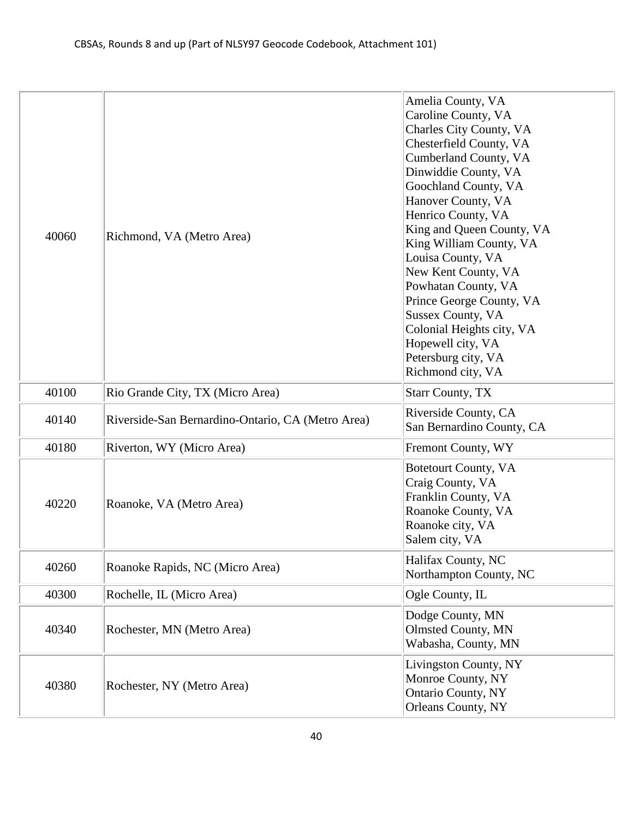| 40060 | Richmond, VA (Metro Area)                         | Amelia County, VA<br>Caroline County, VA<br>Charles City County, VA<br>Chesterfield County, VA<br>Cumberland County, VA<br>Dinwiddie County, VA<br>Goochland County, VA<br>Hanover County, VA<br>Henrico County, VA<br>King and Queen County, VA<br>King William County, VA<br>Louisa County, VA<br>New Kent County, VA<br>Powhatan County, VA<br>Prince George County, VA<br><b>Sussex County, VA</b><br>Colonial Heights city, VA<br>Hopewell city, VA<br>Petersburg city, VA<br>Richmond city, VA |
|-------|---------------------------------------------------|------------------------------------------------------------------------------------------------------------------------------------------------------------------------------------------------------------------------------------------------------------------------------------------------------------------------------------------------------------------------------------------------------------------------------------------------------------------------------------------------------|
| 40100 | Rio Grande City, TX (Micro Area)                  | <b>Starr County, TX</b>                                                                                                                                                                                                                                                                                                                                                                                                                                                                              |
| 40140 | Riverside-San Bernardino-Ontario, CA (Metro Area) | Riverside County, CA<br>San Bernardino County, CA                                                                                                                                                                                                                                                                                                                                                                                                                                                    |
| 40180 | Riverton, WY (Micro Area)                         | Fremont County, WY                                                                                                                                                                                                                                                                                                                                                                                                                                                                                   |
| 40220 | Roanoke, VA (Metro Area)                          | <b>Botetourt County, VA</b><br>Craig County, VA<br>Franklin County, VA<br>Roanoke County, VA<br>Roanoke city, VA<br>Salem city, VA                                                                                                                                                                                                                                                                                                                                                                   |
| 40260 | Roanoke Rapids, NC (Micro Area)                   | Halifax County, NC<br>Northampton County, NC                                                                                                                                                                                                                                                                                                                                                                                                                                                         |
| 40300 | Rochelle, IL (Micro Area)                         | Ogle County, IL                                                                                                                                                                                                                                                                                                                                                                                                                                                                                      |
| 40340 | Rochester, MN (Metro Area)                        | Dodge County, MN<br><b>Olmsted County, MN</b><br>Wabasha, County, MN                                                                                                                                                                                                                                                                                                                                                                                                                                 |
| 40380 | Rochester, NY (Metro Area)                        | Livingston County, NY<br>Monroe County, NY<br><b>Ontario County, NY</b><br>Orleans County, NY                                                                                                                                                                                                                                                                                                                                                                                                        |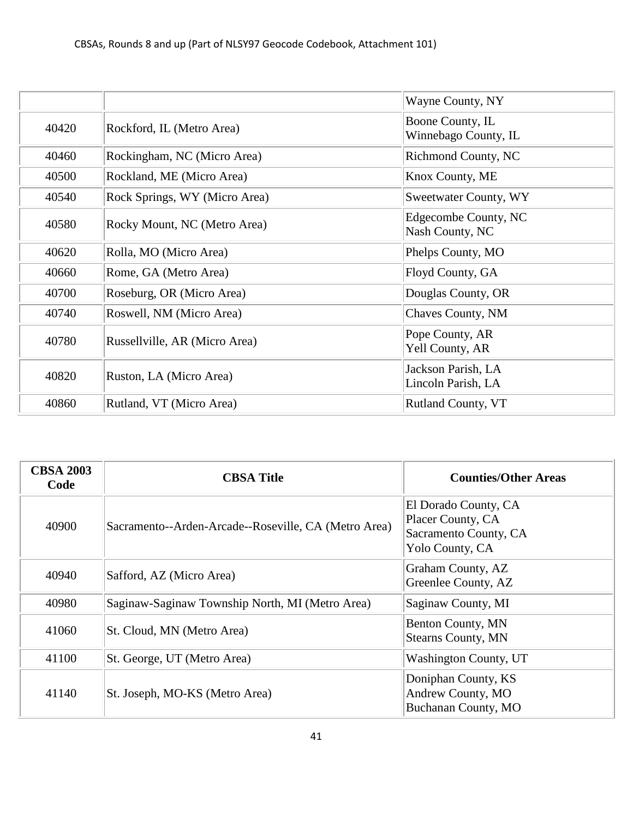|       |                               | Wayne County, NY                          |
|-------|-------------------------------|-------------------------------------------|
| 40420 | Rockford, IL (Metro Area)     | Boone County, IL<br>Winnebago County, IL  |
| 40460 | Rockingham, NC (Micro Area)   | <b>Richmond County, NC</b>                |
| 40500 | Rockland, ME (Micro Area)     | Knox County, ME                           |
| 40540 | Rock Springs, WY (Micro Area) | Sweetwater County, WY                     |
| 40580 | Rocky Mount, NC (Metro Area)  | Edgecombe County, NC<br>Nash County, NC   |
| 40620 | Rolla, MO (Micro Area)        | Phelps County, MO                         |
| 40660 | Rome, GA (Metro Area)         | Floyd County, GA                          |
| 40700 | Roseburg, OR (Micro Area)     | Douglas County, OR                        |
| 40740 | Roswell, NM (Micro Area)      | Chaves County, NM                         |
| 40780 | Russellville, AR (Micro Area) | Pope County, AR<br><b>Yell County, AR</b> |
| 40820 | Ruston, LA (Micro Area)       | Jackson Parish, LA<br>Lincoln Parish, LA  |
| 40860 | Rutland, VT (Micro Area)      | <b>Rutland County, VT</b>                 |

| <b>CBSA 2003</b><br>Code | <b>CBSA Title</b>                                    | <b>Counties/Other Areas</b>                                                           |
|--------------------------|------------------------------------------------------|---------------------------------------------------------------------------------------|
| 40900                    | Sacramento--Arden-Arcade--Roseville, CA (Metro Area) | El Dorado County, CA<br>Placer County, CA<br>Sacramento County, CA<br>Yolo County, CA |
| 40940                    | Safford, AZ (Micro Area)                             | Graham County, AZ<br>Greenlee County, AZ                                              |
| 40980                    | Saginaw-Saginaw Township North, MI (Metro Area)      | Saginaw County, MI                                                                    |
| 41060                    | St. Cloud, MN (Metro Area)                           | Benton County, MN<br><b>Stearns County, MN</b>                                        |
| 41100                    | St. George, UT (Metro Area)                          | Washington County, UT                                                                 |
| 41140                    | St. Joseph, MO-KS (Metro Area)                       | Doniphan County, KS<br>Andrew County, MO<br>Buchanan County, MO                       |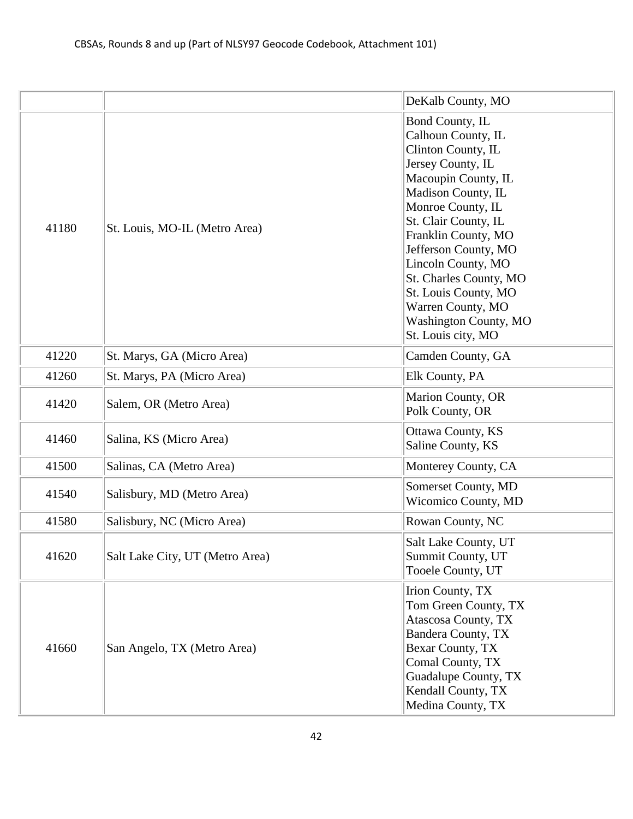|       |                                 | DeKalb County, MO                                                                                                                                                                                                                                                                                                                                                            |
|-------|---------------------------------|------------------------------------------------------------------------------------------------------------------------------------------------------------------------------------------------------------------------------------------------------------------------------------------------------------------------------------------------------------------------------|
| 41180 | St. Louis, MO-IL (Metro Area)   | Bond County, IL<br>Calhoun County, IL<br>Clinton County, IL<br>Jersey County, IL<br>Macoupin County, IL<br>Madison County, IL<br>Monroe County, IL<br>St. Clair County, IL<br>Franklin County, MO<br>Jefferson County, MO<br>Lincoln County, MO<br>St. Charles County, MO<br>St. Louis County, MO<br>Warren County, MO<br><b>Washington County, MO</b><br>St. Louis city, MO |
| 41220 | St. Marys, GA (Micro Area)      | Camden County, GA                                                                                                                                                                                                                                                                                                                                                            |
| 41260 | St. Marys, PA (Micro Area)      | Elk County, PA                                                                                                                                                                                                                                                                                                                                                               |
| 41420 | Salem, OR (Metro Area)          | Marion County, OR<br>Polk County, OR                                                                                                                                                                                                                                                                                                                                         |
| 41460 | Salina, KS (Micro Area)         | <b>Ottawa County, KS</b><br>Saline County, KS                                                                                                                                                                                                                                                                                                                                |
| 41500 | Salinas, CA (Metro Area)        | Monterey County, CA                                                                                                                                                                                                                                                                                                                                                          |
| 41540 | Salisbury, MD (Metro Area)      | Somerset County, MD<br>Wicomico County, MD                                                                                                                                                                                                                                                                                                                                   |
| 41580 | Salisbury, NC (Micro Area)      | Rowan County, NC                                                                                                                                                                                                                                                                                                                                                             |
| 41620 | Salt Lake City, UT (Metro Area) | Salt Lake County, UT<br>Summit County, UT<br>Tooele County, UT                                                                                                                                                                                                                                                                                                               |
| 41660 | San Angelo, TX (Metro Area)     | Irion County, TX<br>Tom Green County, TX<br>Atascosa County, TX<br>Bandera County, TX<br>Bexar County, TX<br>Comal County, TX<br>Guadalupe County, TX<br>Kendall County, TX<br>Medina County, TX                                                                                                                                                                             |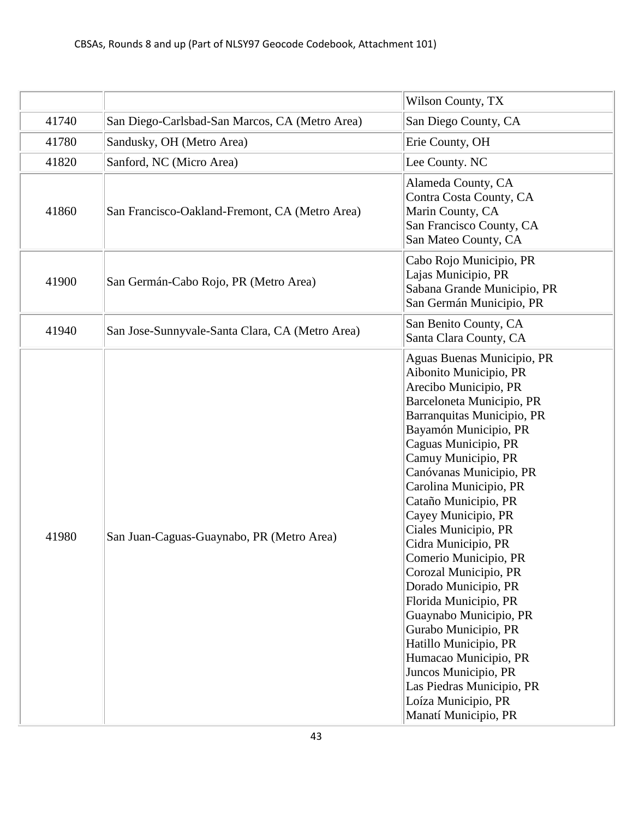|       |                                                 | Wilson County, TX                                                                                                                                                                                                                                                                                                                                                                                                                                                                                                                                                                                                                                                              |
|-------|-------------------------------------------------|--------------------------------------------------------------------------------------------------------------------------------------------------------------------------------------------------------------------------------------------------------------------------------------------------------------------------------------------------------------------------------------------------------------------------------------------------------------------------------------------------------------------------------------------------------------------------------------------------------------------------------------------------------------------------------|
| 41740 | San Diego-Carlsbad-San Marcos, CA (Metro Area)  | San Diego County, CA                                                                                                                                                                                                                                                                                                                                                                                                                                                                                                                                                                                                                                                           |
| 41780 | Sandusky, OH (Metro Area)                       | Erie County, OH                                                                                                                                                                                                                                                                                                                                                                                                                                                                                                                                                                                                                                                                |
| 41820 | Sanford, NC (Micro Area)                        | Lee County. NC                                                                                                                                                                                                                                                                                                                                                                                                                                                                                                                                                                                                                                                                 |
| 41860 | San Francisco-Oakland-Fremont, CA (Metro Area)  | Alameda County, CA<br>Contra Costa County, CA<br>Marin County, CA<br>San Francisco County, CA<br>San Mateo County, CA                                                                                                                                                                                                                                                                                                                                                                                                                                                                                                                                                          |
| 41900 | San Germán-Cabo Rojo, PR (Metro Area)           | Cabo Rojo Municipio, PR<br>Lajas Municipio, PR<br>Sabana Grande Municipio, PR<br>San Germán Municipio, PR                                                                                                                                                                                                                                                                                                                                                                                                                                                                                                                                                                      |
| 41940 | San Jose-Sunnyvale-Santa Clara, CA (Metro Area) | San Benito County, CA<br>Santa Clara County, CA                                                                                                                                                                                                                                                                                                                                                                                                                                                                                                                                                                                                                                |
| 41980 | San Juan-Caguas-Guaynabo, PR (Metro Area)       | Aguas Buenas Municipio, PR<br>Aibonito Municipio, PR<br>Arecibo Municipio, PR<br>Barceloneta Municipio, PR<br>Barranquitas Municipio, PR<br>Bayamón Municipio, PR<br>Caguas Municipio, PR<br>Camuy Municipio, PR<br>Canóvanas Municipio, PR<br>Carolina Municipio, PR<br>Cataño Municipio, PR<br>Cayey Municipio, PR<br>Ciales Municipio, PR<br>Cidra Municipio, PR<br>Comerio Municipio, PR<br>Corozal Municipio, PR<br>Dorado Municipio, PR<br>Florida Municipio, PR<br>Guaynabo Municipio, PR<br>Gurabo Municipio, PR<br>Hatillo Municipio, PR<br>Humacao Municipio, PR<br>Juncos Municipio, PR<br>Las Piedras Municipio, PR<br>Loíza Municipio, PR<br>Manatí Municipio, PR |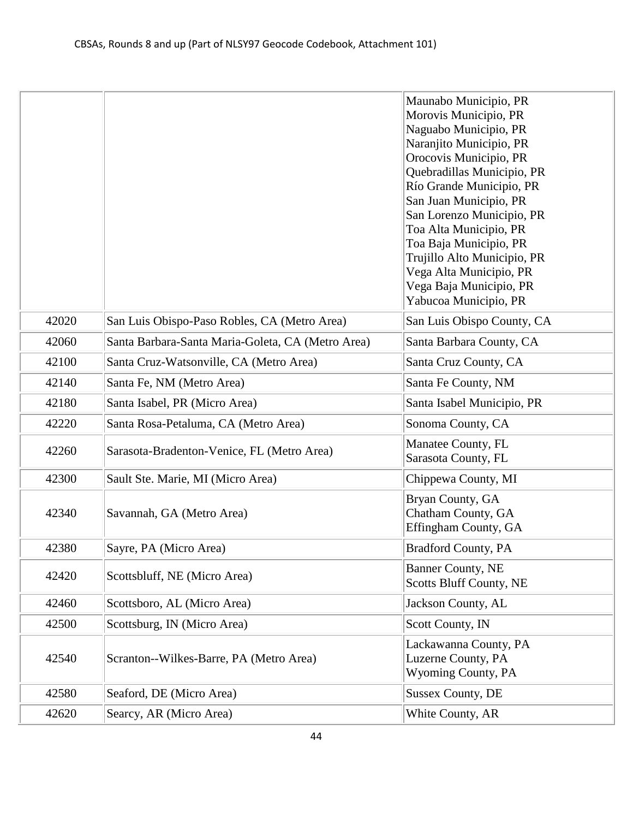| Naguabo Municipio, PR<br>Naranjito Municipio, PR<br>Orocovis Municipio, PR<br>Quebradillas Municipio, PR<br>Río Grande Municipio, PR<br>San Juan Municipio, PR<br>San Lorenzo Municipio, PR<br>Toa Alta Municipio, PR<br>Toa Baja Municipio, PR<br>Trujillo Alto Municipio, PR<br>Vega Alta Municipio, PR<br>Vega Baja Municipio, PR<br>Yabucoa Municipio, PR<br>42020<br>San Luis Obispo-Paso Robles, CA (Metro Area)<br>San Luis Obispo County, CA<br>42060<br>Santa Barbara-Santa Maria-Goleta, CA (Metro Area)<br>Santa Barbara County, CA<br>42100<br>Santa Cruz-Watsonville, CA (Metro Area)<br>Santa Cruz County, CA<br>42140<br>Santa Fe, NM (Metro Area)<br>Santa Fe County, NM<br>42180<br>Santa Isabel, PR (Micro Area)<br>Santa Isabel Municipio, PR<br>42220<br>Santa Rosa-Petaluma, CA (Metro Area)<br>Sonoma County, CA<br>Manatee County, FL<br>42260<br>Sarasota-Bradenton-Venice, FL (Metro Area)<br>Sarasota County, FL<br>42300<br>Sault Ste. Marie, MI (Micro Area)<br>Chippewa County, MI<br>Bryan County, GA<br>Chatham County, GA<br>42340<br>Savannah, GA (Metro Area)<br>Effingham County, GA<br>42380<br>Sayre, PA (Micro Area)<br><b>Bradford County, PA</b><br><b>Banner County, NE</b><br>Scottsbluff, NE (Micro Area)<br>42420<br><b>Scotts Bluff County, NE</b><br>42460<br>Scottsboro, AL (Micro Area)<br>Jackson County, AL<br>42500<br>Scottsburg, IN (Micro Area)<br>Scott County, IN<br>Lackawanna County, PA<br>Luzerne County, PA<br>Scranton--Wilkes-Barre, PA (Metro Area)<br>42540<br><b>Wyoming County, PA</b><br><b>Sussex County, DE</b><br>42580<br>Seaford, DE (Micro Area)<br>42620<br>White County, AR<br>Searcy, AR (Micro Area) |  | Maunabo Municipio, PR |
|------------------------------------------------------------------------------------------------------------------------------------------------------------------------------------------------------------------------------------------------------------------------------------------------------------------------------------------------------------------------------------------------------------------------------------------------------------------------------------------------------------------------------------------------------------------------------------------------------------------------------------------------------------------------------------------------------------------------------------------------------------------------------------------------------------------------------------------------------------------------------------------------------------------------------------------------------------------------------------------------------------------------------------------------------------------------------------------------------------------------------------------------------------------------------------------------------------------------------------------------------------------------------------------------------------------------------------------------------------------------------------------------------------------------------------------------------------------------------------------------------------------------------------------------------------------------------------------------------------------------------------------------------------------------------------|--|-----------------------|
|                                                                                                                                                                                                                                                                                                                                                                                                                                                                                                                                                                                                                                                                                                                                                                                                                                                                                                                                                                                                                                                                                                                                                                                                                                                                                                                                                                                                                                                                                                                                                                                                                                                                                    |  | Morovis Municipio, PR |
|                                                                                                                                                                                                                                                                                                                                                                                                                                                                                                                                                                                                                                                                                                                                                                                                                                                                                                                                                                                                                                                                                                                                                                                                                                                                                                                                                                                                                                                                                                                                                                                                                                                                                    |  |                       |
|                                                                                                                                                                                                                                                                                                                                                                                                                                                                                                                                                                                                                                                                                                                                                                                                                                                                                                                                                                                                                                                                                                                                                                                                                                                                                                                                                                                                                                                                                                                                                                                                                                                                                    |  |                       |
|                                                                                                                                                                                                                                                                                                                                                                                                                                                                                                                                                                                                                                                                                                                                                                                                                                                                                                                                                                                                                                                                                                                                                                                                                                                                                                                                                                                                                                                                                                                                                                                                                                                                                    |  |                       |
|                                                                                                                                                                                                                                                                                                                                                                                                                                                                                                                                                                                                                                                                                                                                                                                                                                                                                                                                                                                                                                                                                                                                                                                                                                                                                                                                                                                                                                                                                                                                                                                                                                                                                    |  |                       |
|                                                                                                                                                                                                                                                                                                                                                                                                                                                                                                                                                                                                                                                                                                                                                                                                                                                                                                                                                                                                                                                                                                                                                                                                                                                                                                                                                                                                                                                                                                                                                                                                                                                                                    |  |                       |
|                                                                                                                                                                                                                                                                                                                                                                                                                                                                                                                                                                                                                                                                                                                                                                                                                                                                                                                                                                                                                                                                                                                                                                                                                                                                                                                                                                                                                                                                                                                                                                                                                                                                                    |  |                       |
|                                                                                                                                                                                                                                                                                                                                                                                                                                                                                                                                                                                                                                                                                                                                                                                                                                                                                                                                                                                                                                                                                                                                                                                                                                                                                                                                                                                                                                                                                                                                                                                                                                                                                    |  |                       |
|                                                                                                                                                                                                                                                                                                                                                                                                                                                                                                                                                                                                                                                                                                                                                                                                                                                                                                                                                                                                                                                                                                                                                                                                                                                                                                                                                                                                                                                                                                                                                                                                                                                                                    |  |                       |
|                                                                                                                                                                                                                                                                                                                                                                                                                                                                                                                                                                                                                                                                                                                                                                                                                                                                                                                                                                                                                                                                                                                                                                                                                                                                                                                                                                                                                                                                                                                                                                                                                                                                                    |  |                       |
|                                                                                                                                                                                                                                                                                                                                                                                                                                                                                                                                                                                                                                                                                                                                                                                                                                                                                                                                                                                                                                                                                                                                                                                                                                                                                                                                                                                                                                                                                                                                                                                                                                                                                    |  |                       |
|                                                                                                                                                                                                                                                                                                                                                                                                                                                                                                                                                                                                                                                                                                                                                                                                                                                                                                                                                                                                                                                                                                                                                                                                                                                                                                                                                                                                                                                                                                                                                                                                                                                                                    |  |                       |
|                                                                                                                                                                                                                                                                                                                                                                                                                                                                                                                                                                                                                                                                                                                                                                                                                                                                                                                                                                                                                                                                                                                                                                                                                                                                                                                                                                                                                                                                                                                                                                                                                                                                                    |  |                       |
|                                                                                                                                                                                                                                                                                                                                                                                                                                                                                                                                                                                                                                                                                                                                                                                                                                                                                                                                                                                                                                                                                                                                                                                                                                                                                                                                                                                                                                                                                                                                                                                                                                                                                    |  |                       |
|                                                                                                                                                                                                                                                                                                                                                                                                                                                                                                                                                                                                                                                                                                                                                                                                                                                                                                                                                                                                                                                                                                                                                                                                                                                                                                                                                                                                                                                                                                                                                                                                                                                                                    |  |                       |
|                                                                                                                                                                                                                                                                                                                                                                                                                                                                                                                                                                                                                                                                                                                                                                                                                                                                                                                                                                                                                                                                                                                                                                                                                                                                                                                                                                                                                                                                                                                                                                                                                                                                                    |  |                       |
|                                                                                                                                                                                                                                                                                                                                                                                                                                                                                                                                                                                                                                                                                                                                                                                                                                                                                                                                                                                                                                                                                                                                                                                                                                                                                                                                                                                                                                                                                                                                                                                                                                                                                    |  |                       |
|                                                                                                                                                                                                                                                                                                                                                                                                                                                                                                                                                                                                                                                                                                                                                                                                                                                                                                                                                                                                                                                                                                                                                                                                                                                                                                                                                                                                                                                                                                                                                                                                                                                                                    |  |                       |
|                                                                                                                                                                                                                                                                                                                                                                                                                                                                                                                                                                                                                                                                                                                                                                                                                                                                                                                                                                                                                                                                                                                                                                                                                                                                                                                                                                                                                                                                                                                                                                                                                                                                                    |  |                       |
|                                                                                                                                                                                                                                                                                                                                                                                                                                                                                                                                                                                                                                                                                                                                                                                                                                                                                                                                                                                                                                                                                                                                                                                                                                                                                                                                                                                                                                                                                                                                                                                                                                                                                    |  |                       |
|                                                                                                                                                                                                                                                                                                                                                                                                                                                                                                                                                                                                                                                                                                                                                                                                                                                                                                                                                                                                                                                                                                                                                                                                                                                                                                                                                                                                                                                                                                                                                                                                                                                                                    |  |                       |
|                                                                                                                                                                                                                                                                                                                                                                                                                                                                                                                                                                                                                                                                                                                                                                                                                                                                                                                                                                                                                                                                                                                                                                                                                                                                                                                                                                                                                                                                                                                                                                                                                                                                                    |  |                       |
|                                                                                                                                                                                                                                                                                                                                                                                                                                                                                                                                                                                                                                                                                                                                                                                                                                                                                                                                                                                                                                                                                                                                                                                                                                                                                                                                                                                                                                                                                                                                                                                                                                                                                    |  |                       |
|                                                                                                                                                                                                                                                                                                                                                                                                                                                                                                                                                                                                                                                                                                                                                                                                                                                                                                                                                                                                                                                                                                                                                                                                                                                                                                                                                                                                                                                                                                                                                                                                                                                                                    |  |                       |
|                                                                                                                                                                                                                                                                                                                                                                                                                                                                                                                                                                                                                                                                                                                                                                                                                                                                                                                                                                                                                                                                                                                                                                                                                                                                                                                                                                                                                                                                                                                                                                                                                                                                                    |  |                       |
|                                                                                                                                                                                                                                                                                                                                                                                                                                                                                                                                                                                                                                                                                                                                                                                                                                                                                                                                                                                                                                                                                                                                                                                                                                                                                                                                                                                                                                                                                                                                                                                                                                                                                    |  |                       |
|                                                                                                                                                                                                                                                                                                                                                                                                                                                                                                                                                                                                                                                                                                                                                                                                                                                                                                                                                                                                                                                                                                                                                                                                                                                                                                                                                                                                                                                                                                                                                                                                                                                                                    |  |                       |
|                                                                                                                                                                                                                                                                                                                                                                                                                                                                                                                                                                                                                                                                                                                                                                                                                                                                                                                                                                                                                                                                                                                                                                                                                                                                                                                                                                                                                                                                                                                                                                                                                                                                                    |  |                       |
|                                                                                                                                                                                                                                                                                                                                                                                                                                                                                                                                                                                                                                                                                                                                                                                                                                                                                                                                                                                                                                                                                                                                                                                                                                                                                                                                                                                                                                                                                                                                                                                                                                                                                    |  |                       |
|                                                                                                                                                                                                                                                                                                                                                                                                                                                                                                                                                                                                                                                                                                                                                                                                                                                                                                                                                                                                                                                                                                                                                                                                                                                                                                                                                                                                                                                                                                                                                                                                                                                                                    |  |                       |
|                                                                                                                                                                                                                                                                                                                                                                                                                                                                                                                                                                                                                                                                                                                                                                                                                                                                                                                                                                                                                                                                                                                                                                                                                                                                                                                                                                                                                                                                                                                                                                                                                                                                                    |  |                       |
|                                                                                                                                                                                                                                                                                                                                                                                                                                                                                                                                                                                                                                                                                                                                                                                                                                                                                                                                                                                                                                                                                                                                                                                                                                                                                                                                                                                                                                                                                                                                                                                                                                                                                    |  |                       |
|                                                                                                                                                                                                                                                                                                                                                                                                                                                                                                                                                                                                                                                                                                                                                                                                                                                                                                                                                                                                                                                                                                                                                                                                                                                                                                                                                                                                                                                                                                                                                                                                                                                                                    |  |                       |
|                                                                                                                                                                                                                                                                                                                                                                                                                                                                                                                                                                                                                                                                                                                                                                                                                                                                                                                                                                                                                                                                                                                                                                                                                                                                                                                                                                                                                                                                                                                                                                                                                                                                                    |  |                       |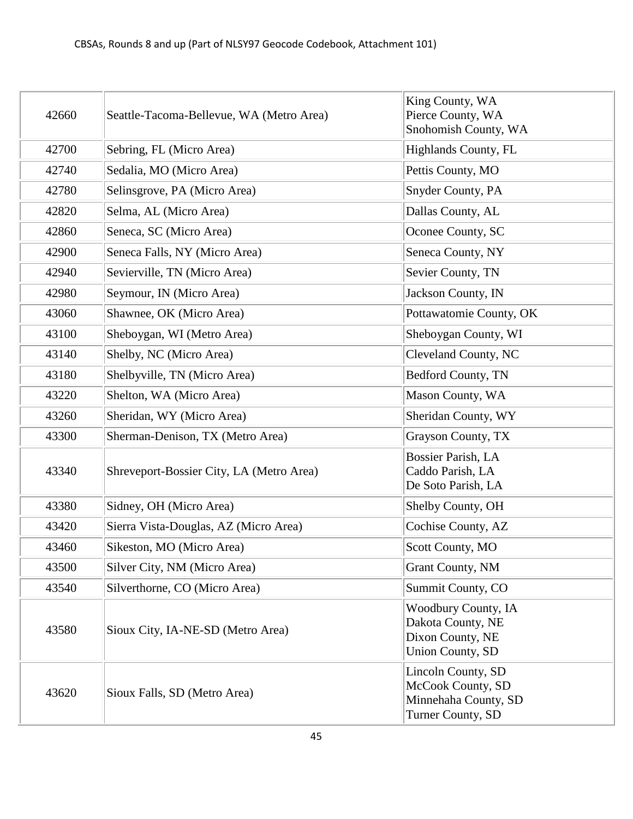| 42660 | Seattle-Tacoma-Bellevue, WA (Metro Area) | King County, WA<br>Pierce County, WA<br>Snohomish County, WA                                   |
|-------|------------------------------------------|------------------------------------------------------------------------------------------------|
| 42700 | Sebring, FL (Micro Area)                 | <b>Highlands County, FL</b>                                                                    |
| 42740 | Sedalia, MO (Micro Area)                 | Pettis County, MO                                                                              |
| 42780 | Selinsgrove, PA (Micro Area)             | Snyder County, PA                                                                              |
| 42820 | Selma, AL (Micro Area)                   | Dallas County, AL                                                                              |
| 42860 | Seneca, SC (Micro Area)                  | Oconee County, SC                                                                              |
| 42900 | Seneca Falls, NY (Micro Area)            | Seneca County, NY                                                                              |
| 42940 | Sevierville, TN (Micro Area)             | Sevier County, TN                                                                              |
| 42980 | Seymour, IN (Micro Area)                 | Jackson County, IN                                                                             |
| 43060 | Shawnee, OK (Micro Area)                 | Pottawatomie County, OK                                                                        |
| 43100 | Sheboygan, WI (Metro Area)               | Sheboygan County, WI                                                                           |
| 43140 | Shelby, NC (Micro Area)                  | Cleveland County, NC                                                                           |
| 43180 | Shelbyville, TN (Micro Area)             | Bedford County, TN                                                                             |
| 43220 | Shelton, WA (Micro Area)                 | Mason County, WA                                                                               |
| 43260 | Sheridan, WY (Micro Area)                | Sheridan County, WY                                                                            |
| 43300 | Sherman-Denison, TX (Metro Area)         | Grayson County, TX                                                                             |
| 43340 | Shreveport-Bossier City, LA (Metro Area) | Bossier Parish, LA<br>Caddo Parish, LA<br>De Soto Parish, LA                                   |
| 43380 | Sidney, OH (Micro Area)                  | Shelby County, OH                                                                              |
| 43420 | Sierra Vista-Douglas, AZ (Micro Area)    | Cochise County, AZ                                                                             |
| 43460 | Sikeston, MO (Micro Area)                | Scott County, MO                                                                               |
| 43500 | Silver City, NM (Micro Area)             | <b>Grant County, NM</b>                                                                        |
| 43540 | Silverthorne, CO (Micro Area)            | Summit County, CO                                                                              |
| 43580 | Sioux City, IA-NE-SD (Metro Area)        | <b>Woodbury County, IA</b><br>Dakota County, NE<br>Dixon County, NE<br><b>Union County, SD</b> |
| 43620 | Sioux Falls, SD (Metro Area)             | Lincoln County, SD<br>McCook County, SD<br>Minnehaha County, SD<br>Turner County, SD           |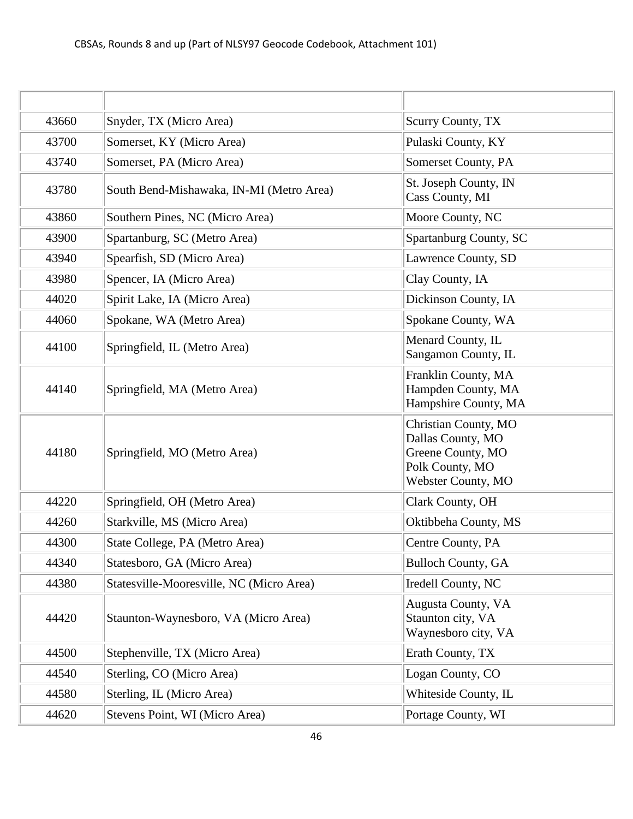| 43660 | Snyder, TX (Micro Area)                  | Scurry County, TX                                                                                       |
|-------|------------------------------------------|---------------------------------------------------------------------------------------------------------|
| 43700 | Somerset, KY (Micro Area)                | Pulaski County, KY                                                                                      |
| 43740 | Somerset, PA (Micro Area)                | Somerset County, PA                                                                                     |
| 43780 | South Bend-Mishawaka, IN-MI (Metro Area) | St. Joseph County, IN<br>Cass County, MI                                                                |
| 43860 | Southern Pines, NC (Micro Area)          | Moore County, NC                                                                                        |
| 43900 | Spartanburg, SC (Metro Area)             | Spartanburg County, SC                                                                                  |
| 43940 | Spearfish, SD (Micro Area)               | Lawrence County, SD                                                                                     |
| 43980 | Spencer, IA (Micro Area)                 | Clay County, IA                                                                                         |
| 44020 | Spirit Lake, IA (Micro Area)             | Dickinson County, IA                                                                                    |
| 44060 | Spokane, WA (Metro Area)                 | Spokane County, WA                                                                                      |
| 44100 | Springfield, IL (Metro Area)             | Menard County, IL<br>Sangamon County, IL                                                                |
| 44140 | Springfield, MA (Metro Area)             | Franklin County, MA<br>Hampden County, MA<br>Hampshire County, MA                                       |
| 44180 | Springfield, MO (Metro Area)             | Christian County, MO<br>Dallas County, MO<br>Greene County, MO<br>Polk County, MO<br>Webster County, MO |
| 44220 | Springfield, OH (Metro Area)             | Clark County, OH                                                                                        |
| 44260 | Starkville, MS (Micro Area)              | Oktibbeha County, MS                                                                                    |
| 44300 | State College, PA (Metro Area)           | Centre County, PA                                                                                       |
| 44340 | Statesboro, GA (Micro Area)              | <b>Bulloch County, GA</b>                                                                               |
| 44380 | Statesville-Mooresville, NC (Micro Area) | Iredell County, NC                                                                                      |
| 44420 | Staunton-Waynesboro, VA (Micro Area)     | Augusta County, VA<br>Staunton city, VA<br>Waynesboro city, VA                                          |
| 44500 | Stephenville, TX (Micro Area)            | Erath County, TX                                                                                        |
| 44540 | Sterling, CO (Micro Area)                | Logan County, CO                                                                                        |
| 44580 | Sterling, IL (Micro Area)                | Whiteside County, IL                                                                                    |
| 44620 | Stevens Point, WI (Micro Area)           | Portage County, WI                                                                                      |
|       |                                          |                                                                                                         |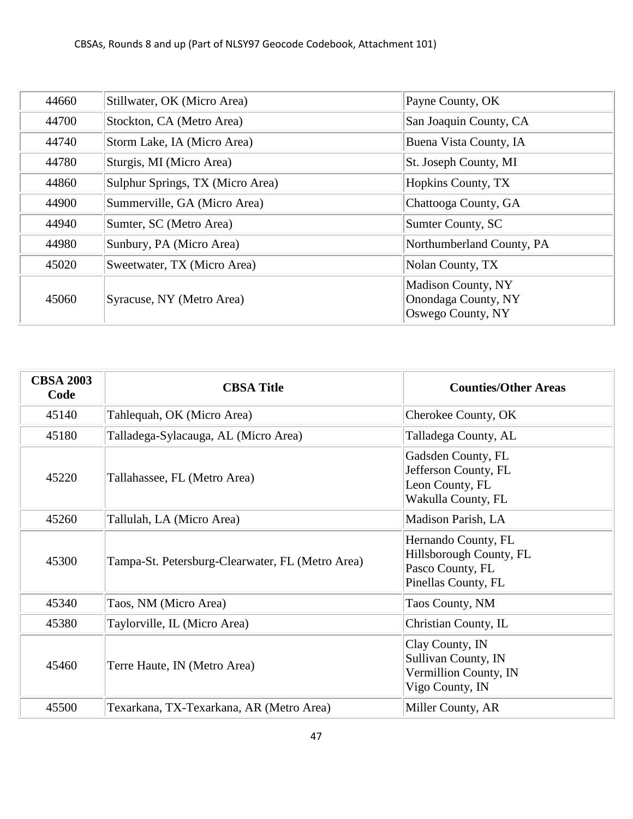| 44660 | Stillwater, OK (Micro Area)      | Payne County, OK                                                      |
|-------|----------------------------------|-----------------------------------------------------------------------|
| 44700 | Stockton, CA (Metro Area)        | San Joaquin County, CA                                                |
| 44740 | Storm Lake, IA (Micro Area)      | Buena Vista County, IA                                                |
| 44780 | Sturgis, MI (Micro Area)         | St. Joseph County, MI                                                 |
| 44860 | Sulphur Springs, TX (Micro Area) | Hopkins County, TX                                                    |
| 44900 | Summerville, GA (Micro Area)     | Chattooga County, GA                                                  |
| 44940 | Sumter, SC (Metro Area)          | Sumter County, SC                                                     |
| 44980 | Sunbury, PA (Micro Area)         | Northumberland County, PA                                             |
| 45020 | Sweetwater, TX (Micro Area)      | Nolan County, TX                                                      |
| 45060 | Syracuse, NY (Metro Area)        | <b>Madison County, NY</b><br>Onondaga County, NY<br>Oswego County, NY |

| <b>CBSA 2003</b><br>Code | <b>CBSA Title</b>                                | <b>Counties/Other Areas</b>                                                               |
|--------------------------|--------------------------------------------------|-------------------------------------------------------------------------------------------|
| 45140                    | Tahlequah, OK (Micro Area)                       | Cherokee County, OK                                                                       |
| 45180                    | Talladega-Sylacauga, AL (Micro Area)             | Talladega County, AL                                                                      |
| 45220                    | Tallahassee, FL (Metro Area)                     | Gadsden County, FL<br>Jefferson County, FL<br>Leon County, FL<br>Wakulla County, FL       |
| 45260                    | Tallulah, LA (Micro Area)                        | Madison Parish, LA                                                                        |
| 45300                    | Tampa-St. Petersburg-Clearwater, FL (Metro Area) | Hernando County, FL<br>Hillsborough County, FL<br>Pasco County, FL<br>Pinellas County, FL |
| 45340                    | Taos, NM (Micro Area)                            | Taos County, NM                                                                           |
| 45380                    | Taylorville, IL (Micro Area)                     | Christian County, IL                                                                      |
| 45460                    | Terre Haute, IN (Metro Area)                     | Clay County, IN<br>Sullivan County, IN<br>Vermillion County, IN<br>Vigo County, IN        |
| 45500                    | Texarkana, TX-Texarkana, AR (Metro Area)         | Miller County, AR                                                                         |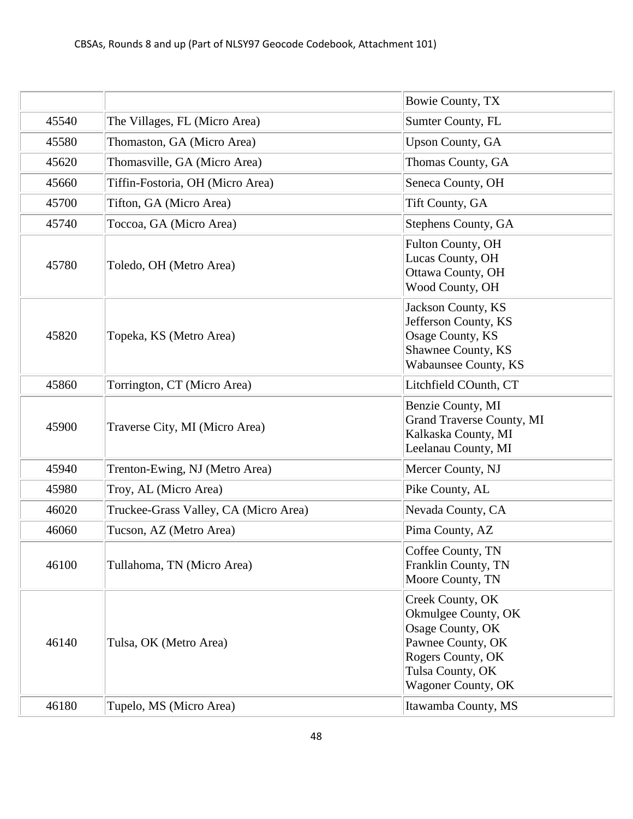|       |                                       | Bowie County, TX                                                                                                                                |
|-------|---------------------------------------|-------------------------------------------------------------------------------------------------------------------------------------------------|
| 45540 | The Villages, FL (Micro Area)         | Sumter County, FL                                                                                                                               |
| 45580 | Thomaston, GA (Micro Area)            | <b>Upson County, GA</b>                                                                                                                         |
| 45620 | Thomasville, GA (Micro Area)          | Thomas County, GA                                                                                                                               |
| 45660 | Tiffin-Fostoria, OH (Micro Area)      | Seneca County, OH                                                                                                                               |
| 45700 | Tifton, GA (Micro Area)               | Tift County, GA                                                                                                                                 |
| 45740 | Toccoa, GA (Micro Area)               | Stephens County, GA                                                                                                                             |
| 45780 | Toledo, OH (Metro Area)               | Fulton County, OH<br>Lucas County, OH<br>Ottawa County, OH<br>Wood County, OH                                                                   |
| 45820 | Topeka, KS (Metro Area)               | Jackson County, KS<br>Jefferson County, KS<br>Osage County, KS<br>Shawnee County, KS<br>Wabaunsee County, KS                                    |
| 45860 | Torrington, CT (Micro Area)           | Litchfield COunth, CT                                                                                                                           |
| 45900 | Traverse City, MI (Micro Area)        | Benzie County, MI<br>Grand Traverse County, MI<br>Kalkaska County, MI<br>Leelanau County, MI                                                    |
| 45940 | Trenton-Ewing, NJ (Metro Area)        | Mercer County, NJ                                                                                                                               |
| 45980 | Troy, AL (Micro Area)                 | Pike County, AL                                                                                                                                 |
| 46020 | Truckee-Grass Valley, CA (Micro Area) | Nevada County, CA                                                                                                                               |
| 46060 | Tucson, AZ (Metro Area)               | Pima County, AZ                                                                                                                                 |
| 46100 | Tullahoma, TN (Micro Area)            | Coffee County, TN<br>Franklin County, TN<br>Moore County, TN                                                                                    |
| 46140 | Tulsa, OK (Metro Area)                | Creek County, OK<br>Okmulgee County, OK<br>Osage County, OK<br>Pawnee County, OK<br>Rogers County, OK<br>Tulsa County, OK<br>Wagoner County, OK |
| 46180 | Tupelo, MS (Micro Area)               | Itawamba County, MS                                                                                                                             |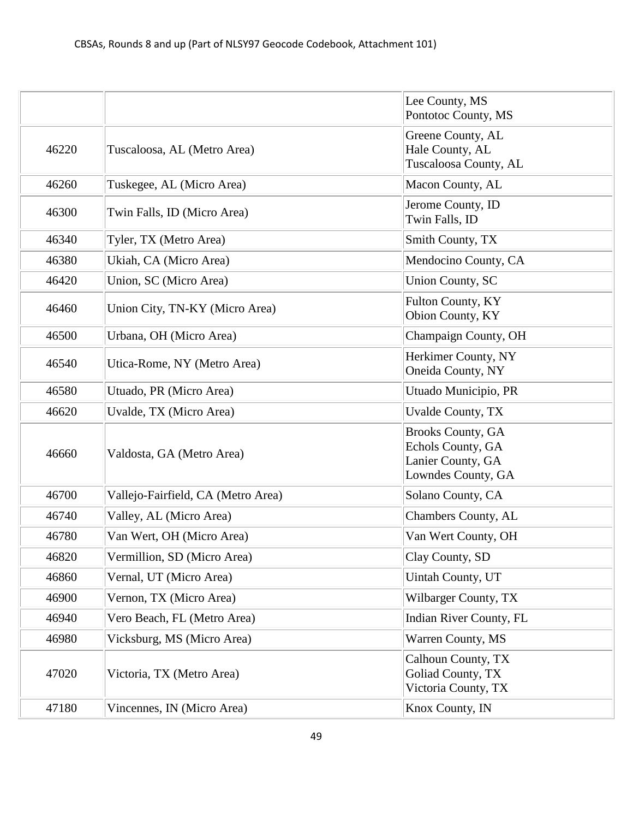|       |                                    | Lee County, MS<br>Pontotoc County, MS                                                    |
|-------|------------------------------------|------------------------------------------------------------------------------------------|
| 46220 | Tuscaloosa, AL (Metro Area)        | Greene County, AL<br>Hale County, AL<br>Tuscaloosa County, AL                            |
| 46260 | Tuskegee, AL (Micro Area)          | Macon County, AL                                                                         |
| 46300 | Twin Falls, ID (Micro Area)        | Jerome County, ID<br>Twin Falls, ID                                                      |
| 46340 | Tyler, TX (Metro Area)             | Smith County, TX                                                                         |
| 46380 | Ukiah, CA (Micro Area)             | Mendocino County, CA                                                                     |
| 46420 | Union, SC (Micro Area)             | <b>Union County, SC</b>                                                                  |
| 46460 | Union City, TN-KY (Micro Area)     | Fulton County, KY<br>Obion County, KY                                                    |
| 46500 | Urbana, OH (Micro Area)            | Champaign County, OH                                                                     |
| 46540 | Utica-Rome, NY (Metro Area)        | Herkimer County, NY<br>Oneida County, NY                                                 |
| 46580 | Utuado, PR (Micro Area)            | Utuado Municipio, PR                                                                     |
| 46620 | Uvalde, TX (Micro Area)            | <b>Uvalde County, TX</b>                                                                 |
| 46660 | Valdosta, GA (Metro Area)          | <b>Brooks County, GA</b><br>Echols County, GA<br>Lanier County, GA<br>Lowndes County, GA |
| 46700 | Vallejo-Fairfield, CA (Metro Area) | Solano County, CA                                                                        |
| 46740 | Valley, AL (Micro Area)            | Chambers County, AL                                                                      |
| 46780 | Van Wert, OH (Micro Area)          | Van Wert County, OH                                                                      |
| 46820 | Vermillion, SD (Micro Area)        | Clay County, SD                                                                          |
| 46860 | Vernal, UT (Micro Area)            | Uintah County, UT                                                                        |
| 46900 | Vernon, TX (Micro Area)            | Wilbarger County, TX                                                                     |
| 46940 | Vero Beach, FL (Metro Area)        | Indian River County, FL                                                                  |
| 46980 | Vicksburg, MS (Micro Area)         | Warren County, MS                                                                        |
| 47020 | Victoria, TX (Metro Area)          | Calhoun County, TX<br>Goliad County, TX<br>Victoria County, TX                           |
| 47180 | Vincennes, IN (Micro Area)         | Knox County, IN                                                                          |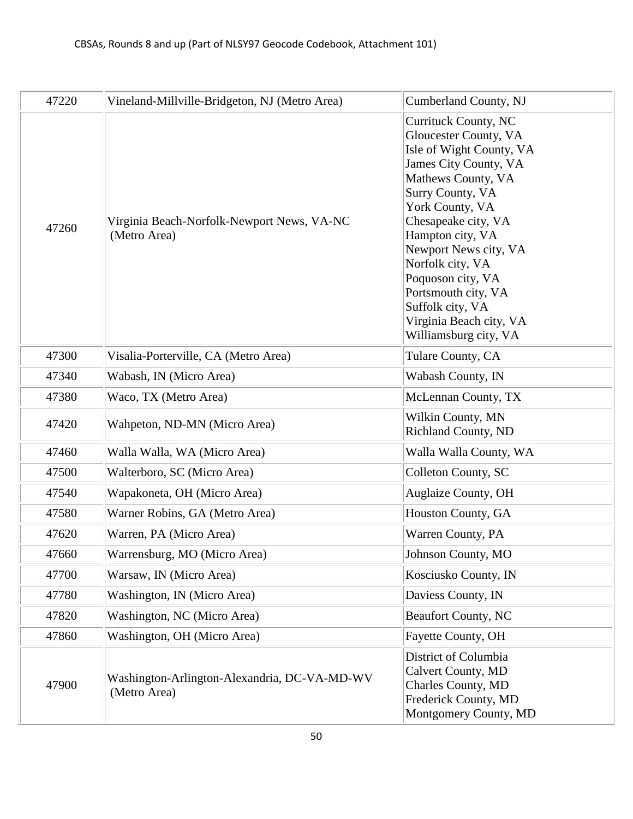| 47220 | Vineland-Millville-Bridgeton, NJ (Metro Area)                | Cumberland County, NJ                                                                                                                                                                                                                                                                                                                                                       |
|-------|--------------------------------------------------------------|-----------------------------------------------------------------------------------------------------------------------------------------------------------------------------------------------------------------------------------------------------------------------------------------------------------------------------------------------------------------------------|
| 47260 | Virginia Beach-Norfolk-Newport News, VA-NC<br>(Metro Area)   | Currituck County, NC<br>Gloucester County, VA<br>Isle of Wight County, VA<br>James City County, VA<br>Mathews County, VA<br>Surry County, VA<br>York County, VA<br>Chesapeake city, VA<br>Hampton city, VA<br>Newport News city, VA<br>Norfolk city, VA<br>Poquoson city, VA<br>Portsmouth city, VA<br>Suffolk city, VA<br>Virginia Beach city, VA<br>Williamsburg city, VA |
| 47300 | Visalia-Porterville, CA (Metro Area)                         | Tulare County, CA                                                                                                                                                                                                                                                                                                                                                           |
| 47340 | Wabash, IN (Micro Area)                                      | Wabash County, IN                                                                                                                                                                                                                                                                                                                                                           |
| 47380 | Waco, TX (Metro Area)                                        | McLennan County, TX                                                                                                                                                                                                                                                                                                                                                         |
| 47420 | Wahpeton, ND-MN (Micro Area)                                 | Wilkin County, MN<br><b>Richland County, ND</b>                                                                                                                                                                                                                                                                                                                             |
| 47460 | Walla Walla, WA (Micro Area)                                 | Walla Walla County, WA                                                                                                                                                                                                                                                                                                                                                      |
| 47500 | Walterboro, SC (Micro Area)                                  | Colleton County, SC                                                                                                                                                                                                                                                                                                                                                         |
| 47540 | Wapakoneta, OH (Micro Area)                                  | <b>Auglaize County, OH</b>                                                                                                                                                                                                                                                                                                                                                  |
| 47580 | Warner Robins, GA (Metro Area)                               | Houston County, GA                                                                                                                                                                                                                                                                                                                                                          |
| 47620 | Warren, PA (Micro Area)                                      | Warren County, PA                                                                                                                                                                                                                                                                                                                                                           |
| 47660 | Warrensburg, MO (Micro Area)                                 | Johnson County, MO                                                                                                                                                                                                                                                                                                                                                          |
| 47700 | Warsaw, IN (Micro Area)                                      | Kosciusko County, IN                                                                                                                                                                                                                                                                                                                                                        |
| 47780 | Washington, IN (Micro Area)                                  | Daviess County, IN                                                                                                                                                                                                                                                                                                                                                          |
| 47820 | Washington, NC (Micro Area)                                  | <b>Beaufort County, NC</b>                                                                                                                                                                                                                                                                                                                                                  |
| 47860 | Washington, OH (Micro Area)                                  | Fayette County, OH                                                                                                                                                                                                                                                                                                                                                          |
| 47900 | Washington-Arlington-Alexandria, DC-VA-MD-WV<br>(Metro Area) | District of Columbia<br><b>Calvert County, MD</b><br>Charles County, MD<br>Frederick County, MD<br>Montgomery County, MD                                                                                                                                                                                                                                                    |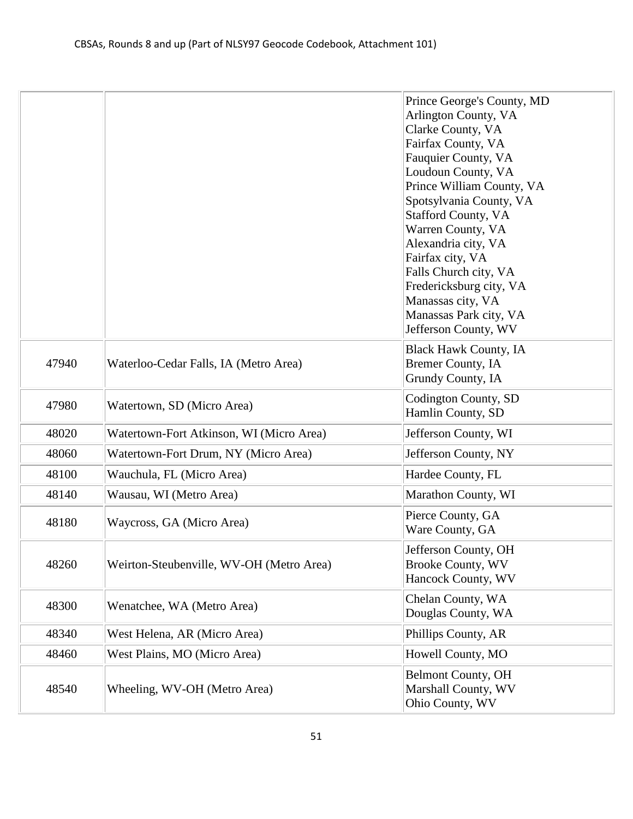|       |                                          | Prince George's County, MD<br>Arlington County, VA<br>Clarke County, VA<br>Fairfax County, VA<br>Fauquier County, VA<br>Loudoun County, VA<br>Prince William County, VA<br>Spotsylvania County, VA<br><b>Stafford County, VA</b><br>Warren County, VA<br>Alexandria city, VA<br>Fairfax city, VA<br>Falls Church city, VA<br>Fredericksburg city, VA<br>Manassas city, VA<br>Manassas Park city, VA<br>Jefferson County, WV |
|-------|------------------------------------------|-----------------------------------------------------------------------------------------------------------------------------------------------------------------------------------------------------------------------------------------------------------------------------------------------------------------------------------------------------------------------------------------------------------------------------|
| 47940 | Waterloo-Cedar Falls, IA (Metro Area)    | <b>Black Hawk County, IA</b><br><b>Bremer County, IA</b><br>Grundy County, IA                                                                                                                                                                                                                                                                                                                                               |
| 47980 | Watertown, SD (Micro Area)               | Codington County, SD<br>Hamlin County, SD                                                                                                                                                                                                                                                                                                                                                                                   |
| 48020 | Watertown-Fort Atkinson, WI (Micro Area) | Jefferson County, WI                                                                                                                                                                                                                                                                                                                                                                                                        |
| 48060 | Watertown-Fort Drum, NY (Micro Area)     | Jefferson County, NY                                                                                                                                                                                                                                                                                                                                                                                                        |
| 48100 | Wauchula, FL (Micro Area)                | Hardee County, FL                                                                                                                                                                                                                                                                                                                                                                                                           |
| 48140 | Wausau, WI (Metro Area)                  | Marathon County, WI                                                                                                                                                                                                                                                                                                                                                                                                         |
| 48180 | Waycross, GA (Micro Area)                | Pierce County, GA<br>Ware County, GA                                                                                                                                                                                                                                                                                                                                                                                        |
| 48260 | Weirton-Steubenville, WV-OH (Metro Area) | Jefferson County, OH<br><b>Brooke County, WV</b><br>Hancock County, WV                                                                                                                                                                                                                                                                                                                                                      |
| 48300 | Wenatchee, WA (Metro Area)               | Chelan County, WA<br>Douglas County, WA                                                                                                                                                                                                                                                                                                                                                                                     |
| 48340 | West Helena, AR (Micro Area)             | Phillips County, AR                                                                                                                                                                                                                                                                                                                                                                                                         |
| 48460 | West Plains, MO (Micro Area)             | Howell County, MO                                                                                                                                                                                                                                                                                                                                                                                                           |
| 48540 | Wheeling, WV-OH (Metro Area)             | <b>Belmont County, OH</b><br>Marshall County, WV<br>Ohio County, WV                                                                                                                                                                                                                                                                                                                                                         |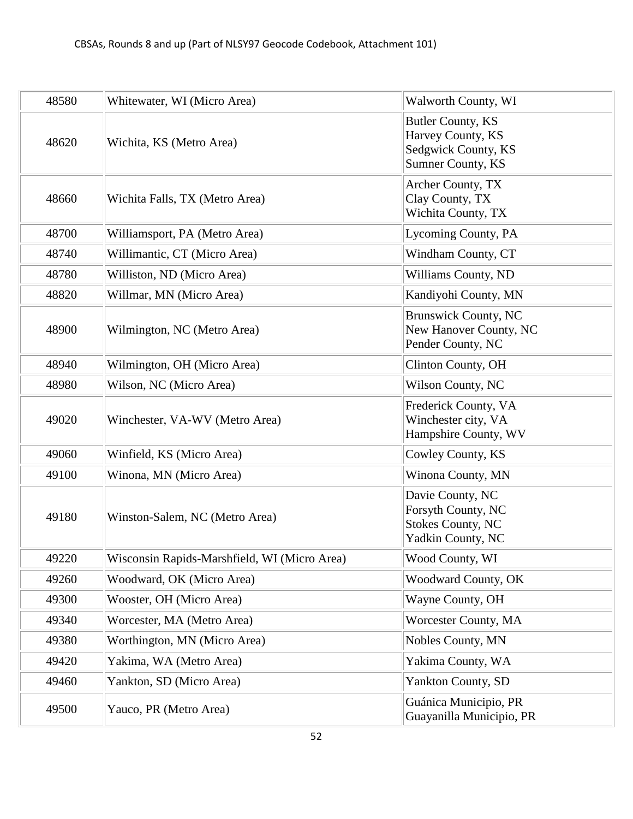| 48580 | Whitewater, WI (Micro Area)                  | Walworth County, WI                                                                       |
|-------|----------------------------------------------|-------------------------------------------------------------------------------------------|
| 48620 | Wichita, KS (Metro Area)                     | <b>Butler County, KS</b><br>Harvey County, KS<br>Sedgwick County, KS<br>Sumner County, KS |
| 48660 | Wichita Falls, TX (Metro Area)               | Archer County, TX<br>Clay County, TX<br>Wichita County, TX                                |
| 48700 | Williamsport, PA (Metro Area)                | Lycoming County, PA                                                                       |
| 48740 | Willimantic, CT (Micro Area)                 | Windham County, CT                                                                        |
| 48780 | Williston, ND (Micro Area)                   | Williams County, ND                                                                       |
| 48820 | Willmar, MN (Micro Area)                     | Kandiyohi County, MN                                                                      |
| 48900 | Wilmington, NC (Metro Area)                  | <b>Brunswick County, NC</b><br>New Hanover County, NC<br>Pender County, NC                |
| 48940 | Wilmington, OH (Micro Area)                  | Clinton County, OH                                                                        |
| 48980 | Wilson, NC (Micro Area)                      | Wilson County, NC                                                                         |
| 49020 | Winchester, VA-WV (Metro Area)               | Frederick County, VA<br>Winchester city, VA<br>Hampshire County, WV                       |
| 49060 | Winfield, KS (Micro Area)                    | Cowley County, KS                                                                         |
| 49100 | Winona, MN (Micro Area)                      | Winona County, MN                                                                         |
| 49180 | Winston-Salem, NC (Metro Area)               | Davie County, NC<br>Forsyth County, NC<br><b>Stokes County, NC</b><br>Yadkin County, NC   |
| 49220 | Wisconsin Rapids-Marshfield, WI (Micro Area) | Wood County, WI                                                                           |
| 49260 | Woodward, OK (Micro Area)                    | <b>Woodward County, OK</b>                                                                |
| 49300 | Wooster, OH (Micro Area)                     | Wayne County, OH                                                                          |
| 49340 | Worcester, MA (Metro Area)                   | Worcester County, MA                                                                      |
| 49380 | Worthington, MN (Micro Area)                 | Nobles County, MN                                                                         |
| 49420 | Yakima, WA (Metro Area)                      | Yakima County, WA                                                                         |
| 49460 | Yankton, SD (Micro Area)                     | <b>Yankton County, SD</b>                                                                 |
| 49500 | Yauco, PR (Metro Area)                       | Guánica Municipio, PR<br>Guayanilla Municipio, PR                                         |